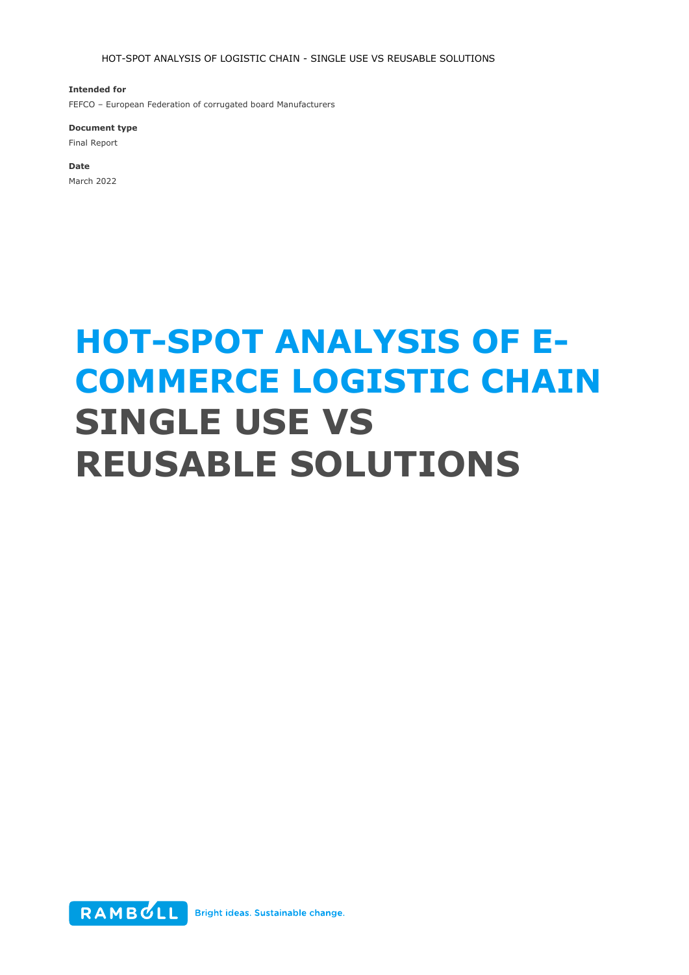HOT-SPOT ANALYSIS OF LOGISTIC CHAIN - SINGLE USE VS REUSABLE SOLUTIONS

**Intended for** FEFCO – European Federation of corrugated board Manufacturers

**Document type** Final Report

**Date** March 2022

# **HOT-SPOT ANALYSIS OF E-COMMERCE LOGISTIC CHAIN SINGLE USE VS REUSABLE SOLUTIONS**

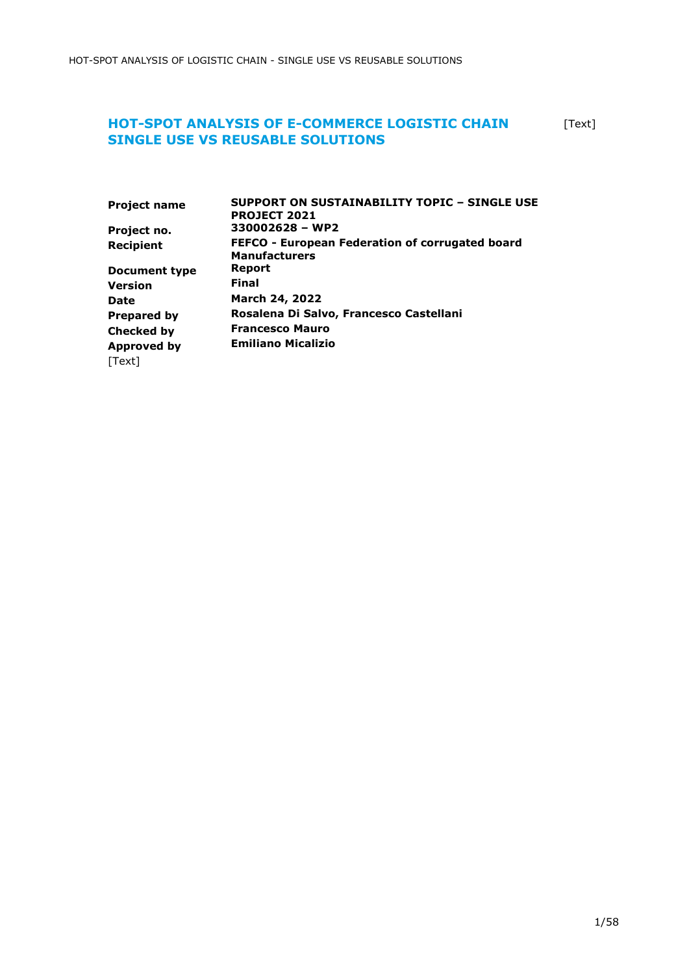### **HOT-SPOT ANALYSIS OF E-COMMERCE LOGISTIC CHAIN** [Text] **SINGLE USE VS REUSABLE SOLUTIONS**

| <b>Project name</b>  | <b>SUPPORT ON SUSTAINABILITY TOPIC - SINGLE USE</b><br><b>PROJECT 2021</b> |
|----------------------|----------------------------------------------------------------------------|
| Project no.          | 330002628 - WP2                                                            |
| <b>Recipient</b>     | FEFCO - European Federation of corrugated board<br><b>Manufacturers</b>    |
| <b>Document type</b> | Report                                                                     |
| <b>Version</b>       | Final                                                                      |
| <b>Date</b>          | <b>March 24, 2022</b>                                                      |
| <b>Prepared by</b>   | Rosalena Di Salvo, Francesco Castellani                                    |
| Checked by           | <b>Francesco Mauro</b>                                                     |
| Approved by          | <b>Emiliano Micalizio</b>                                                  |
| [Text]               |                                                                            |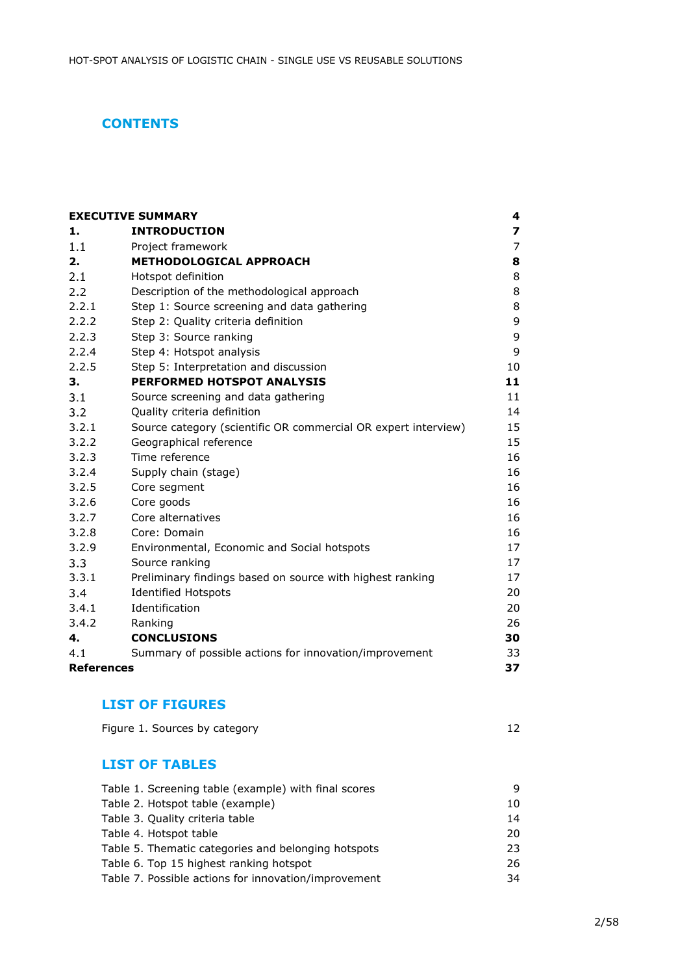### **CONTENTS**

|                   | <b>EXECUTIVE SUMMARY</b>                                       | 4              |
|-------------------|----------------------------------------------------------------|----------------|
| 1.                | <b>INTRODUCTION</b>                                            | 7              |
| 1.1               | Project framework                                              | $\overline{7}$ |
| 2.                | <b>METHODOLOGICAL APPROACH</b>                                 | 8              |
| 2.1               | Hotspot definition                                             | 8              |
| 2.2               | Description of the methodological approach                     | 8              |
| 2.2.1             | Step 1: Source screening and data gathering                    | 8              |
| 2.2.2             | Step 2: Quality criteria definition                            | 9              |
| 2.2.3             | Step 3: Source ranking                                         | 9              |
| 2.2.4             | Step 4: Hotspot analysis                                       | 9              |
| 2.2.5             | Step 5: Interpretation and discussion                          | 10             |
| 3.                | PERFORMED HOTSPOT ANALYSIS                                     | 11             |
| 3.1               | Source screening and data gathering                            | 11             |
| 3.2               | Quality criteria definition                                    | 14             |
| 3.2.1             | Source category (scientific OR commercial OR expert interview) | 15             |
| 3.2.2             | Geographical reference                                         | 15             |
| 3.2.3             | Time reference                                                 | 16             |
| 3.2.4             | Supply chain (stage)                                           | 16             |
| 3.2.5             | Core segment                                                   | 16             |
| 3.2.6             | Core goods                                                     | 16             |
| 3.2.7             | Core alternatives                                              | 16             |
| 3.2.8             | Core: Domain                                                   | 16             |
| 3.2.9             | Environmental, Economic and Social hotspots                    | 17             |
| 3.3               | Source ranking                                                 | 17             |
| 3.3.1             | Preliminary findings based on source with highest ranking      | 17             |
| 3.4               | <b>Identified Hotspots</b>                                     | 20             |
| 3.4.1             | Identification                                                 | 20             |
| 3.4.2             | Ranking                                                        | 26             |
| 4.                | <b>CONCLUSIONS</b>                                             | 30             |
| 4.1               | Summary of possible actions for innovation/improvement         | 33             |
| <b>References</b> |                                                                | 37             |
|                   |                                                                |                |

## **LIST OF FIGURES**

| Figure 1. Sources by category |  |
|-------------------------------|--|
|-------------------------------|--|

### **LIST OF TABLES**

| Table 1. Screening table (example) with final scores | q   |
|------------------------------------------------------|-----|
| Table 2. Hotspot table (example)                     | 10  |
| Table 3. Quality criteria table                      | 14  |
| Table 4. Hotspot table                               | 20  |
| Table 5. Thematic categories and belonging hotspots  | 23. |
| Table 6. Top 15 highest ranking hotspot              | 26. |
| Table 7. Possible actions for innovation/improvement | 34  |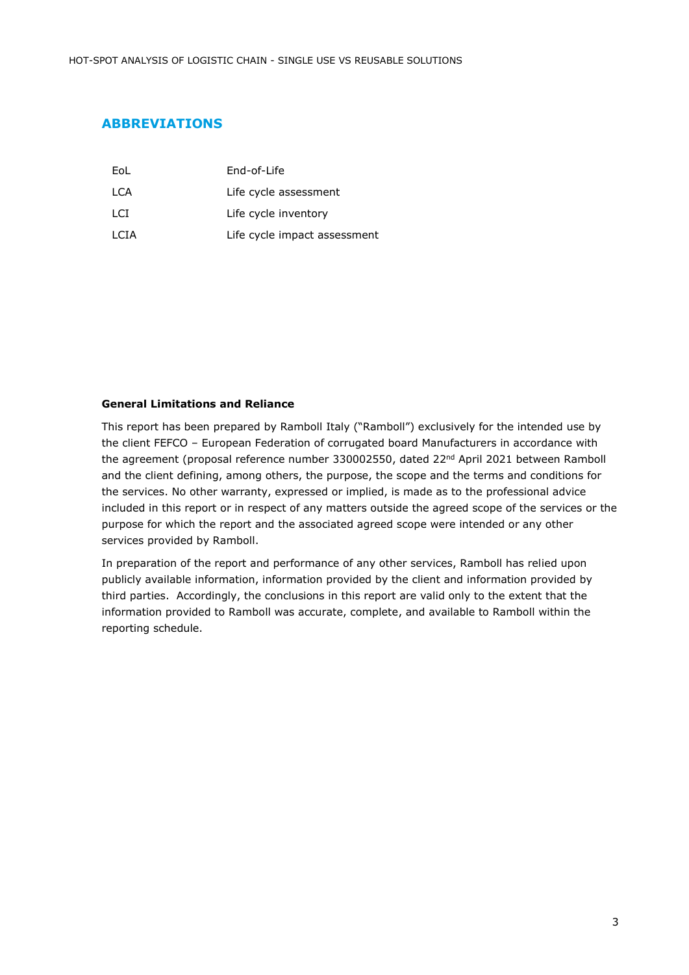#### **ABBREVIATIONS**

| EoL  | End-of-Life                  |
|------|------------------------------|
| I CA | Life cycle assessment        |
| TCL. | Life cycle inventory         |
| LCIA | Life cycle impact assessment |

#### **General Limitations and Reliance**

This report has been prepared by Ramboll Italy ("Ramboll") exclusively for the intended use by the client FEFCO – European Federation of corrugated board Manufacturers in accordance with the agreement (proposal reference number 330002550, dated 22<sup>nd</sup> April 2021 between Ramboll and the client defining, among others, the purpose, the scope and the terms and conditions for the services. No other warranty, expressed or implied, is made as to the professional advice included in this report or in respect of any matters outside the agreed scope of the services or the purpose for which the report and the associated agreed scope were intended or any other services provided by Ramboll.

In preparation of the report and performance of any other services, Ramboll has relied upon publicly available information, information provided by the client and information provided by third parties. Accordingly, the conclusions in this report are valid only to the extent that the information provided to Ramboll was accurate, complete, and available to Ramboll within the reporting schedule.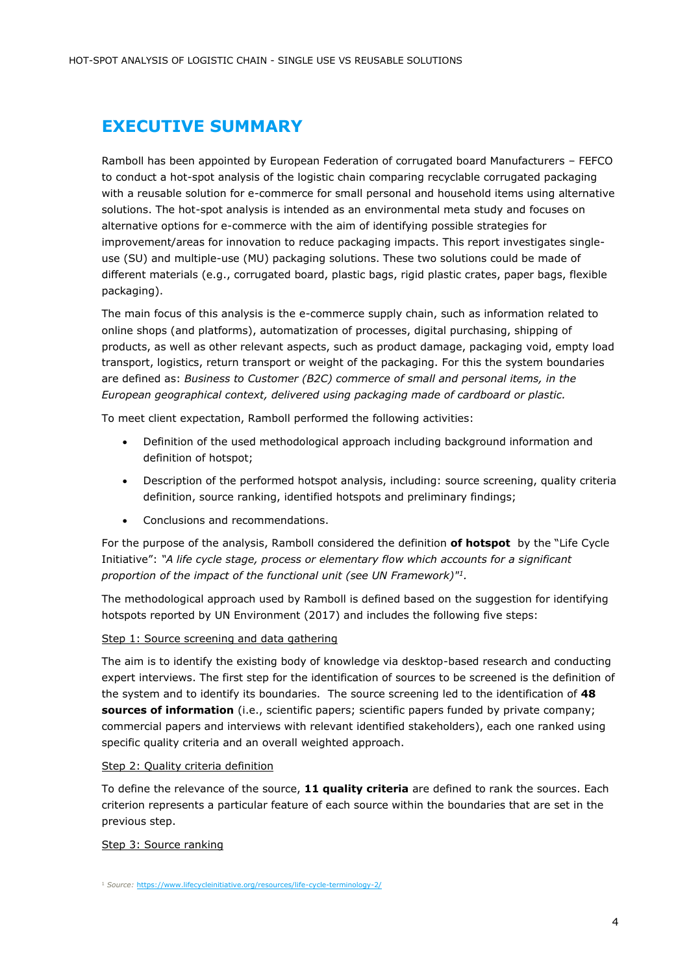# <span id="page-4-0"></span>**EXECUTIVE SUMMARY**

Ramboll has been appointed by European Federation of corrugated board Manufacturers – FEFCO to conduct a hot-spot analysis of the logistic chain comparing recyclable corrugated packaging with a reusable solution for e-commerce for small personal and household items using alternative solutions. The hot-spot analysis is intended as an environmental meta study and focuses on alternative options for e-commerce with the aim of identifying possible strategies for improvement/areas for innovation to reduce packaging impacts. This report investigates singleuse (SU) and multiple-use (MU) packaging solutions. These two solutions could be made of different materials (e.g., corrugated board, plastic bags, rigid plastic crates, paper bags, flexible packaging).

The main focus of this analysis is the e-commerce supply chain, such as information related to online shops (and platforms), automatization of processes, digital purchasing, shipping of products, as well as other relevant aspects, such as product damage, packaging void, empty load transport, logistics, return transport or weight of the packaging. For this the system boundaries are defined as: *Business to Customer (B2C) commerce of small and personal items, in the European geographical context, delivered using packaging made of cardboard or plastic.*

To meet client expectation, Ramboll performed the following activities:

- Definition of the used methodological approach including background information and definition of hotspot;
- Description of the performed hotspot analysis, including: source screening, quality criteria definition, source ranking, identified hotspots and preliminary findings;
- Conclusions and recommendations.

For the purpose of the analysis, Ramboll considered the definition **of hotspot** by the "Life Cycle Initiative": *"A life cycle stage, process or elementary flow which accounts for a significant proportion of the impact of the functional unit (see UN Framework)"<sup>1</sup> .* 

The methodological approach used by Ramboll is defined based on the suggestion for identifying hotspots reported by UN Environment (2017) and includes the following five steps:

#### Step 1: Source screening and data gathering

The aim is to identify the existing body of knowledge via desktop-based research and conducting expert interviews. The first step for the identification of sources to be screened is the definition of the system and to identify its boundaries. The source screening led to the identification of **48 sources of information** (i.e., scientific papers; scientific papers funded by private company; commercial papers and interviews with relevant identified stakeholders), each one ranked using specific quality criteria and an overall weighted approach.

#### Step 2: Quality criteria definition

To define the relevance of the source, **11 quality criteria** are defined to rank the sources. Each criterion represents a particular feature of each source within the boundaries that are set in the previous step.

#### Step 3: Source ranking

<sup>1</sup> *Source:* <https://www.lifecycleinitiative.org/resources/life-cycle-terminology-2/>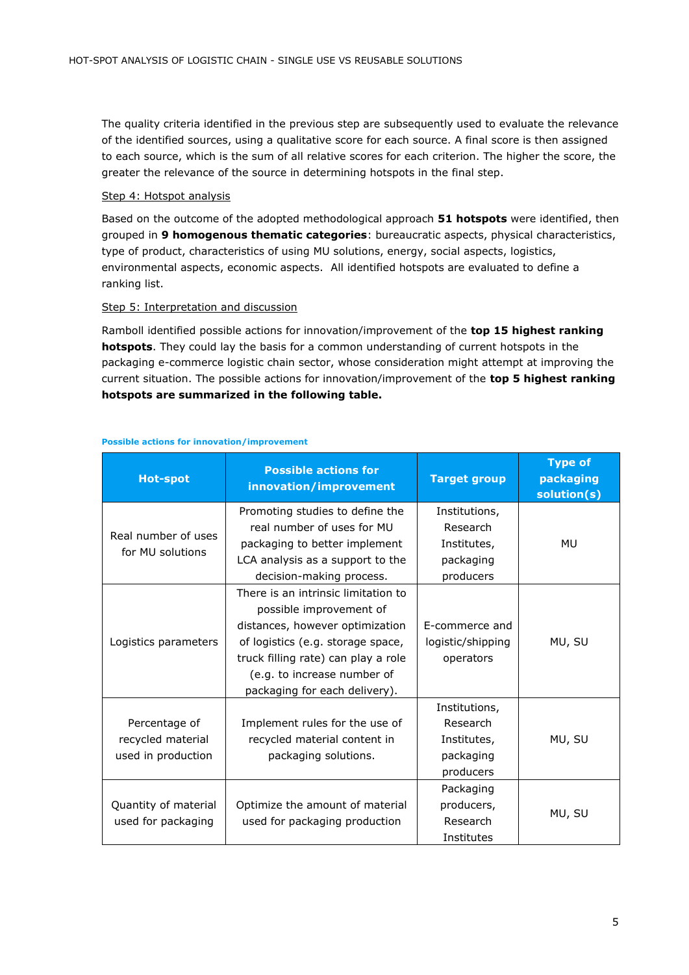The quality criteria identified in the previous step are subsequently used to evaluate the relevance of the identified sources, using a qualitative score for each source. A final score is then assigned to each source, which is the sum of all relative scores for each criterion. The higher the score, the greater the relevance of the source in determining hotspots in the final step.

#### Step 4: Hotspot analysis

Based on the outcome of the adopted methodological approach **51 hotspots** were identified, then grouped in **9 homogenous thematic categories**: bureaucratic aspects, physical characteristics, type of product, characteristics of using MU solutions, energy, social aspects, logistics, environmental aspects, economic aspects. All identified hotspots are evaluated to define a ranking list.

#### Step 5: Interpretation and discussion

Ramboll identified possible actions for innovation/improvement of the **top 15 highest ranking hotspots**. They could lay the basis for a common understanding of current hotspots in the packaging e-commerce logistic chain sector, whose consideration might attempt at improving the current situation. The possible actions for innovation/improvement of the **top 5 highest ranking hotspots are summarized in the following table.**

| <b>Hot-spot</b>      | <b>Possible actions for</b><br>innovation/improvement | <b>Target group</b> | <b>Type of</b><br>packaging<br>solution(s) |
|----------------------|-------------------------------------------------------|---------------------|--------------------------------------------|
|                      | Promoting studies to define the                       | Institutions,       |                                            |
| Real number of uses  | real number of uses for MU                            | Research            |                                            |
| for MU solutions     | packaging to better implement                         | Institutes,         | MU                                         |
|                      | LCA analysis as a support to the                      | packaging           |                                            |
|                      | decision-making process.                              | producers           |                                            |
|                      | There is an intrinsic limitation to                   |                     |                                            |
|                      | possible improvement of                               |                     |                                            |
|                      | distances, however optimization                       | E-commerce and      |                                            |
| Logistics parameters | of logistics (e.g. storage space,                     | logistic/shipping   | MU, SU                                     |
|                      | truck filling rate) can play a role                   | operators           |                                            |
|                      | (e.g. to increase number of                           |                     |                                            |
|                      | packaging for each delivery).                         |                     |                                            |
|                      |                                                       | Institutions,       |                                            |
| Percentage of        | Implement rules for the use of                        | Research            |                                            |
| recycled material    | recycled material content in                          | Institutes,         | MU, SU                                     |
| used in production   | packaging solutions.                                  | packaging           |                                            |
|                      |                                                       | producers           |                                            |
|                      |                                                       | Packaging           |                                            |
| Quantity of material | Optimize the amount of material                       | producers,          | MU, SU                                     |
| used for packaging   | used for packaging production                         | Research            |                                            |
|                      |                                                       | Institutes          |                                            |

#### **Possible actions for innovation/improvement**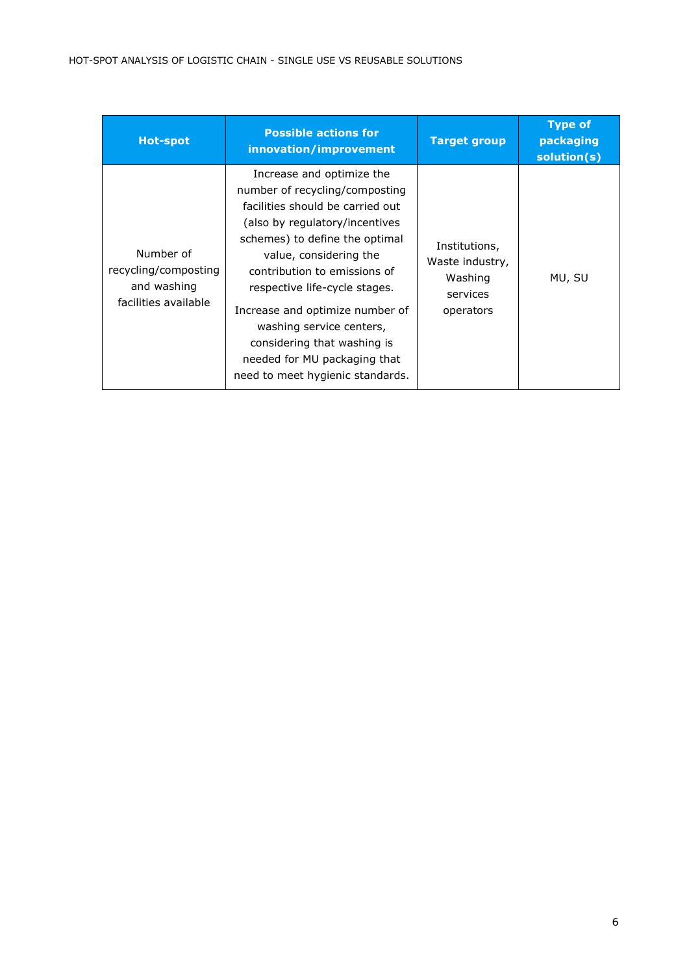| <b>Hot-spot</b>                                                          | <b>Possible actions for</b><br>innovation/improvement                                                                                                                                                                                                                                                                                                                                                                            | <b>Target group</b>                                                  | <b>Type of</b><br>packaging<br>solution(s) |
|--------------------------------------------------------------------------|----------------------------------------------------------------------------------------------------------------------------------------------------------------------------------------------------------------------------------------------------------------------------------------------------------------------------------------------------------------------------------------------------------------------------------|----------------------------------------------------------------------|--------------------------------------------|
| Number of<br>recycling/composting<br>and washing<br>facilities available | Increase and optimize the<br>number of recycling/composting<br>facilities should be carried out<br>(also by regulatory/incentives<br>schemes) to define the optimal<br>value, considering the<br>contribution to emissions of<br>respective life-cycle stages.<br>Increase and optimize number of<br>washing service centers,<br>considering that washing is<br>needed for MU packaging that<br>need to meet hygienic standards. | Institutions,<br>Waste industry,<br>Washing<br>services<br>operators | MU, SU                                     |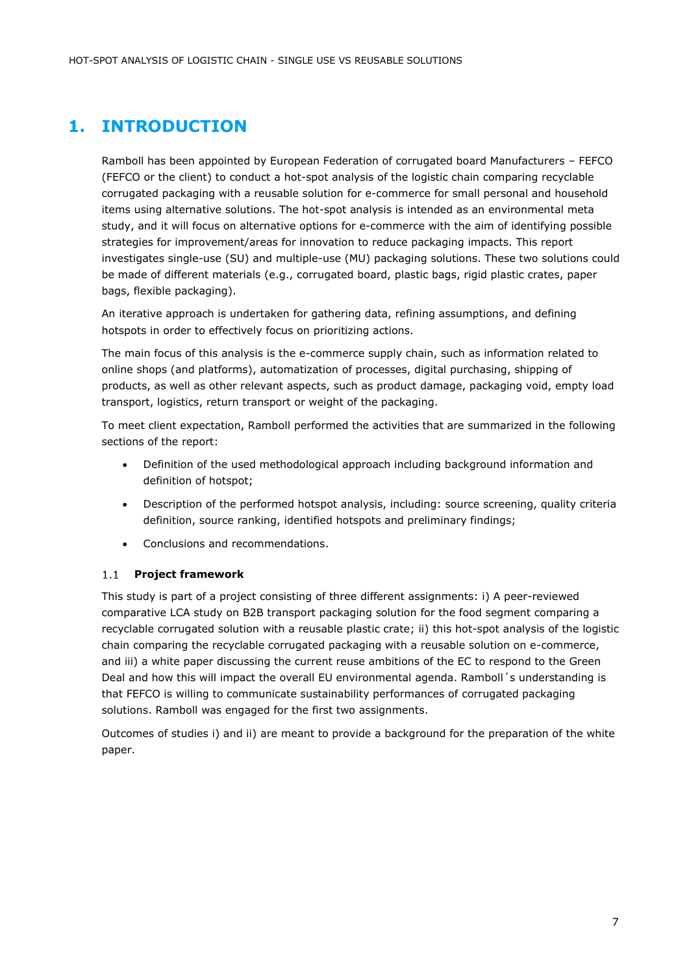# <span id="page-7-0"></span>**1. INTRODUCTION**

Ramboll has been appointed by European Federation of corrugated board Manufacturers – FEFCO (FEFCO or the client) to conduct a hot-spot analysis of the logistic chain comparing recyclable corrugated packaging with a reusable solution for e-commerce for small personal and household items using alternative solutions. The hot-spot analysis is intended as an environmental meta study, and it will focus on alternative options for e-commerce with the aim of identifying possible strategies for improvement/areas for innovation to reduce packaging impacts. This report investigates single-use (SU) and multiple-use (MU) packaging solutions. These two solutions could be made of different materials (e.g., corrugated board, plastic bags, rigid plastic crates, paper bags, flexible packaging).

An iterative approach is undertaken for gathering data, refining assumptions, and defining hotspots in order to effectively focus on prioritizing actions.

The main focus of this analysis is the e-commerce supply chain, such as information related to online shops (and platforms), automatization of processes, digital purchasing, shipping of products, as well as other relevant aspects, such as product damage, packaging void, empty load transport, logistics, return transport or weight of the packaging.

To meet client expectation, Ramboll performed the activities that are summarized in the following sections of the report:

- Definition of the used methodological approach including background information and definition of hotspot;
- Description of the performed hotspot analysis, including: source screening, quality criteria definition, source ranking, identified hotspots and preliminary findings;
- Conclusions and recommendations.

#### <span id="page-7-1"></span>**Project framework**

This study is part of a project consisting of three different assignments: i) A peer-reviewed comparative LCA study on B2B transport packaging solution for the food segment comparing a recyclable corrugated solution with a reusable plastic crate; ii) this hot-spot analysis of the logistic chain comparing the recyclable corrugated packaging with a reusable solution on e-commerce, and iii) a white paper discussing the current reuse ambitions of the EC to respond to the Green Deal and how this will impact the overall EU environmental agenda. Ramboll's understanding is that FEFCO is willing to communicate sustainability performances of corrugated packaging solutions. Ramboll was engaged for the first two assignments.

Outcomes of studies i) and ii) are meant to provide a background for the preparation of the white paper.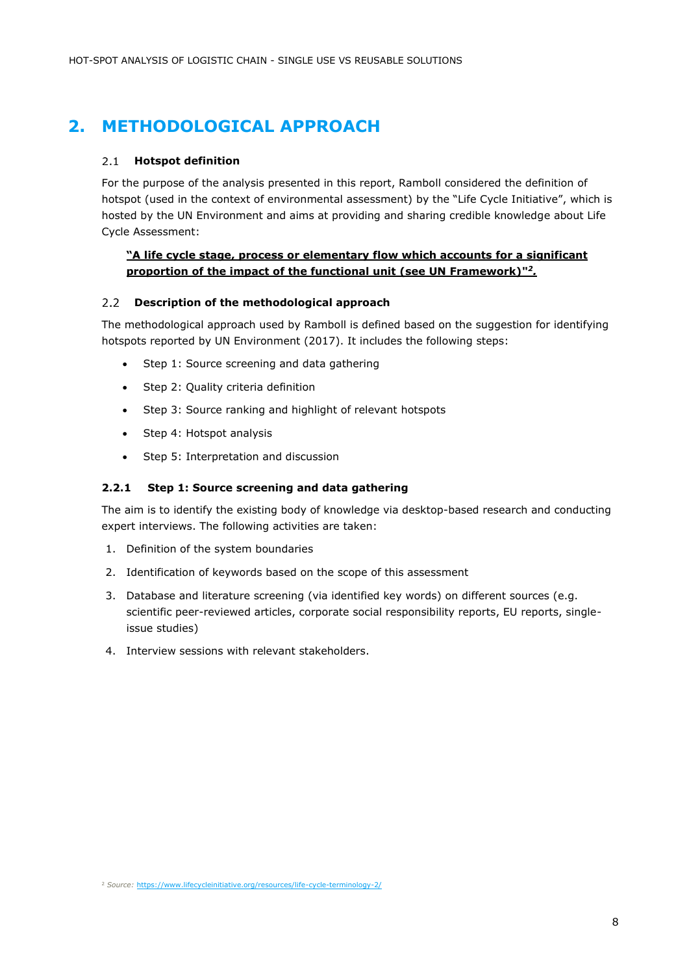# <span id="page-8-0"></span>**2. METHODOLOGICAL APPROACH**

#### <span id="page-8-1"></span> $2.1$ **Hotspot definition**

For the purpose of the analysis presented in this report, Ramboll considered the definition of hotspot (used in the context of environmental assessment) by the "Life Cycle Initiative", which is hosted by the UN Environment and aims at providing and sharing credible knowledge about Life Cycle Assessment:

#### **"A life cycle stage, process or elementary flow which accounts for a significant proportion of the impact of the functional unit (see UN Framework)"** *2.*

#### <span id="page-8-2"></span> $2.2^{\circ}$ **Description of the methodological approach**

The methodological approach used by Ramboll is defined based on the suggestion for identifying hotspots reported by UN Environment (2017). It includes the following steps:

- Step 1: Source screening and data gathering
- Step 2: Quality criteria definition
- Step 3: Source ranking and highlight of relevant hotspots
- Step 4: Hotspot analysis
- Step 5: Interpretation and discussion

#### <span id="page-8-3"></span>**2.2.1 Step 1: Source screening and data gathering**

The aim is to identify the existing body of knowledge via desktop-based research and conducting expert interviews. The following activities are taken:

- 1. Definition of the system boundaries
- 2. Identification of keywords based on the scope of this assessment
- 3. Database and literature screening (via identified key words) on different sources (e.g. scientific peer-reviewed articles, corporate social responsibility reports, EU reports, singleissue studies)
- 4. Interview sessions with relevant stakeholders.

<sup>&</sup>lt;sup>2</sup> Source: <https://www.lifecycleinitiative.org/resources/life-cycle-terminology-2/>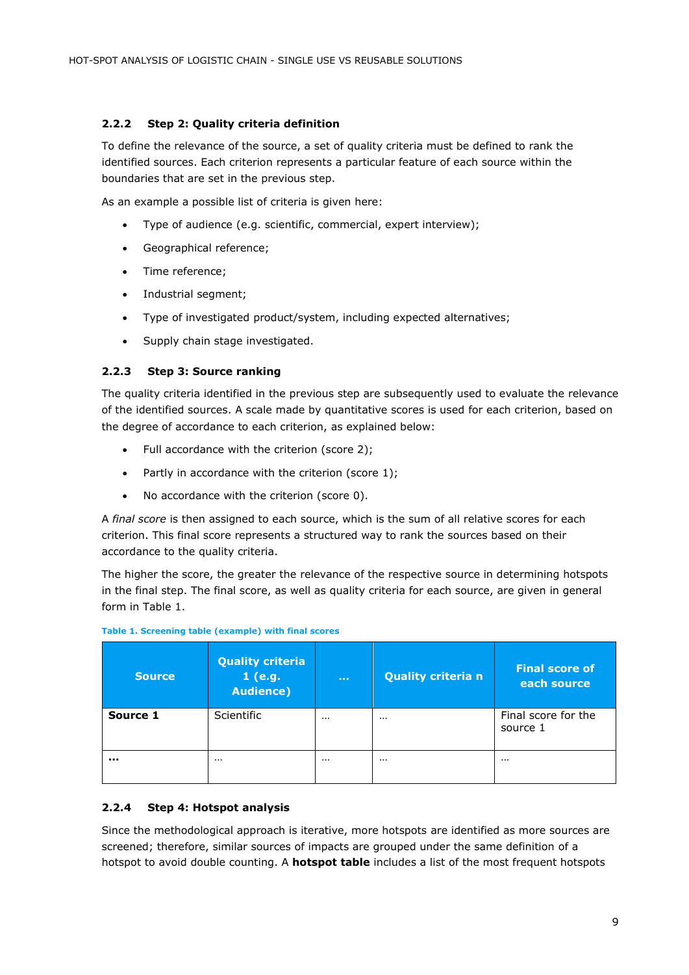#### <span id="page-9-0"></span>**2.2.2 Step 2: Quality criteria definition**

To define the relevance of the source, a set of quality criteria must be defined to rank the identified sources. Each criterion represents a particular feature of each source within the boundaries that are set in the previous step.

As an example a possible list of criteria is given here:

- Type of audience (e.g. scientific, commercial, expert interview);
- Geographical reference;
- Time reference;
- Industrial segment;
- Type of investigated product/system, including expected alternatives;
- Supply chain stage investigated.

#### <span id="page-9-1"></span>**2.2.3 Step 3: Source ranking**

The quality criteria identified in the previous step are subsequently used to evaluate the relevance of the identified sources. A scale made by quantitative scores is used for each criterion, based on the degree of accordance to each criterion, as explained below:

- Full accordance with the criterion (score 2);
- Partly in accordance with the criterion (score 1);
- No accordance with the criterion (score 0).

A *final score* is then assigned to each source, which is the sum of all relative scores for each criterion. This final score represents a structured way to rank the sources based on their accordance to the quality criteria.

The higher the score, the greater the relevance of the respective source in determining hotspots in the final step. The final score, as well as quality criteria for each source, are given in general form in [Table 1.](#page-9-3)

| <b>Source</b> | <b>Quality criteria</b><br>1 (e.g.<br><b>Audience)</b> | <b>ALCOHOL</b> | <b>Quality criteria n</b> | <b>Final score of</b><br>each source |
|---------------|--------------------------------------------------------|----------------|---------------------------|--------------------------------------|
| Source 1      | Scientific                                             | $\cdots$       | $\cdots$                  | Final score for the<br>source 1      |
|               | $\cdots$                                               | $\cdots$       | $\cdots$                  | $\cdots$                             |

<span id="page-9-3"></span>**Table 1. Screening table (example) with final scores**

#### <span id="page-9-2"></span>**2.2.4 Step 4: Hotspot analysis**

Since the methodological approach is iterative, more hotspots are identified as more sources are screened; therefore, similar sources of impacts are grouped under the same definition of a hotspot to avoid double counting. A **hotspot table** includes a list of the most frequent hotspots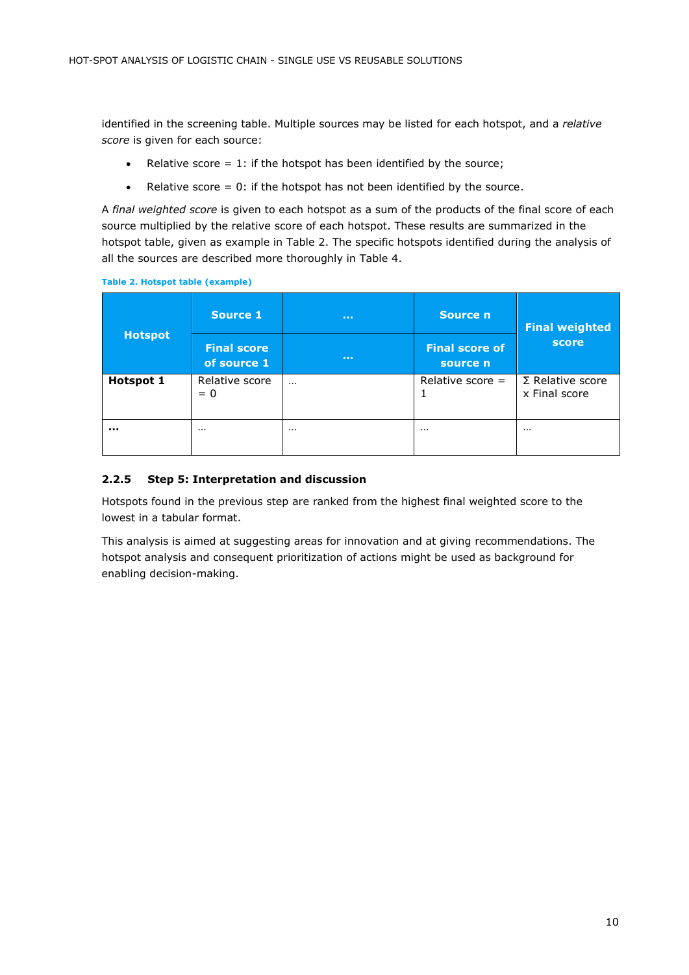identified in the screening table. Multiple sources may be listed for each hotspot, and a *relative score* is given for each source:

- Relative score  $= 1$ : if the hotspot has been identified by the source;
- Relative score  $= 0$ : if the hotspot has not been identified by the source.

A *final weighted score* is given to each hotspot as a sum of the products of the final score of each source multiplied by the relative score of each hotspot. These results are summarized in the hotspot table, given as example in [Table 2.](#page-10-1) The specific hotspots identified during the analysis of all the sources are described more thoroughly in [Table 4.](#page-20-2)

| <b>Hotspot</b>   | <b>Source 1</b>                   | <b>ALC 15</b> | Source n                          | <b>Final weighted</b><br>score    |
|------------------|-----------------------------------|---------------|-----------------------------------|-----------------------------------|
|                  | <b>Final score</b><br>of source 1 | <b>ALC 15</b> | <b>Final score of</b><br>source n |                                   |
| <b>Hotspot 1</b> | Relative score<br>$= 0$           | $\cdots$      | Relative score $=$<br>1           | Σ Relative score<br>x Final score |
|                  | $\cdots$                          | $\cdots$      | $\cdots$                          | $\cdots$                          |

#### <span id="page-10-1"></span>**Table 2. Hotspot table (example)**

#### <span id="page-10-0"></span>**2.2.5 Step 5: Interpretation and discussion**

Hotspots found in the previous step are ranked from the highest final weighted score to the lowest in a tabular format.

This analysis is aimed at suggesting areas for innovation and at giving recommendations. The hotspot analysis and consequent prioritization of actions might be used as background for enabling decision-making.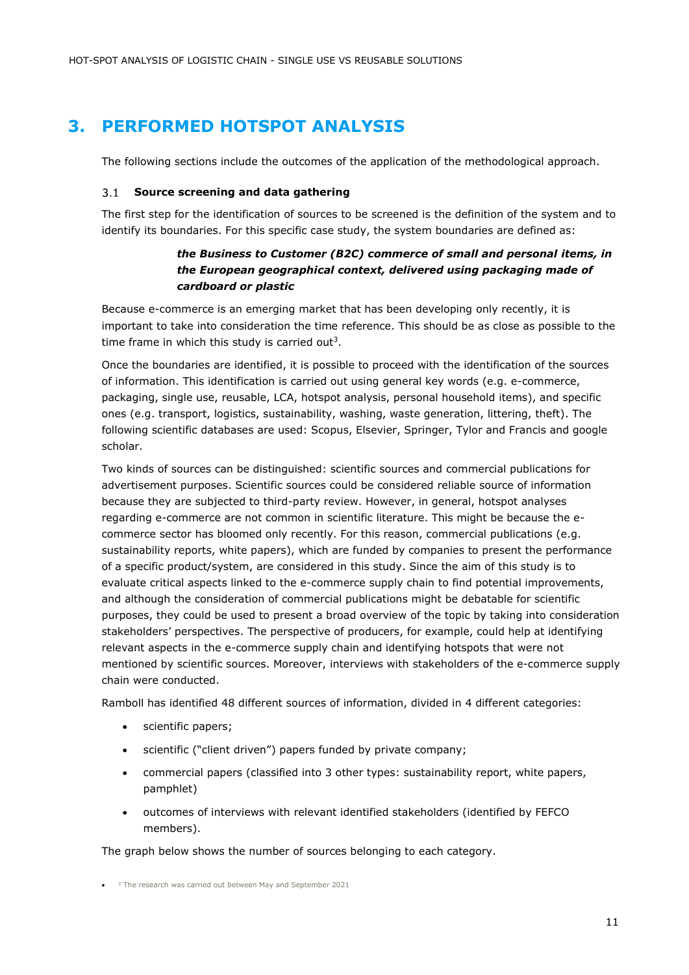# <span id="page-11-0"></span>**3. PERFORMED HOTSPOT ANALYSIS**

The following sections include the outcomes of the application of the methodological approach.

#### <span id="page-11-1"></span> $3.1$ **Source screening and data gathering**

The first step for the identification of sources to be screened is the definition of the system and to identify its boundaries. For this specific case study, the system boundaries are defined as:

### *the Business to Customer (B2C) commerce of small and personal items, in the European geographical context, delivered using packaging made of cardboard or plastic*

Because e-commerce is an emerging market that has been developing only recently, it is important to take into consideration the time reference. This should be as close as possible to the time frame in which this study is carried out<sup>3</sup>.

Once the boundaries are identified, it is possible to proceed with the identification of the sources of information. This identification is carried out using general key words (e.g. e-commerce, packaging, single use, reusable, LCA, hotspot analysis, personal household items), and specific ones (e.g. transport, logistics, sustainability, washing, waste generation, littering, theft). The following scientific databases are used: Scopus, Elsevier, Springer, Tylor and Francis and google scholar.

Two kinds of sources can be distinguished: scientific sources and commercial publications for advertisement purposes. Scientific sources could be considered reliable source of information because they are subjected to third-party review. However, in general, hotspot analyses regarding e-commerce are not common in scientific literature. This might be because the ecommerce sector has bloomed only recently. For this reason, commercial publications (e.g. sustainability reports, white papers), which are funded by companies to present the performance of a specific product/system, are considered in this study. Since the aim of this study is to evaluate critical aspects linked to the e-commerce supply chain to find potential improvements, and although the consideration of commercial publications might be debatable for scientific purposes, they could be used to present a broad overview of the topic by taking into consideration stakeholders' perspectives. The perspective of producers, for example, could help at identifying relevant aspects in the e-commerce supply chain and identifying hotspots that were not mentioned by scientific sources. Moreover, interviews with stakeholders of the e-commerce supply chain were conducted.

Ramboll has identified 48 different sources of information, divided in 4 different categories:

- scientific papers;
- scientific ("client driven") papers funded by private company;
- commercial papers (classified into 3 other types: sustainability report, white papers, pamphlet)
- outcomes of interviews with relevant identified stakeholders (identified by FEFCO members).

The graph below shows the number of sources belonging to each category.

<sup>• &</sup>lt;sup>3</sup> The research was carried out between May and September 2021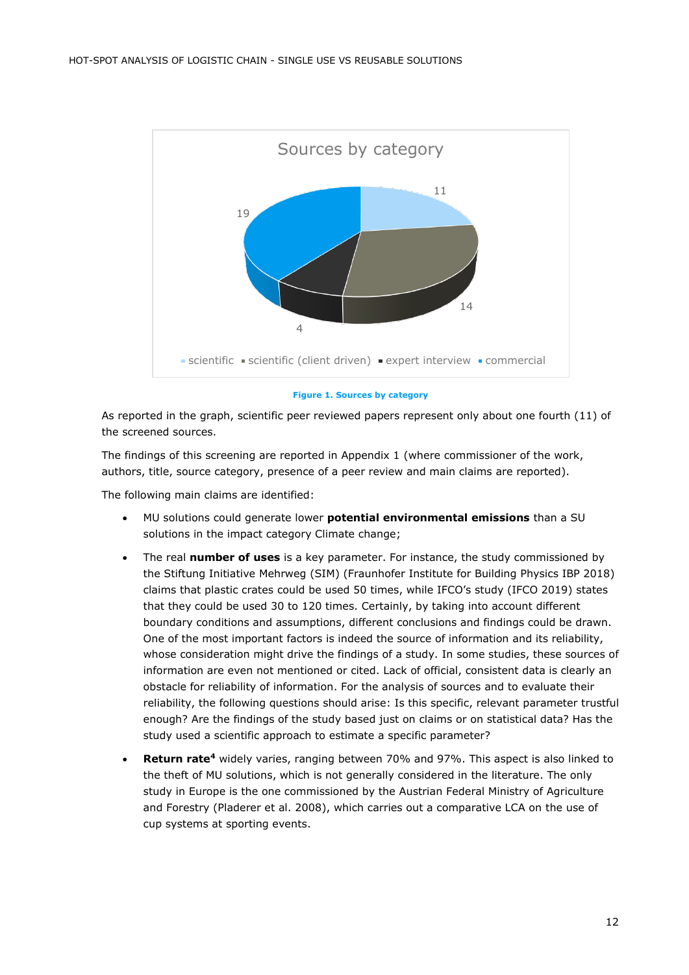

**Figure 1. Sources by category**

<span id="page-12-0"></span>As reported in the graph, scientific peer reviewed papers represent only about one fourth (11) of the screened sources.

The findings of this screening are reported in Appendix 1 (where commissioner of the work, authors, title, source category, presence of a peer review and main claims are reported).

The following main claims are identified:

- MU solutions could generate lower **potential environmental emissions** than a SU solutions in the impact category Climate change;
- The real **number of uses** is a key parameter. For instance, the study commissioned by the Stiftung Initiative Mehrweg (SIM) (Fraunhofer Institute for Building Physics IBP 2018) claims that plastic crates could be used 50 times, while IFCO's study (IFCO 2019) states that they could be used 30 to 120 times. Certainly, by taking into account different boundary conditions and assumptions, different conclusions and findings could be drawn. One of the most important factors is indeed the source of information and its reliability, whose consideration might drive the findings of a study. In some studies, these sources of information are even not mentioned or cited. Lack of official, consistent data is clearly an obstacle for reliability of information. For the analysis of sources and to evaluate their reliability, the following questions should arise: Is this specific, relevant parameter trustful enough? Are the findings of the study based just on claims or on statistical data? Has the study used a scientific approach to estimate a specific parameter?
- **Return rate<sup>4</sup>** widely varies, ranging between 70% and 97%. This aspect is also linked to the theft of MU solutions, which is not generally considered in the literature. The only study in Europe is the one commissioned by the Austrian Federal Ministry of Agriculture and Forestry (Pladerer et al. 2008), which carries out a comparative LCA on the use of cup systems at sporting events.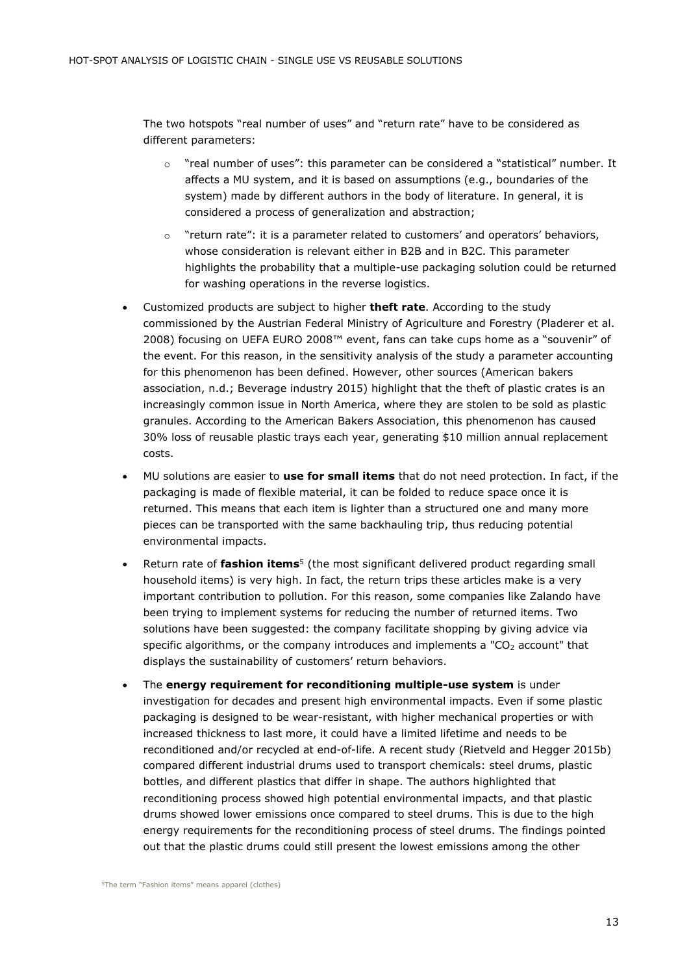The two hotspots "real number of uses" and "return rate" have to be considered as different parameters:

- $\circ$  "real number of uses": this parameter can be considered a "statistical" number. It affects a MU system, and it is based on assumptions (e.g., boundaries of the system) made by different authors in the body of literature. In general, it is considered a process of generalization and abstraction;
- o "return rate": it is a parameter related to customers' and operators' behaviors, whose consideration is relevant either in B2B and in B2C. This parameter highlights the probability that a multiple-use packaging solution could be returned for washing operations in the reverse logistics.
- Customized products are subject to higher **theft rate**. According to the study commissioned by the Austrian Federal Ministry of Agriculture and Forestry (Pladerer et al. 2008) focusing on UEFA EURO 2008™ event, fans can take cups home as a "souvenir" of the event. For this reason, in the sensitivity analysis of the study a parameter accounting for this phenomenon has been defined. However, other sources (American bakers association, n.d.; Beverage industry 2015) highlight that the theft of plastic crates is an increasingly common issue in North America, where they are stolen to be sold as plastic granules. According to the American Bakers Association, this phenomenon has caused 30% loss of reusable plastic trays each year, generating \$10 million annual replacement costs.
- MU solutions are easier to **use for small items** that do not need protection. In fact, if the packaging is made of flexible material, it can be folded to reduce space once it is returned. This means that each item is lighter than a structured one and many more pieces can be transported with the same backhauling trip, thus reducing potential environmental impacts.
- Return rate of **fashion items**<sup>5</sup> (the most significant delivered product regarding small household items) is very high. In fact, the return trips these articles make is a very important contribution to pollution. For this reason, some companies like Zalando have been trying to implement systems for reducing the number of returned items. Two solutions have been suggested: the company facilitate shopping by giving advice via specific algorithms, or the company introduces and implements a "CO<sub>2</sub> account" that displays the sustainability of customers' return behaviors.
- The **energy requirement for reconditioning multiple-use system** is under investigation for decades and present high environmental impacts. Even if some plastic packaging is designed to be wear-resistant, with higher mechanical properties or with increased thickness to last more, it could have a limited lifetime and needs to be reconditioned and/or recycled at end-of-life. A recent study (Rietveld and Hegger 2015b) compared different industrial drums used to transport chemicals: steel drums, plastic bottles, and different plastics that differ in shape. The authors highlighted that reconditioning process showed high potential environmental impacts, and that plastic drums showed lower emissions once compared to steel drums. This is due to the high energy requirements for the reconditioning process of steel drums. The findings pointed out that the plastic drums could still present the lowest emissions among the other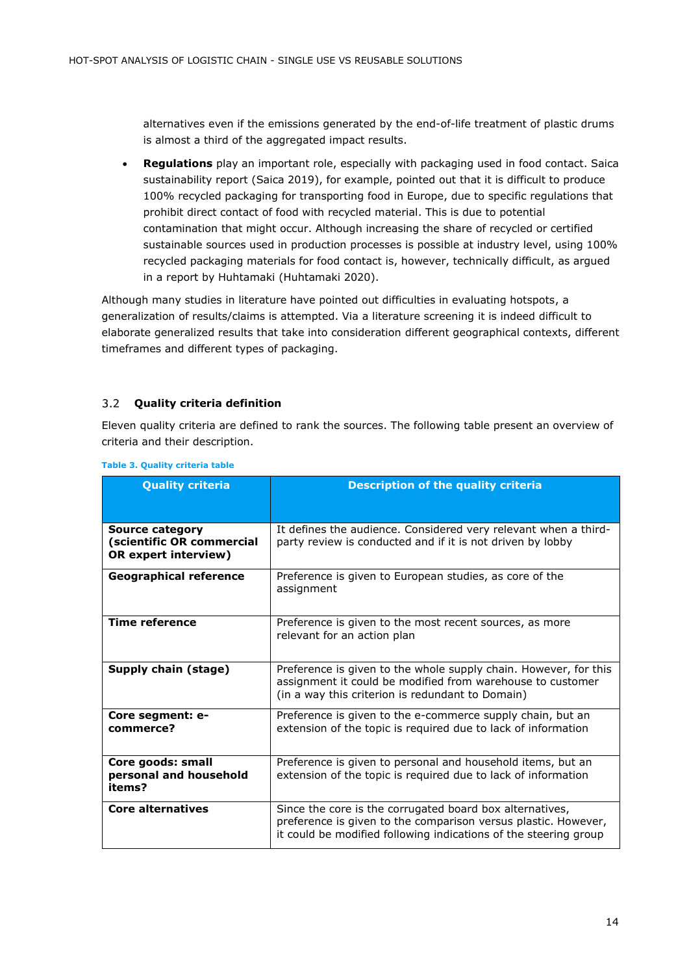alternatives even if the emissions generated by the end-of-life treatment of plastic drums is almost a third of the aggregated impact results.

• **Regulations** play an important role, especially with packaging used in food contact. Saica sustainability report (Saica 2019), for example, pointed out that it is difficult to produce 100% recycled packaging for transporting food in Europe, due to specific regulations that prohibit direct contact of food with recycled material. This is due to potential contamination that might occur. Although increasing the share of recycled or certified sustainable sources used in production processes is possible at industry level, using 100% recycled packaging materials for food contact is, however, technically difficult, as argued in a report by Huhtamaki (Huhtamaki 2020).

Although many studies in literature have pointed out difficulties in evaluating hotspots, a generalization of results/claims is attempted. Via a literature screening it is indeed difficult to elaborate generalized results that take into consideration different geographical contexts, different timeframes and different types of packaging.

#### <span id="page-14-0"></span> $3.2$ **Quality criteria definition**

Eleven quality criteria are defined to rank the sources. The following table present an overview of criteria and their description.

| <b>Quality criteria</b>                                              | <b>Description of the quality criteria</b>                                                                                                                                                     |
|----------------------------------------------------------------------|------------------------------------------------------------------------------------------------------------------------------------------------------------------------------------------------|
| Source category<br>(scientific OR commercial<br>OR expert interview) | It defines the audience. Considered very relevant when a third-<br>party review is conducted and if it is not driven by lobby                                                                  |
| <b>Geographical reference</b>                                        | Preference is given to European studies, as core of the<br>assignment                                                                                                                          |
| <b>Time reference</b>                                                | Preference is given to the most recent sources, as more<br>relevant for an action plan                                                                                                         |
| Supply chain (stage)                                                 | Preference is given to the whole supply chain. However, for this<br>assignment it could be modified from warehouse to customer<br>(in a way this criterion is redundant to Domain)             |
| Core segment: e-<br>commerce?                                        | Preference is given to the e-commerce supply chain, but an<br>extension of the topic is required due to lack of information                                                                    |
| Core goods: small<br>personal and household<br>items?                | Preference is given to personal and household items, but an<br>extension of the topic is required due to lack of information                                                                   |
| <b>Core alternatives</b>                                             | Since the core is the corrugated board box alternatives,<br>preference is given to the comparison versus plastic. However,<br>it could be modified following indications of the steering group |

<span id="page-14-1"></span>**Table 3. Quality criteria table**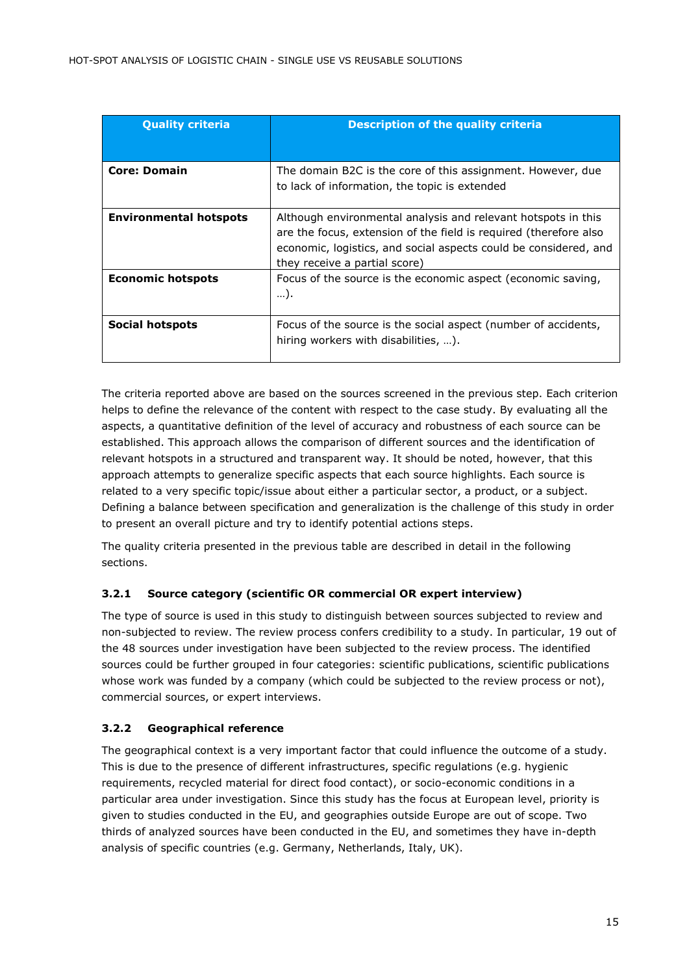| <b>Quality criteria</b>       | <b>Description of the quality criteria</b>                                                                                                                                                                                              |
|-------------------------------|-----------------------------------------------------------------------------------------------------------------------------------------------------------------------------------------------------------------------------------------|
| <b>Core: Domain</b>           | The domain B2C is the core of this assignment. However, due<br>to lack of information, the topic is extended                                                                                                                            |
| <b>Environmental hotspots</b> | Although environmental analysis and relevant hotspots in this<br>are the focus, extension of the field is required (therefore also<br>economic, logistics, and social aspects could be considered, and<br>they receive a partial score) |
| <b>Economic hotspots</b>      | Focus of the source is the economic aspect (economic saving,<br>).                                                                                                                                                                      |
| Social hotspots               | Focus of the source is the social aspect (number of accidents,<br>hiring workers with disabilities, ).                                                                                                                                  |

The criteria reported above are based on the sources screened in the previous step. Each criterion helps to define the relevance of the content with respect to the case study. By evaluating all the aspects, a quantitative definition of the level of accuracy and robustness of each source can be established. This approach allows the comparison of different sources and the identification of relevant hotspots in a structured and transparent way. It should be noted, however, that this approach attempts to generalize specific aspects that each source highlights. Each source is related to a very specific topic/issue about either a particular sector, a product, or a subject. Defining a balance between specification and generalization is the challenge of this study in order to present an overall picture and try to identify potential actions steps.

The quality criteria presented in the previous table are described in detail in the following sections.

#### <span id="page-15-0"></span>**3.2.1 Source category (scientific OR commercial OR expert interview)**

The type of source is used in this study to distinguish between sources subjected to review and non-subjected to review. The review process confers credibility to a study. In particular, 19 out of the 48 sources under investigation have been subjected to the review process. The identified sources could be further grouped in four categories: scientific publications, scientific publications whose work was funded by a company (which could be subjected to the review process or not), commercial sources, or expert interviews.

### <span id="page-15-1"></span>**3.2.2 Geographical reference**

The geographical context is a very important factor that could influence the outcome of a study. This is due to the presence of different infrastructures, specific regulations (e.g. hygienic requirements, recycled material for direct food contact), or socio-economic conditions in a particular area under investigation. Since this study has the focus at European level, priority is given to studies conducted in the EU, and geographies outside Europe are out of scope. Two thirds of analyzed sources have been conducted in the EU, and sometimes they have in-depth analysis of specific countries (e.g. Germany, Netherlands, Italy, UK).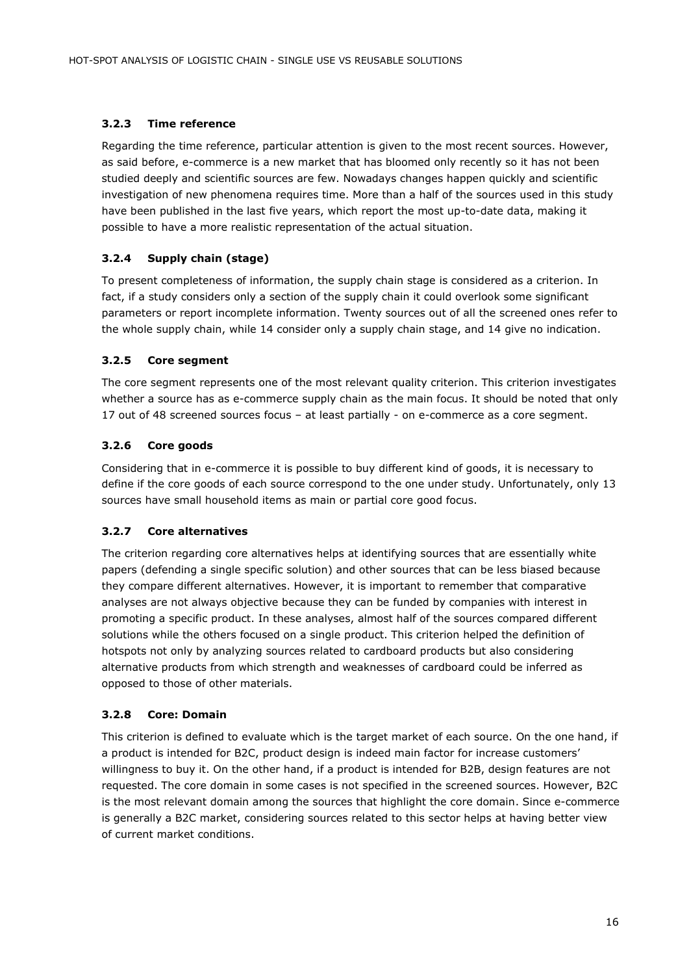#### <span id="page-16-0"></span>**3.2.3 Time reference**

Regarding the time reference, particular attention is given to the most recent sources. However, as said before, e-commerce is a new market that has bloomed only recently so it has not been studied deeply and scientific sources are few. Nowadays changes happen quickly and scientific investigation of new phenomena requires time. More than a half of the sources used in this study have been published in the last five years, which report the most up-to-date data, making it possible to have a more realistic representation of the actual situation.

### <span id="page-16-1"></span>**3.2.4 Supply chain (stage)**

To present completeness of information, the supply chain stage is considered as a criterion. In fact, if a study considers only a section of the supply chain it could overlook some significant parameters or report incomplete information. Twenty sources out of all the screened ones refer to the whole supply chain, while 14 consider only a supply chain stage, and 14 give no indication.

### <span id="page-16-2"></span>**3.2.5 Core segment**

The core segment represents one of the most relevant quality criterion. This criterion investigates whether a source has as e-commerce supply chain as the main focus. It should be noted that only 17 out of 48 screened sources focus – at least partially - on e-commerce as a core segment.

### <span id="page-16-3"></span>**3.2.6 Core goods**

Considering that in e-commerce it is possible to buy different kind of goods, it is necessary to define if the core goods of each source correspond to the one under study. Unfortunately, only 13 sources have small household items as main or partial core good focus.

### <span id="page-16-4"></span>**3.2.7 Core alternatives**

The criterion regarding core alternatives helps at identifying sources that are essentially white papers (defending a single specific solution) and other sources that can be less biased because they compare different alternatives. However, it is important to remember that comparative analyses are not always objective because they can be funded by companies with interest in promoting a specific product. In these analyses, almost half of the sources compared different solutions while the others focused on a single product. This criterion helped the definition of hotspots not only by analyzing sources related to cardboard products but also considering alternative products from which strength and weaknesses of cardboard could be inferred as opposed to those of other materials.

### <span id="page-16-5"></span>**3.2.8 Core: Domain**

This criterion is defined to evaluate which is the target market of each source. On the one hand, if a product is intended for B2C, product design is indeed main factor for increase customers' willingness to buy it. On the other hand, if a product is intended for B2B, design features are not requested. The core domain in some cases is not specified in the screened sources. However, B2C is the most relevant domain among the sources that highlight the core domain. Since e-commerce is generally a B2C market, considering sources related to this sector helps at having better view of current market conditions.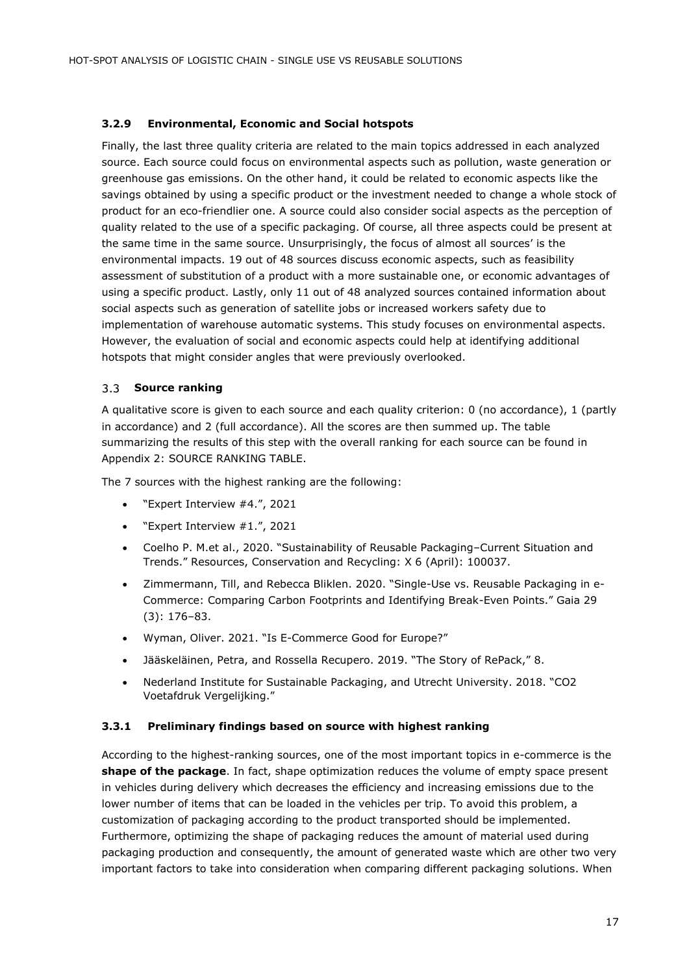#### <span id="page-17-0"></span>**3.2.9 Environmental, Economic and Social hotspots**

Finally, the last three quality criteria are related to the main topics addressed in each analyzed source. Each source could focus on environmental aspects such as pollution, waste generation or greenhouse gas emissions. On the other hand, it could be related to economic aspects like the savings obtained by using a specific product or the investment needed to change a whole stock of product for an eco-friendlier one. A source could also consider social aspects as the perception of quality related to the use of a specific packaging. Of course, all three aspects could be present at the same time in the same source. Unsurprisingly, the focus of almost all sources' is the environmental impacts. 19 out of 48 sources discuss economic aspects, such as feasibility assessment of substitution of a product with a more sustainable one, or economic advantages of using a specific product. Lastly, only 11 out of 48 analyzed sources contained information about social aspects such as generation of satellite jobs or increased workers safety due to implementation of warehouse automatic systems. This study focuses on environmental aspects. However, the evaluation of social and economic aspects could help at identifying additional hotspots that might consider angles that were previously overlooked.

#### <span id="page-17-1"></span>**Source ranking**  $3.3$

A qualitative score is given to each source and each quality criterion: 0 (no accordance), 1 (partly in accordance) and 2 (full accordance). All the scores are then summed up. The table summarizing the results of this step with the overall ranking for each source can be found in Appendix [2:](#page-49-0) SOURCE RANKING TABLE.

The 7 sources with the highest ranking are the following:

- "Expert Interview #4.", 2021
- "Expert Interview #1.", 2021
- Coelho P. M.et al., 2020. "Sustainability of Reusable Packaging–Current Situation and Trends." Resources, Conservation and Recycling: X 6 (April): 100037.
- Zimmermann, Till, and Rebecca Bliklen. 2020. "Single-Use vs. Reusable Packaging in e-Commerce: Comparing Carbon Footprints and Identifying Break-Even Points." Gaia 29 (3): 176–83.
- Wyman, Oliver. 2021. "Is E-Commerce Good for Europe?"
- Jääskeläinen, Petra, and Rossella Recupero. 2019. "The Story of RePack," 8.
- Nederland Institute for Sustainable Packaging, and Utrecht University. 2018. "CO2 Voetafdruk Vergelijking."

#### <span id="page-17-2"></span>**3.3.1 Preliminary findings based on source with highest ranking**

According to the highest-ranking sources, one of the most important topics in e-commerce is the **shape of the package**. In fact, shape optimization reduces the volume of empty space present in vehicles during delivery which decreases the efficiency and increasing emissions due to the lower number of items that can be loaded in the vehicles per trip. To avoid this problem, a customization of packaging according to the product transported should be implemented. Furthermore, optimizing the shape of packaging reduces the amount of material used during packaging production and consequently, the amount of generated waste which are other two very important factors to take into consideration when comparing different packaging solutions. When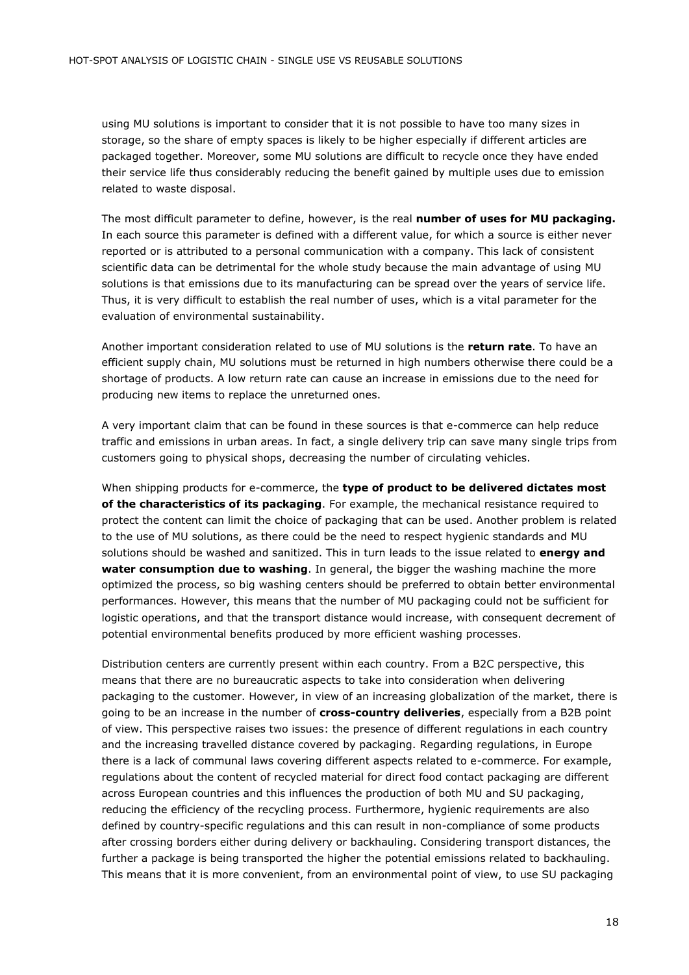using MU solutions is important to consider that it is not possible to have too many sizes in storage, so the share of empty spaces is likely to be higher especially if different articles are packaged together. Moreover, some MU solutions are difficult to recycle once they have ended their service life thus considerably reducing the benefit gained by multiple uses due to emission related to waste disposal.

The most difficult parameter to define, however, is the real **number of uses for MU packaging.** In each source this parameter is defined with a different value, for which a source is either never reported or is attributed to a personal communication with a company. This lack of consistent scientific data can be detrimental for the whole study because the main advantage of using MU solutions is that emissions due to its manufacturing can be spread over the years of service life. Thus, it is very difficult to establish the real number of uses, which is a vital parameter for the evaluation of environmental sustainability.

Another important consideration related to use of MU solutions is the **return rate**. To have an efficient supply chain, MU solutions must be returned in high numbers otherwise there could be a shortage of products. A low return rate can cause an increase in emissions due to the need for producing new items to replace the unreturned ones.

A very important claim that can be found in these sources is that e-commerce can help reduce traffic and emissions in urban areas. In fact, a single delivery trip can save many single trips from customers going to physical shops, decreasing the number of circulating vehicles.

When shipping products for e-commerce, the **type of product to be delivered dictates most of the characteristics of its packaging**. For example, the mechanical resistance required to protect the content can limit the choice of packaging that can be used. Another problem is related to the use of MU solutions, as there could be the need to respect hygienic standards and MU solutions should be washed and sanitized. This in turn leads to the issue related to **energy and water consumption due to washing**. In general, the bigger the washing machine the more optimized the process, so big washing centers should be preferred to obtain better environmental performances. However, this means that the number of MU packaging could not be sufficient for logistic operations, and that the transport distance would increase, with consequent decrement of potential environmental benefits produced by more efficient washing processes.

Distribution centers are currently present within each country. From a B2C perspective, this means that there are no bureaucratic aspects to take into consideration when delivering packaging to the customer. However, in view of an increasing globalization of the market, there is going to be an increase in the number of **cross-country deliveries**, especially from a B2B point of view. This perspective raises two issues: the presence of different regulations in each country and the increasing travelled distance covered by packaging. Regarding regulations, in Europe there is a lack of communal laws covering different aspects related to e-commerce. For example, regulations about the content of recycled material for direct food contact packaging are different across European countries and this influences the production of both MU and SU packaging, reducing the efficiency of the recycling process. Furthermore, hygienic requirements are also defined by country-specific regulations and this can result in non-compliance of some products after crossing borders either during delivery or backhauling. Considering transport distances, the further a package is being transported the higher the potential emissions related to backhauling. This means that it is more convenient, from an environmental point of view, to use SU packaging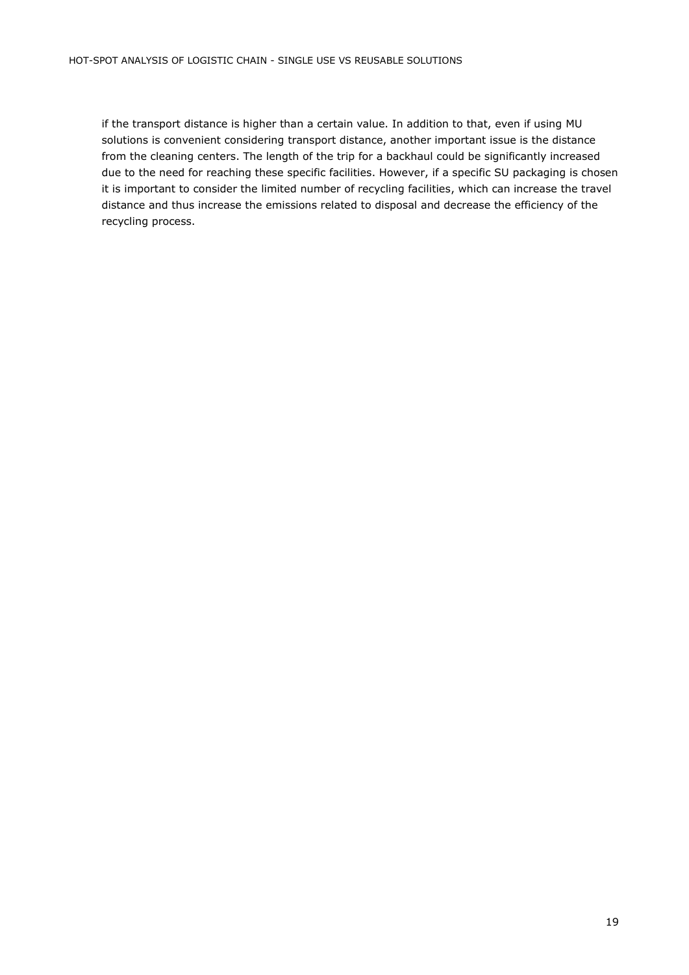if the transport distance is higher than a certain value. In addition to that, even if using MU solutions is convenient considering transport distance, another important issue is the distance from the cleaning centers. The length of the trip for a backhaul could be significantly increased due to the need for reaching these specific facilities. However, if a specific SU packaging is chosen it is important to consider the limited number of recycling facilities, which can increase the travel distance and thus increase the emissions related to disposal and decrease the efficiency of the recycling process.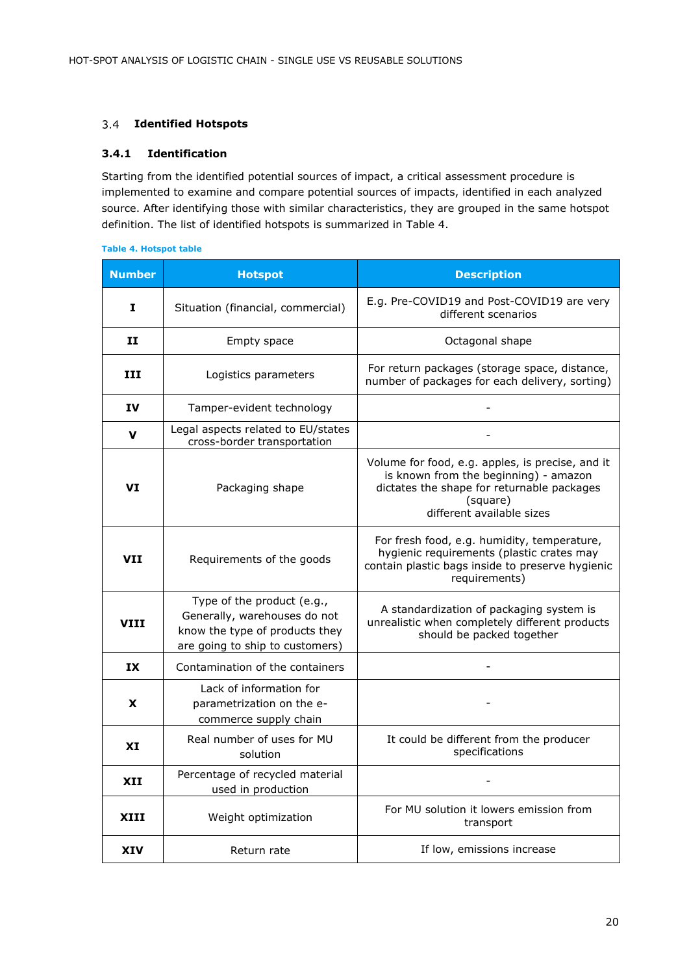#### <span id="page-20-1"></span><span id="page-20-0"></span>**Identified Hotspots**

#### **3.4.1 Identification**

Starting from the identified potential sources of impact, a critical assessment procedure is implemented to examine and compare potential sources of impacts, identified in each analyzed source. After identifying those with similar characteristics, they are grouped in the same hotspot definition. The list of identified hotspots is summarized in [Table 4.](#page-20-2)

| <b>Number</b> | <b>Hotspot</b>                                                                                                                  | <b>Description</b>                                                                                                                                                               |
|---------------|---------------------------------------------------------------------------------------------------------------------------------|----------------------------------------------------------------------------------------------------------------------------------------------------------------------------------|
| 1             | Situation (financial, commercial)                                                                                               | E.g. Pre-COVID19 and Post-COVID19 are very<br>different scenarios                                                                                                                |
| $\mathbf{I}$  | Empty space                                                                                                                     | Octagonal shape                                                                                                                                                                  |
| III           | Logistics parameters                                                                                                            | For return packages (storage space, distance,<br>number of packages for each delivery, sorting)                                                                                  |
| IV            | Tamper-evident technology                                                                                                       |                                                                                                                                                                                  |
| v             | Legal aspects related to EU/states<br>cross-border transportation                                                               |                                                                                                                                                                                  |
| VI            | Packaging shape                                                                                                                 | Volume for food, e.g. apples, is precise, and it<br>is known from the beginning) - amazon<br>dictates the shape for returnable packages<br>(square)<br>different available sizes |
| <b>VII</b>    | Requirements of the goods                                                                                                       | For fresh food, e.g. humidity, temperature,<br>hygienic requirements (plastic crates may<br>contain plastic bags inside to preserve hygienic<br>requirements)                    |
| <b>VIII</b>   | Type of the product (e.g.,<br>Generally, warehouses do not<br>know the type of products they<br>are going to ship to customers) | A standardization of packaging system is<br>unrealistic when completely different products<br>should be packed together                                                          |
| <b>IX</b>     | Contamination of the containers                                                                                                 |                                                                                                                                                                                  |
| X             | Lack of information for<br>parametrization on the e-<br>commerce supply chain                                                   |                                                                                                                                                                                  |
| XI            | Real number of uses for MU<br>solution                                                                                          | It could be different from the producer<br>specifications                                                                                                                        |
| XII           | Percentage of recycled material<br>used in production                                                                           |                                                                                                                                                                                  |
| <b>XIII</b>   | Weight optimization                                                                                                             | For MU solution it lowers emission from<br>transport                                                                                                                             |
| XIV           | Return rate                                                                                                                     | If low, emissions increase                                                                                                                                                       |

#### <span id="page-20-2"></span>**Table 4. Hotspot table**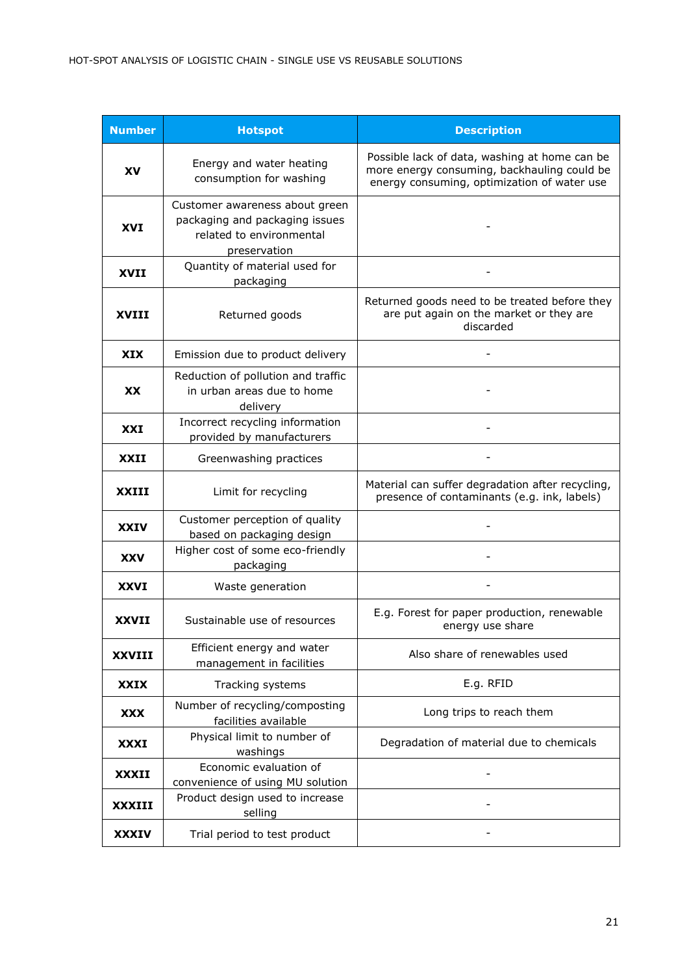| <b>Number</b> | <b>Hotspot</b>                                                                                               | <b>Description</b>                                                                                                                          |  |  |
|---------------|--------------------------------------------------------------------------------------------------------------|---------------------------------------------------------------------------------------------------------------------------------------------|--|--|
| XV            | Energy and water heating<br>consumption for washing                                                          | Possible lack of data, washing at home can be<br>more energy consuming, backhauling could be<br>energy consuming, optimization of water use |  |  |
| <b>XVI</b>    | Customer awareness about green<br>packaging and packaging issues<br>related to environmental<br>preservation |                                                                                                                                             |  |  |
| <b>XVII</b>   | Quantity of material used for<br>packaging                                                                   |                                                                                                                                             |  |  |
| <b>XVIII</b>  | Returned goods                                                                                               | Returned goods need to be treated before they<br>are put again on the market or they are<br>discarded                                       |  |  |
| <b>XIX</b>    | Emission due to product delivery                                                                             |                                                                                                                                             |  |  |
| <b>XX</b>     | Reduction of pollution and traffic<br>in urban areas due to home<br>delivery                                 |                                                                                                                                             |  |  |
| XXI           | Incorrect recycling information<br>provided by manufacturers                                                 |                                                                                                                                             |  |  |
| XXII          | Greenwashing practices                                                                                       |                                                                                                                                             |  |  |
| XXIII         | Limit for recycling                                                                                          | Material can suffer degradation after recycling,<br>presence of contaminants (e.g. ink, labels)                                             |  |  |
| <b>XXIV</b>   | Customer perception of quality<br>based on packaging design                                                  |                                                                                                                                             |  |  |
| <b>XXV</b>    | Higher cost of some eco-friendly<br>packaging                                                                |                                                                                                                                             |  |  |
| <b>XXVI</b>   | Waste generation                                                                                             |                                                                                                                                             |  |  |
| <b>XXVII</b>  | Sustainable use of resources                                                                                 | E.g. Forest for paper production, renewable<br>energy use share                                                                             |  |  |
| <b>XXVIII</b> | Efficient energy and water<br>management in facilities                                                       | Also share of renewables used                                                                                                               |  |  |
| <b>XXIX</b>   | Tracking systems                                                                                             | E.g. RFID                                                                                                                                   |  |  |
| <b>XXX</b>    | Number of recycling/composting<br>facilities available                                                       | Long trips to reach them                                                                                                                    |  |  |
| <b>XXXI</b>   | Physical limit to number of<br>washings                                                                      | Degradation of material due to chemicals                                                                                                    |  |  |
| <b>XXXII</b>  | Economic evaluation of<br>convenience of using MU solution                                                   |                                                                                                                                             |  |  |
| <b>XXXIII</b> | Product design used to increase<br>selling                                                                   |                                                                                                                                             |  |  |
| <b>XXXIV</b>  | Trial period to test product                                                                                 |                                                                                                                                             |  |  |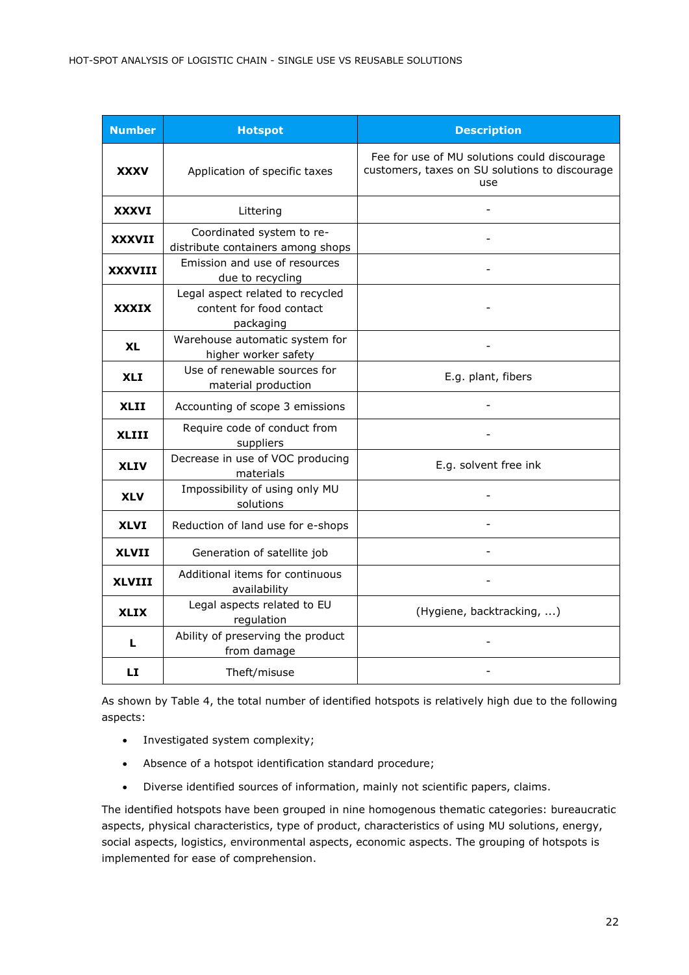| <b>Number</b>                                                     | <b>Hotspot</b>                                                            | <b>Description</b>                                                                                    |  |  |
|-------------------------------------------------------------------|---------------------------------------------------------------------------|-------------------------------------------------------------------------------------------------------|--|--|
| <b>XXXV</b>                                                       | Application of specific taxes                                             | Fee for use of MU solutions could discourage<br>customers, taxes on SU solutions to discourage<br>use |  |  |
| <b>XXXVI</b>                                                      | Littering                                                                 |                                                                                                       |  |  |
| <b>XXXVII</b>                                                     | Coordinated system to re-<br>distribute containers among shops            |                                                                                                       |  |  |
| <b>XXXVIII</b>                                                    | Emission and use of resources<br>due to recycling                         |                                                                                                       |  |  |
| <b>XXXIX</b>                                                      | Legal aspect related to recycled<br>content for food contact<br>packaging |                                                                                                       |  |  |
| <b>XL</b>                                                         | Warehouse automatic system for<br>higher worker safety                    |                                                                                                       |  |  |
| Use of renewable sources for<br><b>XLI</b><br>material production |                                                                           | E.g. plant, fibers                                                                                    |  |  |
| <b>XLII</b>                                                       | Accounting of scope 3 emissions                                           |                                                                                                       |  |  |
| <b>XLIII</b>                                                      | Require code of conduct from<br>suppliers                                 |                                                                                                       |  |  |
| <b>XLIV</b>                                                       | Decrease in use of VOC producing<br>materials                             | E.g. solvent free ink                                                                                 |  |  |
| <b>XLV</b>                                                        | Impossibility of using only MU<br>solutions                               |                                                                                                       |  |  |
| <b>XLVI</b>                                                       | Reduction of land use for e-shops                                         |                                                                                                       |  |  |
| <b>XLVII</b>                                                      | Generation of satellite job                                               |                                                                                                       |  |  |
| <b>XLVIII</b>                                                     | Additional items for continuous<br>availability                           |                                                                                                       |  |  |
| <b>XLIX</b>                                                       | Legal aspects related to EU<br>regulation                                 | (Hygiene, backtracking, )                                                                             |  |  |
| L                                                                 | Ability of preserving the product<br>from damage                          |                                                                                                       |  |  |
| LI                                                                | Theft/misuse                                                              |                                                                                                       |  |  |

As shown by [Table 4,](#page-20-2) the total number of identified hotspots is relatively high due to the following aspects:

- Investigated system complexity;
- Absence of a hotspot identification standard procedure;
- Diverse identified sources of information, mainly not scientific papers, claims.

The identified hotspots have been grouped in nine homogenous thematic categories: bureaucratic aspects, physical characteristics, type of product, characteristics of using MU solutions, energy, social aspects, logistics, environmental aspects, economic aspects. The grouping of hotspots is implemented for ease of comprehension.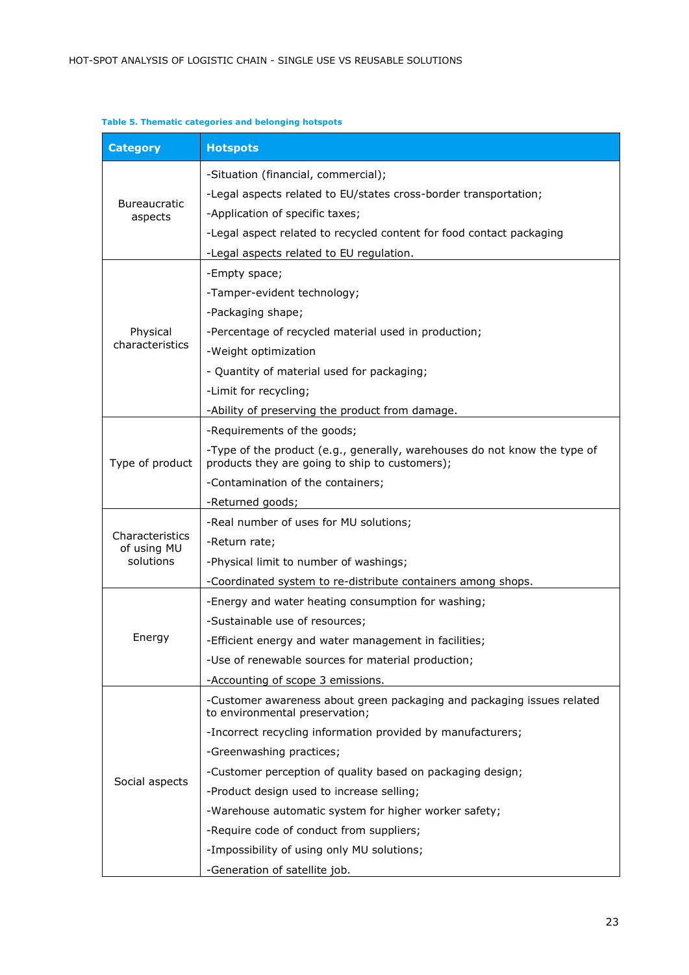#### <span id="page-23-0"></span>**Table 5. Thematic categories and belonging hotspots**

| <b>Category</b>                | <b>Hotspots</b>                                                                                                             |  |  |  |  |
|--------------------------------|-----------------------------------------------------------------------------------------------------------------------------|--|--|--|--|
|                                | -Situation (financial, commercial);                                                                                         |  |  |  |  |
|                                | -Legal aspects related to EU/states cross-border transportation;                                                            |  |  |  |  |
| <b>Bureaucratic</b><br>aspects | -Application of specific taxes;                                                                                             |  |  |  |  |
|                                | -Legal aspect related to recycled content for food contact packaging                                                        |  |  |  |  |
|                                | -Legal aspects related to EU regulation.                                                                                    |  |  |  |  |
|                                | -Empty space;                                                                                                               |  |  |  |  |
|                                | -Tamper-evident technology;                                                                                                 |  |  |  |  |
|                                | -Packaging shape;                                                                                                           |  |  |  |  |
| Physical                       | -Percentage of recycled material used in production;                                                                        |  |  |  |  |
| characteristics                | -Weight optimization                                                                                                        |  |  |  |  |
|                                | - Quantity of material used for packaging;                                                                                  |  |  |  |  |
|                                | -Limit for recycling;                                                                                                       |  |  |  |  |
|                                | -Ability of preserving the product from damage.                                                                             |  |  |  |  |
| Type of product                | -Requirements of the goods;                                                                                                 |  |  |  |  |
|                                | -Type of the product (e.g., generally, warehouses do not know the type of<br>products they are going to ship to customers); |  |  |  |  |
|                                | -Contamination of the containers;                                                                                           |  |  |  |  |
|                                | -Returned goods;                                                                                                            |  |  |  |  |
|                                | -Real number of uses for MU solutions;                                                                                      |  |  |  |  |
| Characteristics<br>of using MU | -Return rate;                                                                                                               |  |  |  |  |
| solutions                      | -Physical limit to number of washings;                                                                                      |  |  |  |  |
|                                | -Coordinated system to re-distribute containers among shops.                                                                |  |  |  |  |
|                                | -Energy and water heating consumption for washing;                                                                          |  |  |  |  |
|                                | -Sustainable use of resources;                                                                                              |  |  |  |  |
| Energy                         | -Efficient energy and water management in facilities;                                                                       |  |  |  |  |
|                                | -Use of renewable sources for material production;                                                                          |  |  |  |  |
|                                | -Accounting of scope 3 emissions.                                                                                           |  |  |  |  |
|                                | -Customer awareness about green packaging and packaging issues related<br>to environmental preservation;                    |  |  |  |  |
|                                | -Incorrect recycling information provided by manufacturers;                                                                 |  |  |  |  |
|                                | -Greenwashing practices;                                                                                                    |  |  |  |  |
|                                | -Customer perception of quality based on packaging design;                                                                  |  |  |  |  |
| Social aspects                 | -Product design used to increase selling;                                                                                   |  |  |  |  |
|                                | -Warehouse automatic system for higher worker safety;                                                                       |  |  |  |  |
|                                | -Require code of conduct from suppliers;                                                                                    |  |  |  |  |
|                                | -Impossibility of using only MU solutions;                                                                                  |  |  |  |  |
|                                | -Generation of satellite job.                                                                                               |  |  |  |  |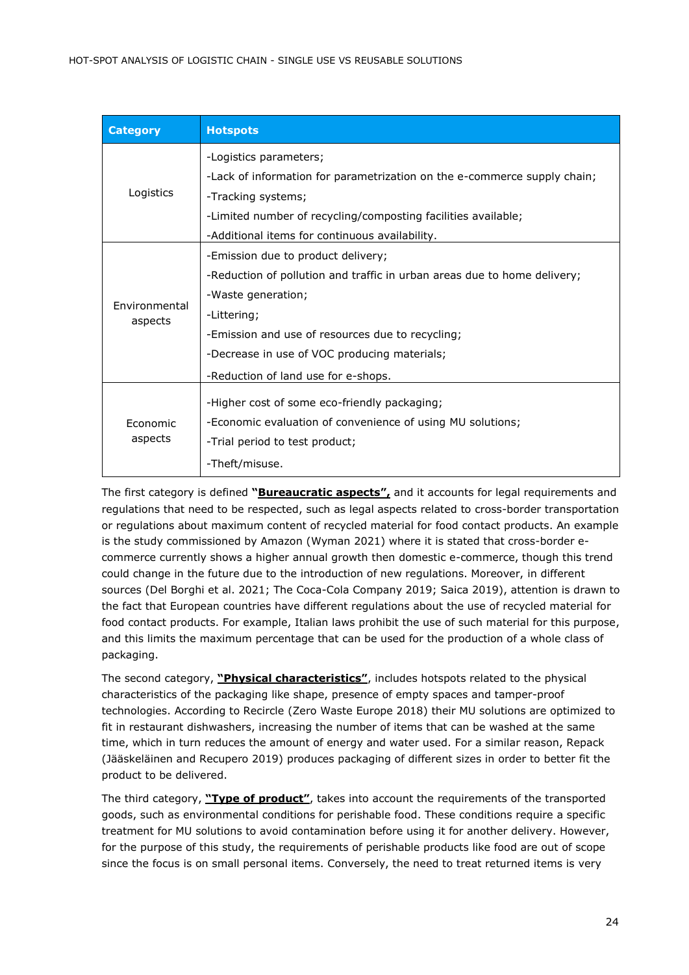| <b>Category</b>          | <b>Hotspots</b>                                                          |  |  |  |  |  |
|--------------------------|--------------------------------------------------------------------------|--|--|--|--|--|
|                          | -Logistics parameters;                                                   |  |  |  |  |  |
|                          | -Lack of information for parametrization on the e-commerce supply chain; |  |  |  |  |  |
| Logistics                | -Tracking systems;                                                       |  |  |  |  |  |
|                          | -Limited number of recycling/composting facilities available;            |  |  |  |  |  |
|                          | -Additional items for continuous availability.                           |  |  |  |  |  |
|                          | -Emission due to product delivery;                                       |  |  |  |  |  |
|                          | -Reduction of pollution and traffic in urban areas due to home delivery; |  |  |  |  |  |
|                          | -Waste generation;                                                       |  |  |  |  |  |
| Environmental<br>aspects | -Littering;                                                              |  |  |  |  |  |
|                          | -Emission and use of resources due to recycling;                         |  |  |  |  |  |
|                          | -Decrease in use of VOC producing materials;                             |  |  |  |  |  |
|                          | -Reduction of land use for e-shops.                                      |  |  |  |  |  |
|                          | -Higher cost of some eco-friendly packaging;                             |  |  |  |  |  |
| Economic                 | -Economic evaluation of convenience of using MU solutions;               |  |  |  |  |  |
| aspects                  | -Trial period to test product;                                           |  |  |  |  |  |
|                          |                                                                          |  |  |  |  |  |
|                          | -Theft/misuse.                                                           |  |  |  |  |  |

The first category is defined **"Bureaucratic aspects",** and it accounts for legal requirements and regulations that need to be respected, such as legal aspects related to cross-border transportation or regulations about maximum content of recycled material for food contact products. An example is the study commissioned by Amazon (Wyman 2021) where it is stated that cross-border ecommerce currently shows a higher annual growth then domestic e-commerce, though this trend could change in the future due to the introduction of new regulations. Moreover, in different sources (Del Borghi et al. 2021; The Coca-Cola Company 2019; Saica 2019), attention is drawn to the fact that European countries have different regulations about the use of recycled material for food contact products. For example, Italian laws prohibit the use of such material for this purpose, and this limits the maximum percentage that can be used for the production of a whole class of packaging.

The second category, **"Physical characteristics"**, includes hotspots related to the physical characteristics of the packaging like shape, presence of empty spaces and tamper-proof technologies. According to Recircle (Zero Waste Europe 2018) their MU solutions are optimized to fit in restaurant dishwashers, increasing the number of items that can be washed at the same time, which in turn reduces the amount of energy and water used. For a similar reason, Repack (Jääskeläinen and Recupero 2019) produces packaging of different sizes in order to better fit the product to be delivered.

The third category, **"Type of product"**, takes into account the requirements of the transported goods, such as environmental conditions for perishable food. These conditions require a specific treatment for MU solutions to avoid contamination before using it for another delivery. However, for the purpose of this study, the requirements of perishable products like food are out of scope since the focus is on small personal items. Conversely, the need to treat returned items is very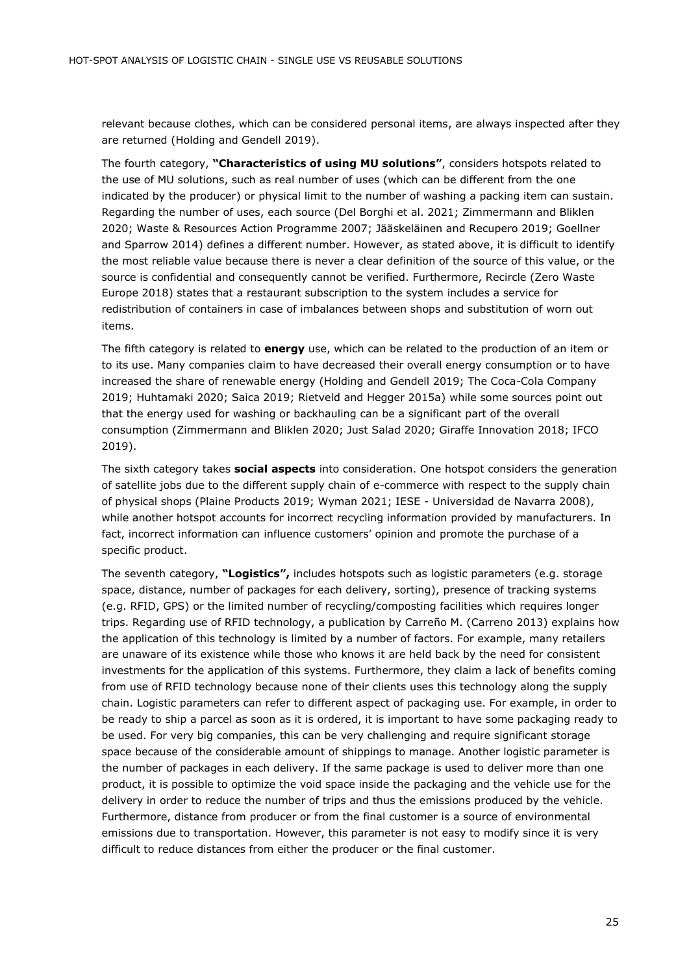relevant because clothes, which can be considered personal items, are always inspected after they are returned (Holding and Gendell 2019).

The fourth category, **"Characteristics of using MU solutions"**, considers hotspots related to the use of MU solutions, such as real number of uses (which can be different from the one indicated by the producer) or physical limit to the number of washing a packing item can sustain. Regarding the number of uses, each source (Del Borghi et al. 2021; Zimmermann and Bliklen 2020; Waste & Resources Action Programme 2007; Jääskeläinen and Recupero 2019; Goellner and Sparrow 2014) defines a different number. However, as stated above, it is difficult to identify the most reliable value because there is never a clear definition of the source of this value, or the source is confidential and consequently cannot be verified. Furthermore, Recircle (Zero Waste Europe 2018) states that a restaurant subscription to the system includes a service for redistribution of containers in case of imbalances between shops and substitution of worn out items.

The fifth category is related to **energy** use, which can be related to the production of an item or to its use. Many companies claim to have decreased their overall energy consumption or to have increased the share of renewable energy (Holding and Gendell 2019; The Coca-Cola Company 2019; Huhtamaki 2020; Saica 2019; Rietveld and Hegger 2015a) while some sources point out that the energy used for washing or backhauling can be a significant part of the overall consumption (Zimmermann and Bliklen 2020; Just Salad 2020; Giraffe Innovation 2018; IFCO 2019).

The sixth category takes **social aspects** into consideration. One hotspot considers the generation of satellite jobs due to the different supply chain of e-commerce with respect to the supply chain of physical shops (Plaine Products 2019; Wyman 2021; IESE - Universidad de Navarra 2008), while another hotspot accounts for incorrect recycling information provided by manufacturers. In fact, incorrect information can influence customers' opinion and promote the purchase of a specific product.

The seventh category, **"Logistics",** includes hotspots such as logistic parameters (e.g. storage space, distance, number of packages for each delivery, sorting), presence of tracking systems (e.g. RFID, GPS) or the limited number of recycling/composting facilities which requires longer trips. Regarding use of RFID technology, a publication by Carreño M. (Carreno 2013) explains how the application of this technology is limited by a number of factors. For example, many retailers are unaware of its existence while those who knows it are held back by the need for consistent investments for the application of this systems. Furthermore, they claim a lack of benefits coming from use of RFID technology because none of their clients uses this technology along the supply chain. Logistic parameters can refer to different aspect of packaging use. For example, in order to be ready to ship a parcel as soon as it is ordered, it is important to have some packaging ready to be used. For very big companies, this can be very challenging and require significant storage space because of the considerable amount of shippings to manage. Another logistic parameter is the number of packages in each delivery. If the same package is used to deliver more than one product, it is possible to optimize the void space inside the packaging and the vehicle use for the delivery in order to reduce the number of trips and thus the emissions produced by the vehicle. Furthermore, distance from producer or from the final customer is a source of environmental emissions due to transportation. However, this parameter is not easy to modify since it is very difficult to reduce distances from either the producer or the final customer.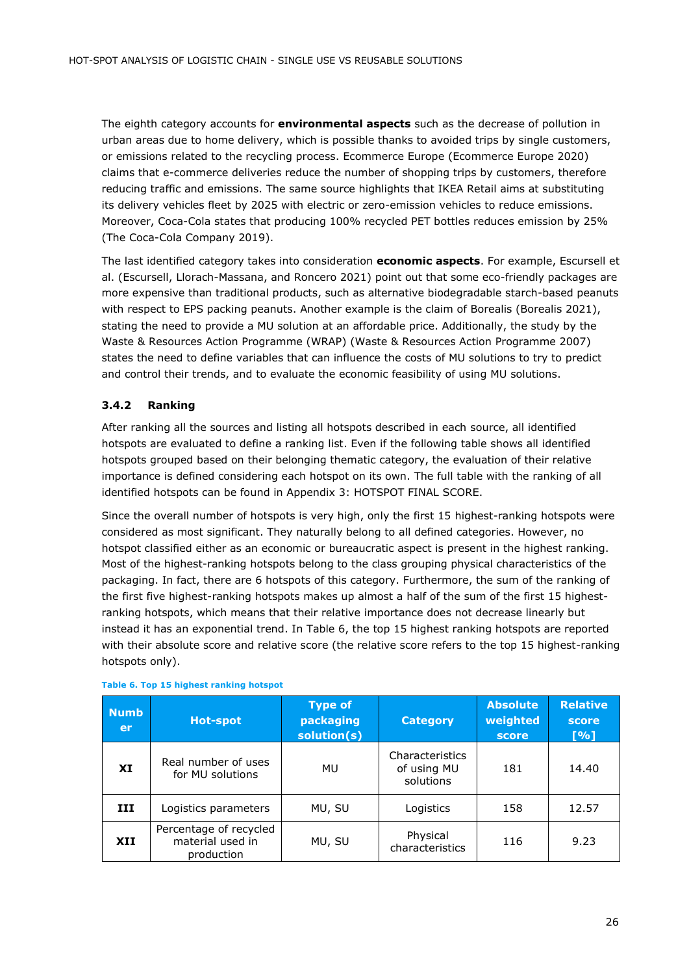The eighth category accounts for **environmental aspects** such as the decrease of pollution in urban areas due to home delivery, which is possible thanks to avoided trips by single customers, or emissions related to the recycling process. Ecommerce Europe (Ecommerce Europe 2020) claims that e-commerce deliveries reduce the number of shopping trips by customers, therefore reducing traffic and emissions. The same source highlights that IKEA Retail aims at substituting its delivery vehicles fleet by 2025 with electric or zero-emission vehicles to reduce emissions. Moreover, Coca-Cola states that producing 100% recycled PET bottles reduces emission by 25% (The Coca-Cola Company 2019).

The last identified category takes into consideration **economic aspects**. For example, Escursell et al. (Escursell, Llorach-Massana, and Roncero 2021) point out that some eco-friendly packages are more expensive than traditional products, such as alternative biodegradable starch-based peanuts with respect to EPS packing peanuts. Another example is the claim of Borealis (Borealis 2021), stating the need to provide a MU solution at an affordable price. Additionally, the study by the Waste & Resources Action Programme (WRAP) (Waste & Resources Action Programme 2007) states the need to define variables that can influence the costs of MU solutions to try to predict and control their trends, and to evaluate the economic feasibility of using MU solutions.

#### <span id="page-26-0"></span>**3.4.2 Ranking**

After ranking all the sources and listing all hotspots described in each source, all identified hotspots are evaluated to define a ranking list. Even if the following table shows all identified hotspots grouped based on their belonging thematic category, the evaluation of their relative importance is defined considering each hotspot on its own. The full table with the ranking of all identified hotspots can be found in Appendix [3:](#page-51-0) HOTSPOT FINAL SCORE.

Since the overall number of hotspots is very high, only the first 15 highest-ranking hotspots were considered as most significant. They naturally belong to all defined categories. However, no hotspot classified either as an economic or bureaucratic aspect is present in the highest ranking. Most of the highest-ranking hotspots belong to the class grouping physical characteristics of the packaging. In fact, there are 6 hotspots of this category. Furthermore, the sum of the ranking of the first five highest-ranking hotspots makes up almost a half of the sum of the first 15 highestranking hotspots, which means that their relative importance does not decrease linearly but instead it has an exponential trend. In [Table 6,](#page-26-1) the top 15 highest ranking hotspots are reported with their absolute score and relative score (the relative score refers to the top 15 highest-ranking hotspots only).

| <b>Numb</b><br>er | <b>Hot-spot</b>                                          | <b>Type of</b><br>packaging<br>solution(s) | <b>Category</b>                             | <b>Absolute</b><br>weighted<br>score | <b>Relative</b><br>score<br>[%] |
|-------------------|----------------------------------------------------------|--------------------------------------------|---------------------------------------------|--------------------------------------|---------------------------------|
| XI                | Real number of uses<br>for MU solutions                  | <b>MU</b>                                  | Characteristics<br>of using MU<br>solutions | 181                                  | 14.40                           |
| III               | MU, SU<br>Logistics parameters                           |                                            | Logistics                                   | 158                                  | 12.57                           |
| <b>XII</b>        | Percentage of recycled<br>material used in<br>production | MU, SU                                     | Physical<br>characteristics                 | 116                                  | 9.23                            |

#### <span id="page-26-1"></span>**Table 6. Top 15 highest ranking hotspot**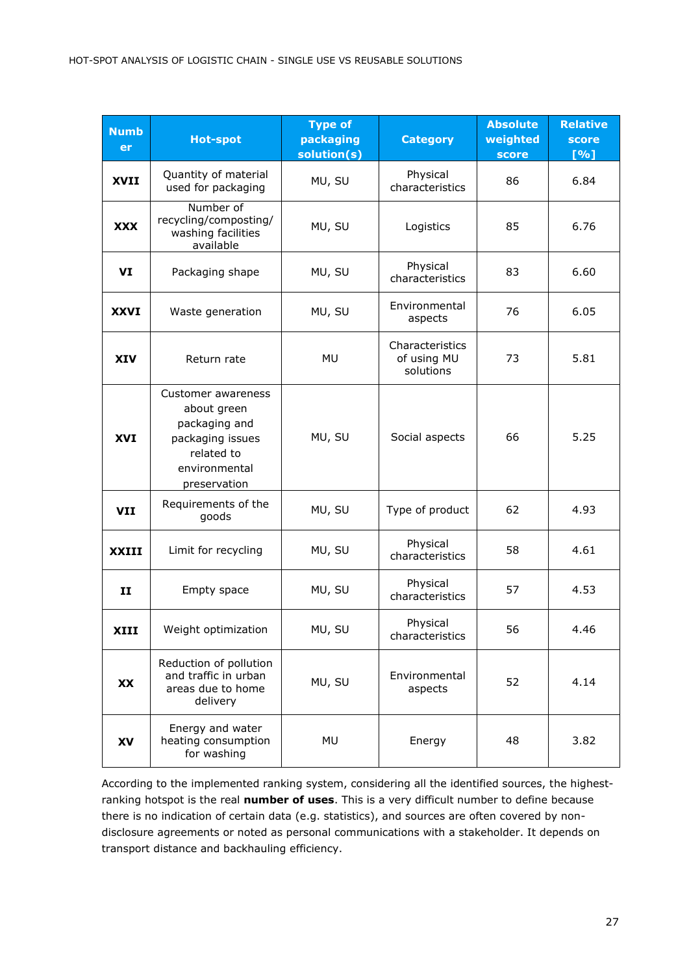| <b>Numb</b><br>er | <b>Hot-spot</b>                                                                                                       | <b>Type of</b><br>packaging<br>solution(s) | <b>Category</b>                             | <b>Absolute</b><br>weighted<br><b>score</b> | <b>Relative</b><br><b>score</b><br>$\overline{[0,1]}$ |
|-------------------|-----------------------------------------------------------------------------------------------------------------------|--------------------------------------------|---------------------------------------------|---------------------------------------------|-------------------------------------------------------|
| <b>XVII</b>       | Quantity of material<br>used for packaging                                                                            | MU, SU                                     | Physical<br>characteristics                 | 86                                          | 6.84                                                  |
| <b>XXX</b>        | Number of<br>recycling/composting/<br>washing facilities<br>available                                                 | MU, SU                                     | Logistics                                   | 85                                          | 6.76                                                  |
| VI                | Packaging shape                                                                                                       | MU, SU                                     | Physical<br>characteristics                 | 83                                          | 6.60                                                  |
| <b>XXVI</b>       | Waste generation                                                                                                      | MU, SU                                     | Environmental<br>aspects                    | 76                                          | 6.05                                                  |
| <b>XIV</b>        | Return rate                                                                                                           | MU                                         | Characteristics<br>of using MU<br>solutions | 73                                          | 5.81                                                  |
| <b>XVI</b>        | Customer awareness<br>about green<br>packaging and<br>packaging issues<br>related to<br>environmental<br>preservation | MU, SU                                     | Social aspects                              | 66                                          | 5.25                                                  |
| VII               | Requirements of the<br>goods                                                                                          | MU, SU                                     | Type of product                             | 62                                          | 4.93                                                  |
| <b>XXIII</b>      | Limit for recycling                                                                                                   | MU, SU                                     | Physical<br>characteristics                 | 58                                          | 4.61                                                  |
| $\mathbf{I}$      | Empty space                                                                                                           | MU, SU                                     | Physical<br>characteristics                 | 57                                          | 4.53                                                  |
| XIII              | Weight optimization                                                                                                   | MU, SU                                     | Physical<br>characteristics                 | 56                                          | 4.46                                                  |
| XX                | Reduction of pollution<br>and traffic in urban<br>MU, SU<br>areas due to home<br>delivery                             |                                            | Environmental<br>aspects                    | 52                                          | 4.14                                                  |
| XV                | Energy and water<br>heating consumption<br>for washing                                                                | MU                                         | Energy                                      | 48                                          | 3.82                                                  |

According to the implemented ranking system, considering all the identified sources, the highestranking hotspot is the real **number of uses**. This is a very difficult number to define because there is no indication of certain data (e.g. statistics), and sources are often covered by nondisclosure agreements or noted as personal communications with a stakeholder. It depends on transport distance and backhauling efficiency.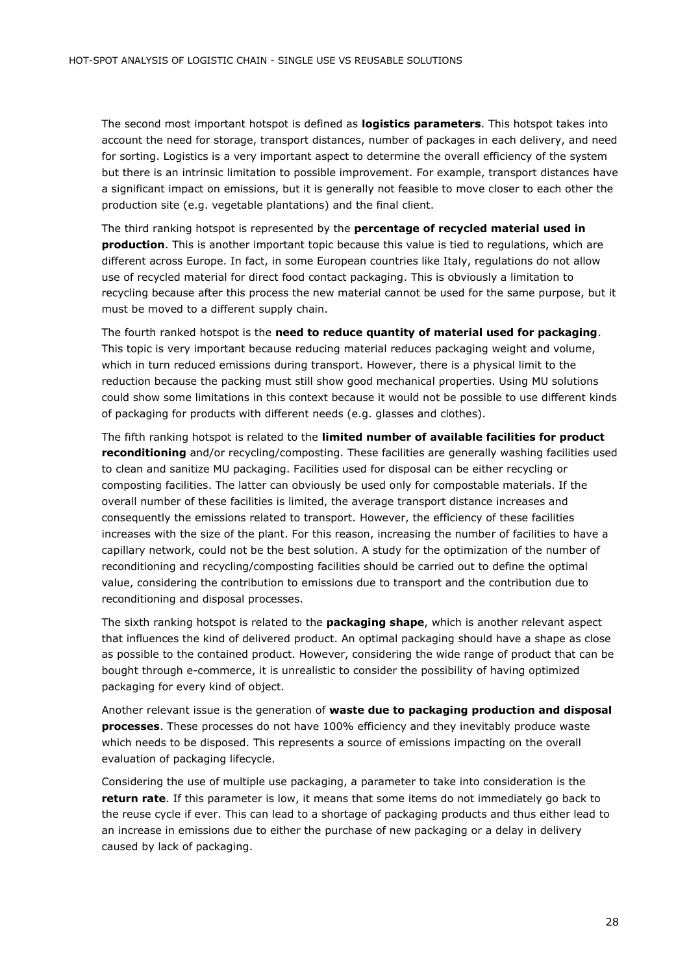The second most important hotspot is defined as **logistics parameters**. This hotspot takes into account the need for storage, transport distances, number of packages in each delivery, and need for sorting. Logistics is a very important aspect to determine the overall efficiency of the system but there is an intrinsic limitation to possible improvement. For example, transport distances have a significant impact on emissions, but it is generally not feasible to move closer to each other the production site (e.g. vegetable plantations) and the final client.

The third ranking hotspot is represented by the **percentage of recycled material used in production**. This is another important topic because this value is tied to regulations, which are different across Europe. In fact, in some European countries like Italy, regulations do not allow use of recycled material for direct food contact packaging. This is obviously a limitation to recycling because after this process the new material cannot be used for the same purpose, but it must be moved to a different supply chain.

The fourth ranked hotspot is the **need to reduce quantity of material used for packaging**. This topic is very important because reducing material reduces packaging weight and volume, which in turn reduced emissions during transport. However, there is a physical limit to the reduction because the packing must still show good mechanical properties. Using MU solutions could show some limitations in this context because it would not be possible to use different kinds of packaging for products with different needs (e.g. glasses and clothes).

The fifth ranking hotspot is related to the **limited number of available facilities for product reconditioning** and/or recycling/composting. These facilities are generally washing facilities used to clean and sanitize MU packaging. Facilities used for disposal can be either recycling or composting facilities. The latter can obviously be used only for compostable materials. If the overall number of these facilities is limited, the average transport distance increases and consequently the emissions related to transport. However, the efficiency of these facilities increases with the size of the plant. For this reason, increasing the number of facilities to have a capillary network, could not be the best solution. A study for the optimization of the number of reconditioning and recycling/composting facilities should be carried out to define the optimal value, considering the contribution to emissions due to transport and the contribution due to reconditioning and disposal processes.

The sixth ranking hotspot is related to the **packaging shape**, which is another relevant aspect that influences the kind of delivered product. An optimal packaging should have a shape as close as possible to the contained product. However, considering the wide range of product that can be bought through e-commerce, it is unrealistic to consider the possibility of having optimized packaging for every kind of object.

Another relevant issue is the generation of **waste due to packaging production and disposal processes**. These processes do not have 100% efficiency and they inevitably produce waste which needs to be disposed. This represents a source of emissions impacting on the overall evaluation of packaging lifecycle.

Considering the use of multiple use packaging, a parameter to take into consideration is the **return rate**. If this parameter is low, it means that some items do not immediately go back to the reuse cycle if ever. This can lead to a shortage of packaging products and thus either lead to an increase in emissions due to either the purchase of new packaging or a delay in delivery caused by lack of packaging.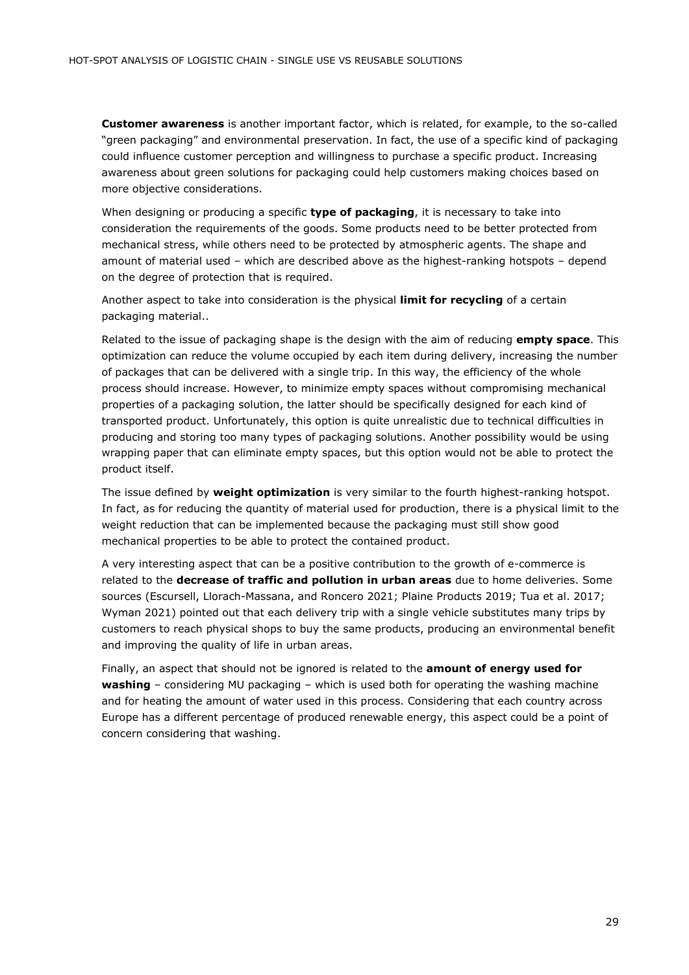**Customer awareness** is another important factor, which is related, for example, to the so-called "green packaging" and environmental preservation. In fact, the use of a specific kind of packaging could influence customer perception and willingness to purchase a specific product. Increasing awareness about green solutions for packaging could help customers making choices based on more objective considerations.

When designing or producing a specific **type of packaging**, it is necessary to take into consideration the requirements of the goods. Some products need to be better protected from mechanical stress, while others need to be protected by atmospheric agents. The shape and amount of material used – which are described above as the highest-ranking hotspots – depend on the degree of protection that is required.

Another aspect to take into consideration is the physical **limit for recycling** of a certain packaging material..

Related to the issue of packaging shape is the design with the aim of reducing **empty space**. This optimization can reduce the volume occupied by each item during delivery, increasing the number of packages that can be delivered with a single trip. In this way, the efficiency of the whole process should increase. However, to minimize empty spaces without compromising mechanical properties of a packaging solution, the latter should be specifically designed for each kind of transported product. Unfortunately, this option is quite unrealistic due to technical difficulties in producing and storing too many types of packaging solutions. Another possibility would be using wrapping paper that can eliminate empty spaces, but this option would not be able to protect the product itself.

The issue defined by **weight optimization** is very similar to the fourth highest-ranking hotspot. In fact, as for reducing the quantity of material used for production, there is a physical limit to the weight reduction that can be implemented because the packaging must still show good mechanical properties to be able to protect the contained product.

A very interesting aspect that can be a positive contribution to the growth of e-commerce is related to the **decrease of traffic and pollution in urban areas** due to home deliveries. Some sources (Escursell, Llorach-Massana, and Roncero 2021; Plaine Products 2019; Tua et al. 2017; Wyman 2021) pointed out that each delivery trip with a single vehicle substitutes many trips by customers to reach physical shops to buy the same products, producing an environmental benefit and improving the quality of life in urban areas.

Finally, an aspect that should not be ignored is related to the **amount of energy used for washing** – considering MU packaging – which is used both for operating the washing machine and for heating the amount of water used in this process. Considering that each country across Europe has a different percentage of produced renewable energy, this aspect could be a point of concern considering that washing.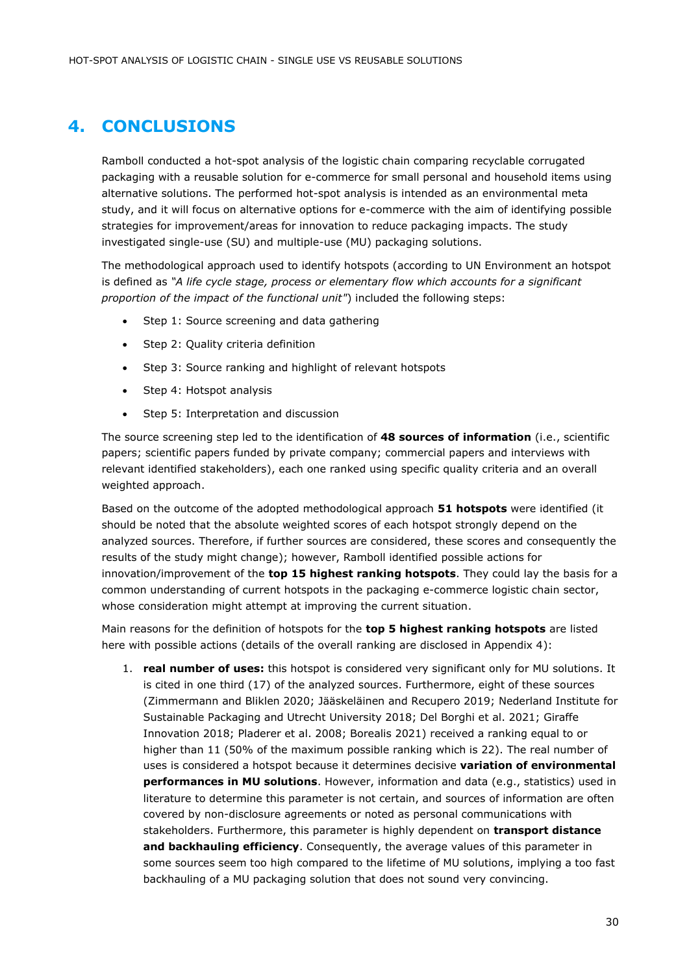# <span id="page-30-0"></span>**4. CONCLUSIONS**

Ramboll conducted a hot-spot analysis of the logistic chain comparing recyclable corrugated packaging with a reusable solution for e-commerce for small personal and household items using alternative solutions. The performed hot-spot analysis is intended as an environmental meta study, and it will focus on alternative options for e-commerce with the aim of identifying possible strategies for improvement/areas for innovation to reduce packaging impacts. The study investigated single-use (SU) and multiple-use (MU) packaging solutions.

The methodological approach used to identify hotspots (according to UN Environment an hotspot is defined as *"A life cycle stage, process or elementary flow which accounts for a significant proportion of the impact of the functional unit"*) included the following steps:

- Step 1: Source screening and data gathering
- Step 2: Quality criteria definition
- Step 3: Source ranking and highlight of relevant hotspots
- Step 4: Hotspot analysis
- Step 5: Interpretation and discussion

The source screening step led to the identification of **48 sources of information** (i.e., scientific papers; scientific papers funded by private company; commercial papers and interviews with relevant identified stakeholders), each one ranked using specific quality criteria and an overall weighted approach.

Based on the outcome of the adopted methodological approach **51 hotspots** were identified (it should be noted that the absolute weighted scores of each hotspot strongly depend on the analyzed sources. Therefore, if further sources are considered, these scores and consequently the results of the study might change); however, Ramboll identified possible actions for innovation/improvement of the **top 15 highest ranking hotspots**. They could lay the basis for a common understanding of current hotspots in the packaging e-commerce logistic chain sector, whose consideration might attempt at improving the current situation.

Main reasons for the definition of hotspots for the **top 5 highest ranking hotspots** are listed here with possible actions (details of the overall ranking are disclosed in Appendix 4):

1. **real number of uses:** this hotspot is considered very significant only for MU solutions. It is cited in one third (17) of the analyzed sources. Furthermore, eight of these sources (Zimmermann and Bliklen 2020; Jääskeläinen and Recupero 2019; Nederland Institute for Sustainable Packaging and Utrecht University 2018; Del Borghi et al. 2021; Giraffe Innovation 2018; Pladerer et al. 2008; Borealis 2021) received a ranking equal to or higher than 11 (50% of the maximum possible ranking which is 22). The real number of uses is considered a hotspot because it determines decisive **variation of environmental performances in MU solutions**. However, information and data (e.g., statistics) used in literature to determine this parameter is not certain, and sources of information are often covered by non-disclosure agreements or noted as personal communications with stakeholders. Furthermore, this parameter is highly dependent on **transport distance and backhauling efficiency**. Consequently, the average values of this parameter in some sources seem too high compared to the lifetime of MU solutions, implying a too fast backhauling of a MU packaging solution that does not sound very convincing.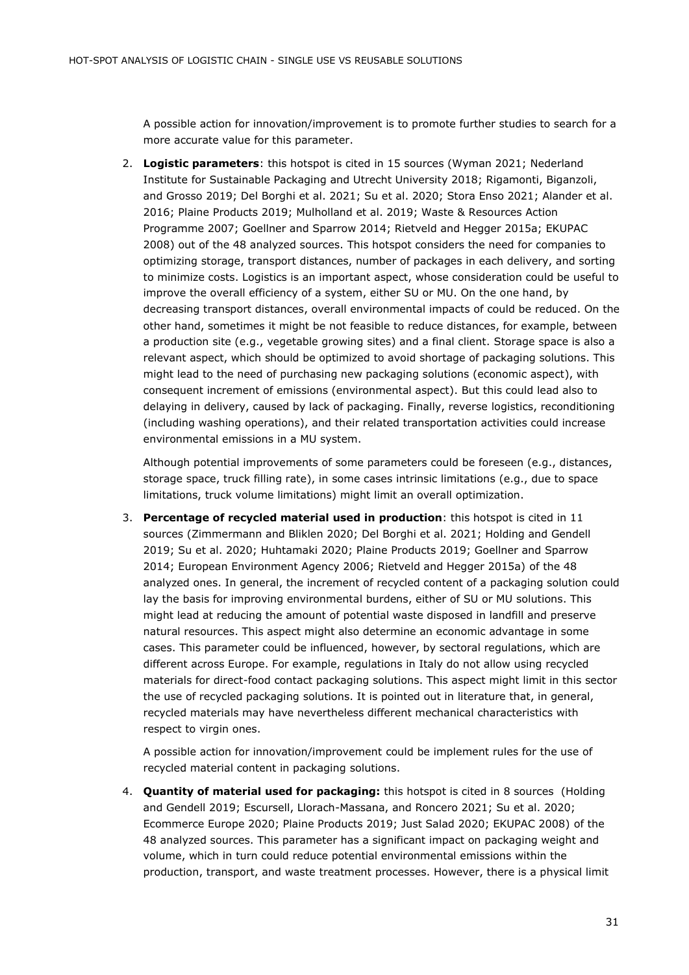A possible action for innovation/improvement is to promote further studies to search for a more accurate value for this parameter.

2. **Logistic parameters**: this hotspot is cited in 15 sources (Wyman 2021; Nederland Institute for Sustainable Packaging and Utrecht University 2018; Rigamonti, Biganzoli, and Grosso 2019; Del Borghi et al. 2021; Su et al. 2020; Stora Enso 2021; Alander et al. 2016; Plaine Products 2019; Mulholland et al. 2019; Waste & Resources Action Programme 2007; Goellner and Sparrow 2014; Rietveld and Hegger 2015a; EKUPAC 2008) out of the 48 analyzed sources. This hotspot considers the need for companies to optimizing storage, transport distances, number of packages in each delivery, and sorting to minimize costs. Logistics is an important aspect, whose consideration could be useful to improve the overall efficiency of a system, either SU or MU. On the one hand, by decreasing transport distances, overall environmental impacts of could be reduced. On the other hand, sometimes it might be not feasible to reduce distances, for example, between a production site (e.g., vegetable growing sites) and a final client. Storage space is also a relevant aspect, which should be optimized to avoid shortage of packaging solutions. This might lead to the need of purchasing new packaging solutions (economic aspect), with consequent increment of emissions (environmental aspect). But this could lead also to delaying in delivery, caused by lack of packaging. Finally, reverse logistics, reconditioning (including washing operations), and their related transportation activities could increase environmental emissions in a MU system.

Although potential improvements of some parameters could be foreseen (e.g., distances, storage space, truck filling rate), in some cases intrinsic limitations (e.g., due to space limitations, truck volume limitations) might limit an overall optimization.

3. **Percentage of recycled material used in production**: this hotspot is cited in 11 sources (Zimmermann and Bliklen 2020; Del Borghi et al. 2021; Holding and Gendell 2019; Su et al. 2020; Huhtamaki 2020; Plaine Products 2019; Goellner and Sparrow 2014; European Environment Agency 2006; Rietveld and Hegger 2015a) of the 48 analyzed ones. In general, the increment of recycled content of a packaging solution could lay the basis for improving environmental burdens, either of SU or MU solutions. This might lead at reducing the amount of potential waste disposed in landfill and preserve natural resources. This aspect might also determine an economic advantage in some cases. This parameter could be influenced, however, by sectoral regulations, which are different across Europe. For example, regulations in Italy do not allow using recycled materials for direct-food contact packaging solutions. This aspect might limit in this sector the use of recycled packaging solutions. It is pointed out in literature that, in general, recycled materials may have nevertheless different mechanical characteristics with respect to virgin ones.

A possible action for innovation/improvement could be implement rules for the use of recycled material content in packaging solutions.

4. **Quantity of material used for packaging:** this hotspot is cited in 8 sources (Holding and Gendell 2019; Escursell, Llorach-Massana, and Roncero 2021; Su et al. 2020; Ecommerce Europe 2020; Plaine Products 2019; Just Salad 2020; EKUPAC 2008) of the 48 analyzed sources. This parameter has a significant impact on packaging weight and volume, which in turn could reduce potential environmental emissions within the production, transport, and waste treatment processes. However, there is a physical limit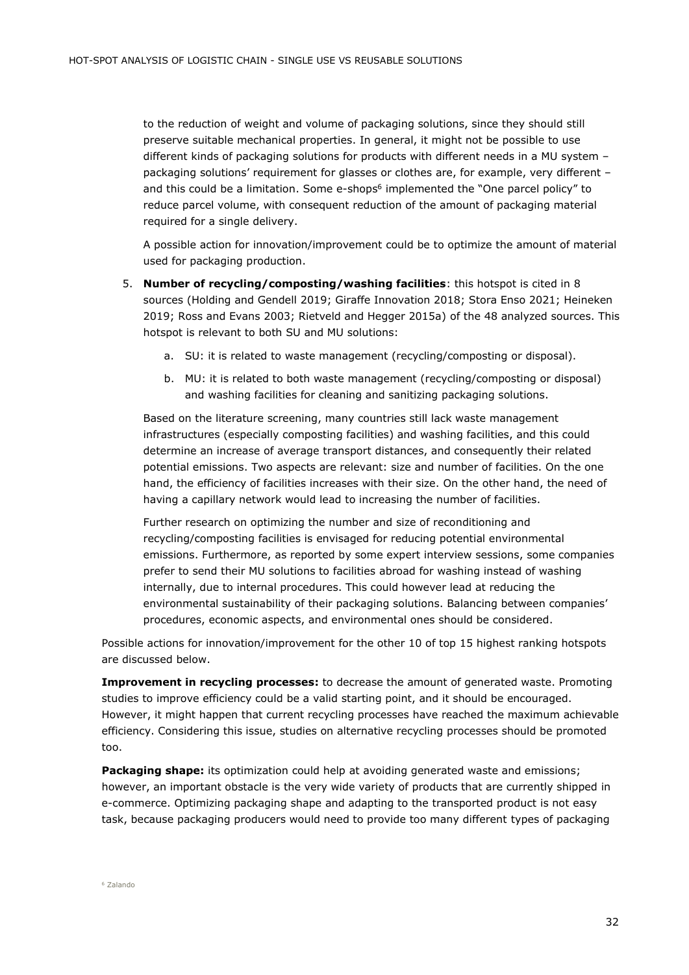to the reduction of weight and volume of packaging solutions, since they should still preserve suitable mechanical properties. In general, it might not be possible to use different kinds of packaging solutions for products with different needs in a MU system – packaging solutions' requirement for glasses or clothes are, for example, very different – and this could be a limitation. Some e-shops<sup>6</sup> implemented the "One parcel policy" to reduce parcel volume, with consequent reduction of the amount of packaging material required for a single delivery.

A possible action for innovation/improvement could be to optimize the amount of material used for packaging production.

- 5. **Number of recycling/composting/washing facilities**: this hotspot is cited in 8 sources (Holding and Gendell 2019; Giraffe Innovation 2018; Stora Enso 2021; Heineken 2019; Ross and Evans 2003; Rietveld and Hegger 2015a) of the 48 analyzed sources. This hotspot is relevant to both SU and MU solutions:
	- a. SU: it is related to waste management (recycling/composting or disposal).
	- b. MU: it is related to both waste management (recycling/composting or disposal) and washing facilities for cleaning and sanitizing packaging solutions.

Based on the literature screening, many countries still lack waste management infrastructures (especially composting facilities) and washing facilities, and this could determine an increase of average transport distances, and consequently their related potential emissions. Two aspects are relevant: size and number of facilities. On the one hand, the efficiency of facilities increases with their size. On the other hand, the need of having a capillary network would lead to increasing the number of facilities.

Further research on optimizing the number and size of reconditioning and recycling/composting facilities is envisaged for reducing potential environmental emissions. Furthermore, as reported by some expert interview sessions, some companies prefer to send their MU solutions to facilities abroad for washing instead of washing internally, due to internal procedures. This could however lead at reducing the environmental sustainability of their packaging solutions. Balancing between companies' procedures, economic aspects, and environmental ones should be considered.

Possible actions for innovation/improvement for the other 10 of top 15 highest ranking hotspots are discussed below.

**Improvement in recycling processes:** to decrease the amount of generated waste. Promoting studies to improve efficiency could be a valid starting point, and it should be encouraged. However, it might happen that current recycling processes have reached the maximum achievable efficiency. Considering this issue, studies on alternative recycling processes should be promoted too.

**Packaging shape:** its optimization could help at avoiding generated waste and emissions; however, an important obstacle is the very wide variety of products that are currently shipped in e-commerce. Optimizing packaging shape and adapting to the transported product is not easy task, because packaging producers would need to provide too many different types of packaging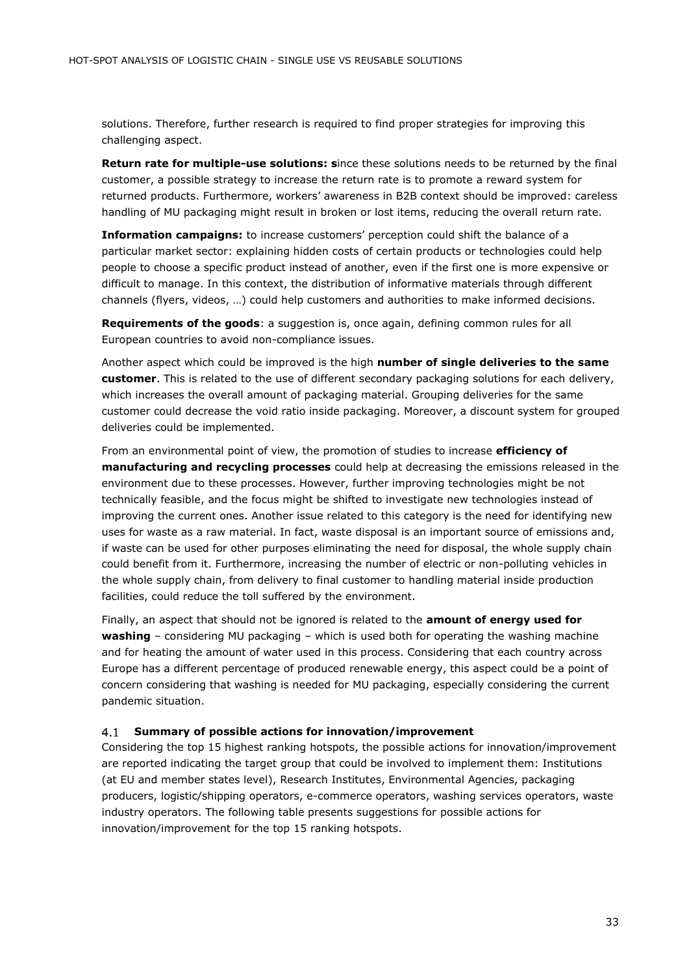solutions. Therefore, further research is required to find proper strategies for improving this challenging aspect.

**Return rate for multiple-use solutions: s**ince these solutions needs to be returned by the final customer, a possible strategy to increase the return rate is to promote a reward system for returned products. Furthermore, workers' awareness in B2B context should be improved: careless handling of MU packaging might result in broken or lost items, reducing the overall return rate.

**Information campaigns:** to increase customers' perception could shift the balance of a particular market sector: explaining hidden costs of certain products or technologies could help people to choose a specific product instead of another, even if the first one is more expensive or difficult to manage. In this context, the distribution of informative materials through different channels (flyers, videos, …) could help customers and authorities to make informed decisions.

**Requirements of the goods**: a suggestion is, once again, defining common rules for all European countries to avoid non-compliance issues.

Another aspect which could be improved is the high **number of single deliveries to the same customer**. This is related to the use of different secondary packaging solutions for each delivery, which increases the overall amount of packaging material. Grouping deliveries for the same customer could decrease the void ratio inside packaging. Moreover, a discount system for grouped deliveries could be implemented.

From an environmental point of view, the promotion of studies to increase **efficiency of manufacturing and recycling processes** could help at decreasing the emissions released in the environment due to these processes. However, further improving technologies might be not technically feasible, and the focus might be shifted to investigate new technologies instead of improving the current ones. Another issue related to this category is the need for identifying new uses for waste as a raw material. In fact, waste disposal is an important source of emissions and, if waste can be used for other purposes eliminating the need for disposal, the whole supply chain could benefit from it. Furthermore, increasing the number of electric or non-polluting vehicles in the whole supply chain, from delivery to final customer to handling material inside production facilities, could reduce the toll suffered by the environment.

Finally, an aspect that should not be ignored is related to the **amount of energy used for washing** – considering MU packaging – which is used both for operating the washing machine and for heating the amount of water used in this process. Considering that each country across Europe has a different percentage of produced renewable energy, this aspect could be a point of concern considering that washing is needed for MU packaging, especially considering the current pandemic situation.

#### <span id="page-33-0"></span> $4.1$ **Summary of possible actions for innovation/improvement**

Considering the top 15 highest ranking hotspots, the possible actions for innovation/improvement are reported indicating the target group that could be involved to implement them: Institutions (at EU and member states level), Research Institutes, Environmental Agencies, packaging producers, logistic/shipping operators, e-commerce operators, washing services operators, waste industry operators. The following table presents suggestions for possible actions for innovation/improvement for the top 15 ranking hotspots.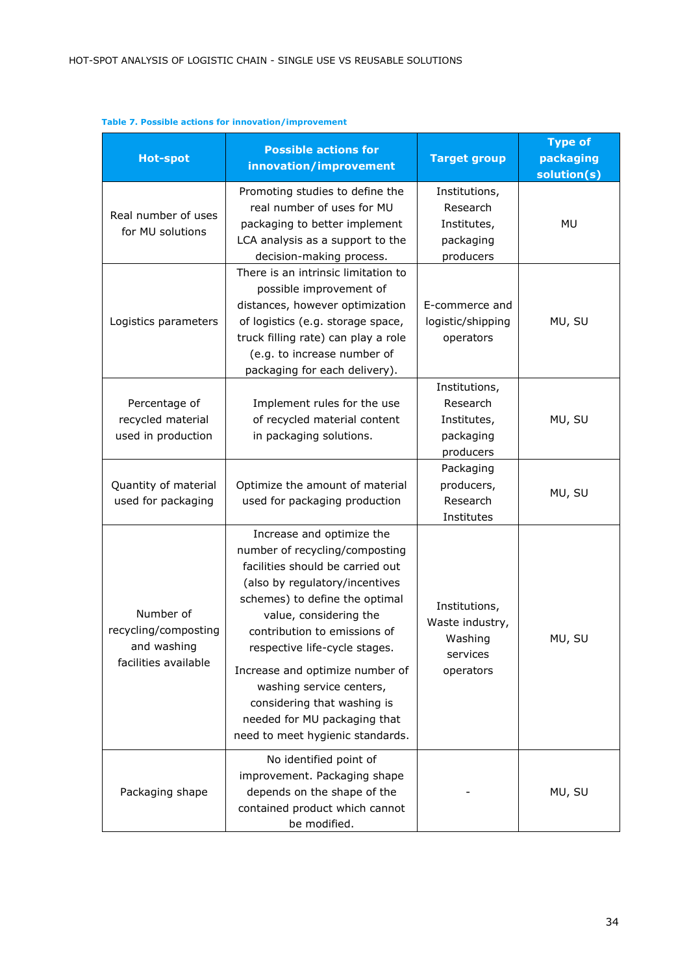| <b>Hot-spot</b>                                                                                                                                            | <b>Possible actions for</b><br>innovation/improvement                                                                                                                                                                                                                                                                                                                                                                            | <b>Target group</b>                                                  | <b>Type of</b><br>packaging<br>solution(s) |
|------------------------------------------------------------------------------------------------------------------------------------------------------------|----------------------------------------------------------------------------------------------------------------------------------------------------------------------------------------------------------------------------------------------------------------------------------------------------------------------------------------------------------------------------------------------------------------------------------|----------------------------------------------------------------------|--------------------------------------------|
| Real number of uses<br>for MU solutions                                                                                                                    | Promoting studies to define the<br>real number of uses for MU<br>packaging to better implement<br>LCA analysis as a support to the<br>decision-making process.                                                                                                                                                                                                                                                                   | Institutions,<br>Research<br>Institutes,<br>packaging<br>producers   | <b>MU</b>                                  |
| Logistics parameters                                                                                                                                       | There is an intrinsic limitation to<br>possible improvement of<br>distances, however optimization<br>E-commerce and<br>of logistics (e.g. storage space,<br>truck filling rate) can play a role<br>(e.g. to increase number of<br>packaging for each delivery).                                                                                                                                                                  |                                                                      | MU, SU                                     |
| Percentage of<br>recycled material<br>used in production                                                                                                   | Implement rules for the use<br>of recycled material content<br>in packaging solutions.                                                                                                                                                                                                                                                                                                                                           | Institutions,<br>Research<br>Institutes,<br>packaging<br>producers   | MU, SU                                     |
| Quantity of material<br>used for packaging                                                                                                                 | Optimize the amount of material<br>used for packaging production                                                                                                                                                                                                                                                                                                                                                                 | Packaging<br>producers,<br>Research<br>Institutes                    | MU, SU                                     |
| Number of<br>recycling/composting<br>and washing<br>facilities available                                                                                   | Increase and optimize the<br>number of recycling/composting<br>facilities should be carried out<br>(also by regulatory/incentives<br>schemes) to define the optimal<br>value, considering the<br>contribution to emissions of<br>respective life-cycle stages.<br>Increase and optimize number of<br>washing service centers,<br>considering that washing is<br>needed for MU packaging that<br>need to meet hygienic standards. | Institutions,<br>Waste industry,<br>Washing<br>services<br>operators | MU, SU                                     |
| No identified point of<br>improvement. Packaging shape<br>depends on the shape of the<br>Packaging shape<br>contained product which cannot<br>be modified. |                                                                                                                                                                                                                                                                                                                                                                                                                                  |                                                                      | MU, SU                                     |

#### <span id="page-34-0"></span>**Table 7. Possible actions for innovation/improvement**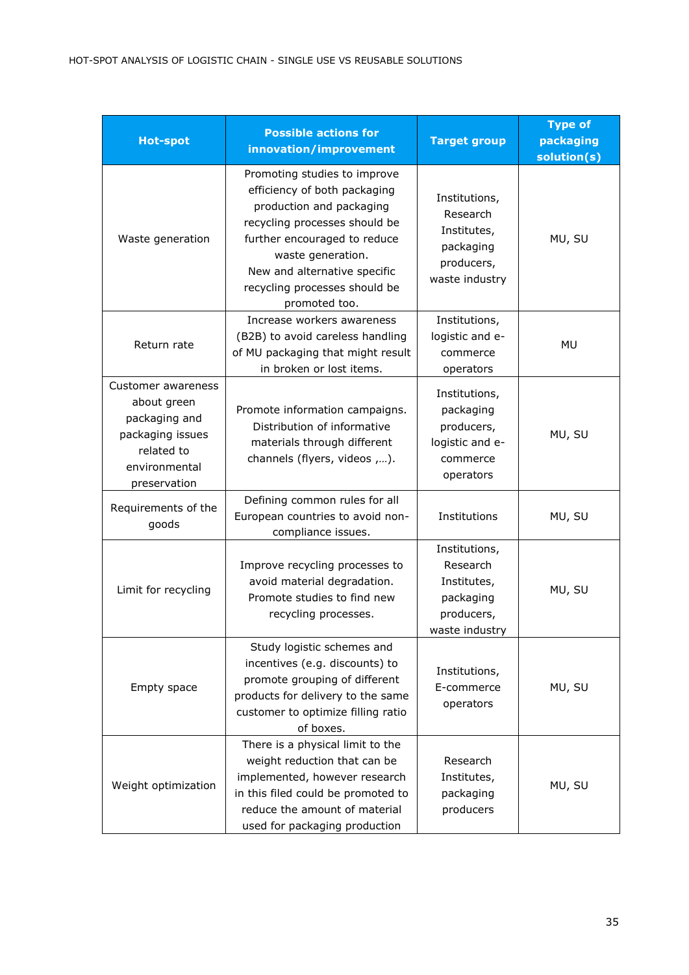| <b>Hot-spot</b>                                                                                                       | <b>Possible actions for</b><br>innovation/improvement                                                                                                                                                                                                            | <b>Target group</b>                                                                   | <b>Type of</b><br>packaging<br>solution(s) |
|-----------------------------------------------------------------------------------------------------------------------|------------------------------------------------------------------------------------------------------------------------------------------------------------------------------------------------------------------------------------------------------------------|---------------------------------------------------------------------------------------|--------------------------------------------|
| Waste generation                                                                                                      | Promoting studies to improve<br>efficiency of both packaging<br>production and packaging<br>recycling processes should be<br>further encouraged to reduce<br>waste generation.<br>New and alternative specific<br>recycling processes should be<br>promoted too. | Institutions,<br>Research<br>Institutes,<br>packaging<br>producers,<br>waste industry | MU, SU                                     |
| Return rate                                                                                                           | Increase workers awareness<br>(B2B) to avoid careless handling<br>of MU packaging that might result<br>in broken or lost items.                                                                                                                                  | Institutions,<br>logistic and e-<br>commerce<br>operators                             | MU                                         |
| Customer awareness<br>about green<br>packaging and<br>packaging issues<br>related to<br>environmental<br>preservation | Promote information campaigns.<br>Distribution of informative<br>materials through different<br>channels (flyers, videos ,).                                                                                                                                     | Institutions,<br>packaging<br>producers,<br>logistic and e-<br>commerce<br>operators  | MU, SU                                     |
| Requirements of the<br>goods                                                                                          | Defining common rules for all<br>European countries to avoid non-<br>compliance issues.                                                                                                                                                                          | Institutions                                                                          | MU, SU                                     |
| Limit for recycling                                                                                                   | Improve recycling processes to<br>avoid material degradation.<br>Promote studies to find new<br>recycling processes.                                                                                                                                             | Institutions,<br>Research<br>Institutes,<br>packaging<br>producers,<br>waste industry | MU, SU                                     |
| Empty space                                                                                                           | Study logistic schemes and<br>incentives (e.g. discounts) to<br>promote grouping of different<br>products for delivery to the same<br>customer to optimize filling ratio<br>of boxes.                                                                            | Institutions,<br>E-commerce<br>operators                                              | MU, SU                                     |
| Weight optimization                                                                                                   | There is a physical limit to the<br>weight reduction that can be<br>implemented, however research<br>in this filed could be promoted to<br>reduce the amount of material<br>used for packaging production                                                        | Research<br>Institutes,<br>packaging<br>producers                                     | MU, SU                                     |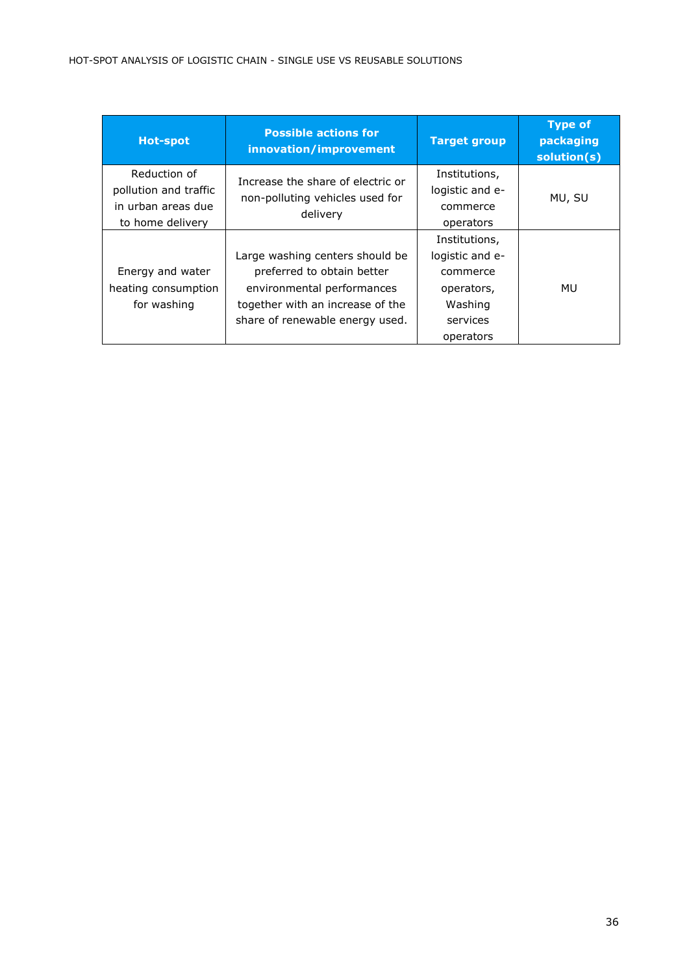| <b>Hot-spot</b>       | <b>Possible actions for</b><br>innovation/improvement | <b>Target group</b> | <b>Type of</b><br>packaging<br>solution(s) |
|-----------------------|-------------------------------------------------------|---------------------|--------------------------------------------|
| Reduction of          | Increase the share of electric or                     | Institutions,       |                                            |
| pollution and traffic | non-polluting vehicles used for                       | logistic and e-     | MU, SU                                     |
| in urban areas due    | delivery                                              | commerce            |                                            |
| to home delivery      |                                                       | operators           |                                            |
|                       |                                                       | Institutions,       |                                            |
|                       | Large washing centers should be                       | logistic and e-     |                                            |
| Energy and water      | preferred to obtain better                            | commerce            |                                            |
| heating consumption   | environmental performances                            | operators,          | MU.                                        |
| for washing           | together with an increase of the                      | Washing             |                                            |
|                       | share of renewable energy used.                       | services            |                                            |
|                       |                                                       | operators           |                                            |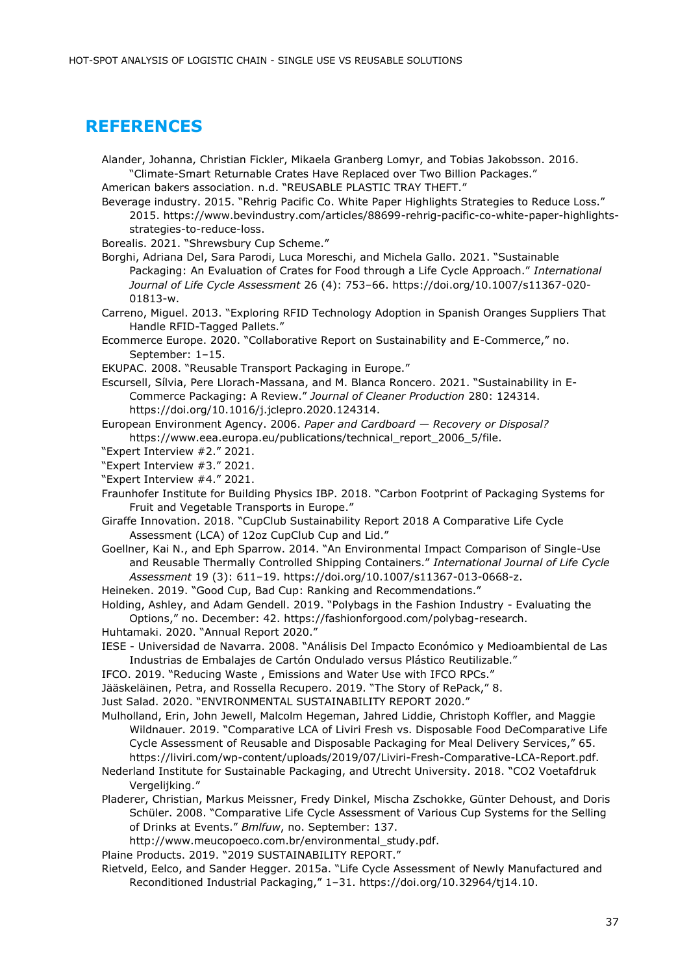### <span id="page-37-0"></span>**REFERENCES**

Alander, Johanna, Christian Fickler, Mikaela Granberg Lomyr, and Tobias Jakobsson. 2016. "Climate-Smart Returnable Crates Have Replaced over Two Billion Packages."

American bakers association. n.d. "REUSABLE PLASTIC TRAY THEFT."

Beverage industry. 2015. "Rehrig Pacific Co. White Paper Highlights Strategies to Reduce Loss." 2015. https://www.bevindustry.com/articles/88699-rehrig-pacific-co-white-paper-highlightsstrategies-to-reduce-loss.

Borealis. 2021. "Shrewsbury Cup Scheme."

Borghi, Adriana Del, Sara Parodi, Luca Moreschi, and Michela Gallo. 2021. "Sustainable Packaging: An Evaluation of Crates for Food through a Life Cycle Approach." *International Journal of Life Cycle Assessment* 26 (4): 753–66. https://doi.org/10.1007/s11367-020- 01813-w.

Carreno, Miguel. 2013. "Exploring RFID Technology Adoption in Spanish Oranges Suppliers That Handle RFID-Tagged Pallets."

Ecommerce Europe. 2020. "Collaborative Report on Sustainability and E-Commerce," no. September: 1–15.

EKUPAC. 2008. "Reusable Transport Packaging in Europe."

Escursell, Sílvia, Pere Llorach-Massana, and M. Blanca Roncero. 2021. "Sustainability in E-Commerce Packaging: A Review." *Journal of Cleaner Production* 280: 124314. https://doi.org/10.1016/j.jclepro.2020.124314.

European Environment Agency. 2006. *Paper and Cardboard — Recovery or Disposal?* https://www.eea.europa.eu/publications/technical\_report\_2006\_5/file.

"Expert Interview #2." 2021.

"Expert Interview #3." 2021.

"Expert Interview #4." 2021.

Fraunhofer Institute for Building Physics IBP. 2018. "Carbon Footprint of Packaging Systems for Fruit and Vegetable Transports in Europe."

Giraffe Innovation. 2018. "CupClub Sustainability Report 2018 A Comparative Life Cycle Assessment (LCA) of 12oz CupClub Cup and Lid."

Goellner, Kai N., and Eph Sparrow. 2014. "An Environmental Impact Comparison of Single-Use and Reusable Thermally Controlled Shipping Containers." *International Journal of Life Cycle Assessment* 19 (3): 611–19. https://doi.org/10.1007/s11367-013-0668-z.

Heineken. 2019. "Good Cup, Bad Cup: Ranking and Recommendations."

Holding, Ashley, and Adam Gendell. 2019. "Polybags in the Fashion Industry - Evaluating the Options," no. December: 42. https://fashionforgood.com/polybag-research.

Huhtamaki. 2020. "Annual Report 2020."

IESE - Universidad de Navarra. 2008. "Análisis Del Impacto Económico y Medioambiental de Las Industrias de Embalajes de Cartón Ondulado versus Plástico Reutilizable."

IFCO. 2019. "Reducing Waste , Emissions and Water Use with IFCO RPCs."

Jääskeläinen, Petra, and Rossella Recupero. 2019. "The Story of RePack," 8.

Just Salad. 2020. "ENVIRONMENTAL SUSTAINABILITY REPORT 2020."

- Mulholland, Erin, John Jewell, Malcolm Hegeman, Jahred Liddie, Christoph Koffler, and Maggie Wildnauer. 2019. "Comparative LCA of Liviri Fresh vs. Disposable Food DeComparative Life Cycle Assessment of Reusable and Disposable Packaging for Meal Delivery Services," 65. https://liviri.com/wp-content/uploads/2019/07/Liviri-Fresh-Comparative-LCA-Report.pdf.
- Nederland Institute for Sustainable Packaging, and Utrecht University. 2018. "CO2 Voetafdruk Vergelijking."
- Pladerer, Christian, Markus Meissner, Fredy Dinkel, Mischa Zschokke, Günter Dehoust, and Doris Schüler. 2008. "Comparative Life Cycle Assessment of Various Cup Systems for the Selling of Drinks at Events." *Bmlfuw*, no. September: 137.

http://www.meucopoeco.com.br/environmental\_study.pdf.

Plaine Products. 2019. "2019 SUSTAINABILITY REPORT."

Rietveld, Eelco, and Sander Hegger. 2015a. "Life Cycle Assessment of Newly Manufactured and Reconditioned Industrial Packaging," 1–31. https://doi.org/10.32964/tj14.10.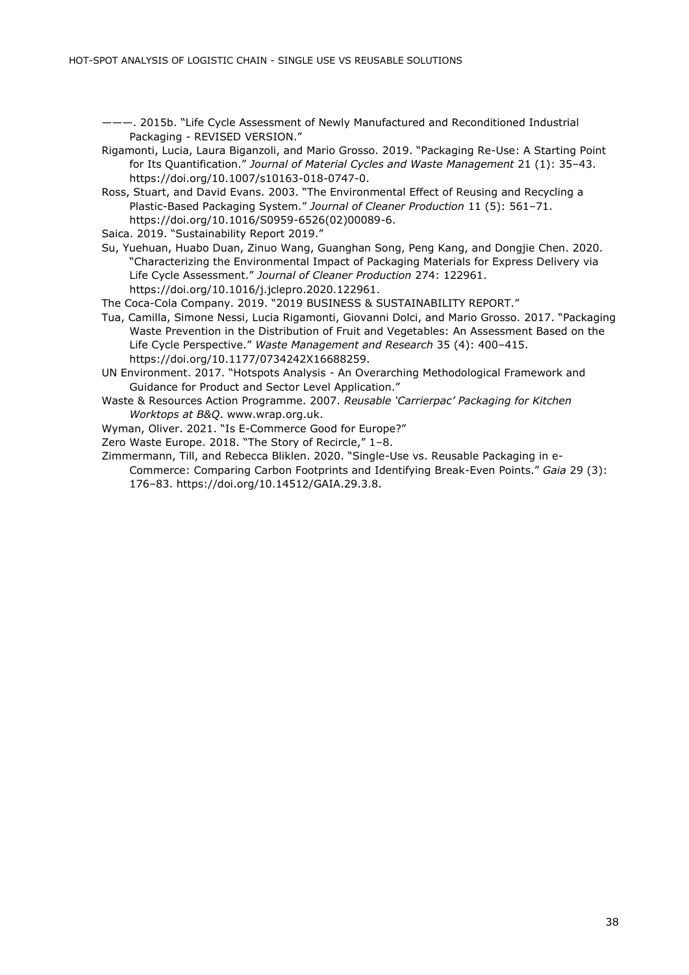———. 2015b. "Life Cycle Assessment of Newly Manufactured and Reconditioned Industrial Packaging - REVISED VERSION."

- Rigamonti, Lucia, Laura Biganzoli, and Mario Grosso. 2019. "Packaging Re-Use: A Starting Point for Its Quantification." *Journal of Material Cycles and Waste Management* 21 (1): 35–43. https://doi.org/10.1007/s10163-018-0747-0.
- Ross, Stuart, and David Evans. 2003. "The Environmental Effect of Reusing and Recycling a Plastic-Based Packaging System." *Journal of Cleaner Production* 11 (5): 561–71. https://doi.org/10.1016/S0959-6526(02)00089-6.
- Saica. 2019. "Sustainability Report 2019."
- Su, Yuehuan, Huabo Duan, Zinuo Wang, Guanghan Song, Peng Kang, and Dongjie Chen. 2020. "Characterizing the Environmental Impact of Packaging Materials for Express Delivery via Life Cycle Assessment." *Journal of Cleaner Production* 274: 122961. https://doi.org/10.1016/j.jclepro.2020.122961.
- The Coca-Cola Company. 2019. "2019 BUSINESS & SUSTAINABILITY REPORT."
- Tua, Camilla, Simone Nessi, Lucia Rigamonti, Giovanni Dolci, and Mario Grosso. 2017. "Packaging Waste Prevention in the Distribution of Fruit and Vegetables: An Assessment Based on the Life Cycle Perspective." *Waste Management and Research* 35 (4): 400–415. https://doi.org/10.1177/0734242X16688259.
- UN Environment. 2017. "Hotspots Analysis An Overarching Methodological Framework and Guidance for Product and Sector Level Application."
- Waste & Resources Action Programme. 2007. *Reusable 'Carrierpac' Packaging for Kitchen Worktops at B&Q*. www.wrap.org.uk.
- Wyman, Oliver. 2021. "Is E-Commerce Good for Europe?"
- Zero Waste Europe. 2018. "The Story of Recircle," 1–8.
- Zimmermann, Till, and Rebecca Bliklen. 2020. "Single-Use vs. Reusable Packaging in e-Commerce: Comparing Carbon Footprints and Identifying Break-Even Points." *Gaia* 29 (3): 176–83. https://doi.org/10.14512/GAIA.29.3.8.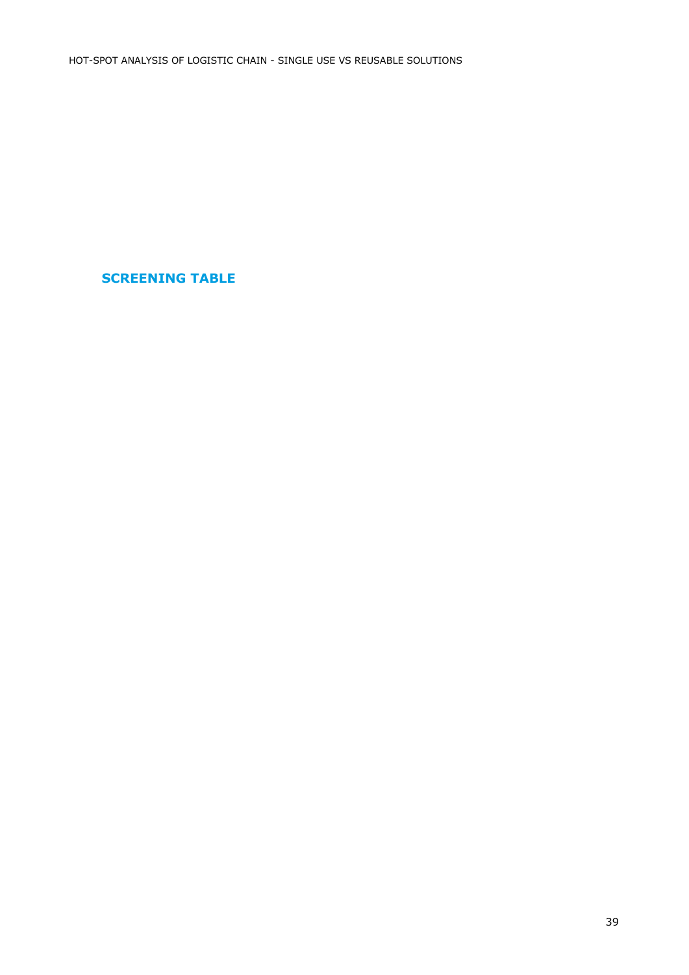**SCREENING TABLE**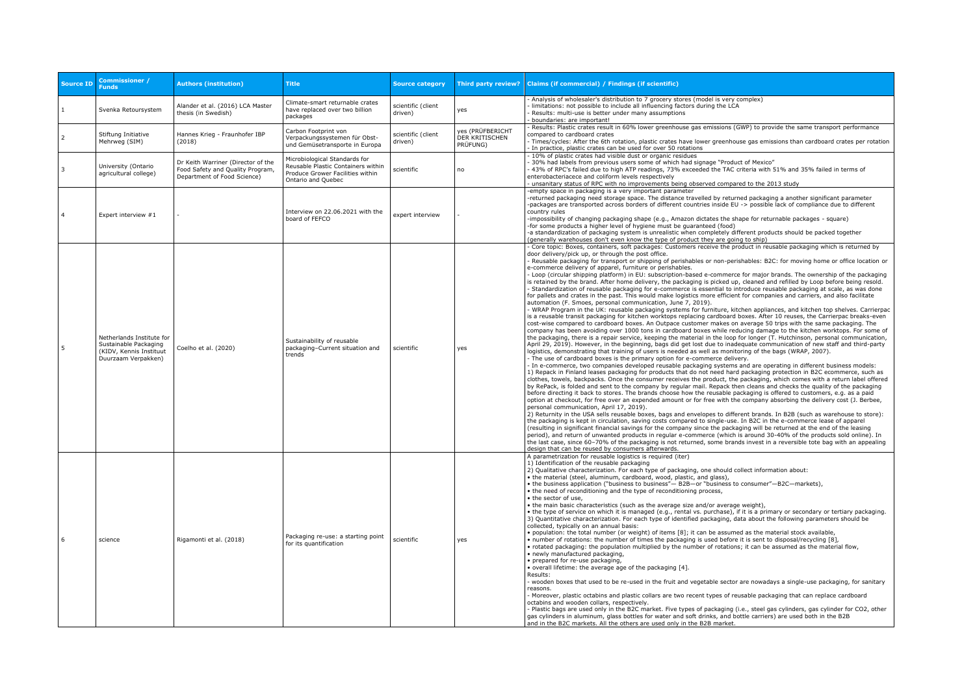| <b>Source ID</b> | <b>Commissioner /</b><br><b>Funds</b>                                                                | <b>Authors (institution)</b>                                                                          | <b>Title</b>                                                                                                                  | <b>Source category</b>        | Third party review?                                   | Claims (if commercial) / Findings (if scientific)                                                                                                                                                                                                                                                                                                                                                                                                                                                                                                                                                                                                                                                                                                                                                                                                                                                                                                                                                                                                                                                                                                                                                                                                                                                                                                                                                                                                                                                                                                                                                                                                                                                                                                                                                                                                                                                                                                                                                                                                                                                                                                                                                                                                                                                                                                                                                                                                                                                                                                                                                                                                                                                                                                                                                                                                                                                                                                                                                                                                                                                                                                                                                                                                                                                                                                                                                                                                           |
|------------------|------------------------------------------------------------------------------------------------------|-------------------------------------------------------------------------------------------------------|-------------------------------------------------------------------------------------------------------------------------------|-------------------------------|-------------------------------------------------------|-------------------------------------------------------------------------------------------------------------------------------------------------------------------------------------------------------------------------------------------------------------------------------------------------------------------------------------------------------------------------------------------------------------------------------------------------------------------------------------------------------------------------------------------------------------------------------------------------------------------------------------------------------------------------------------------------------------------------------------------------------------------------------------------------------------------------------------------------------------------------------------------------------------------------------------------------------------------------------------------------------------------------------------------------------------------------------------------------------------------------------------------------------------------------------------------------------------------------------------------------------------------------------------------------------------------------------------------------------------------------------------------------------------------------------------------------------------------------------------------------------------------------------------------------------------------------------------------------------------------------------------------------------------------------------------------------------------------------------------------------------------------------------------------------------------------------------------------------------------------------------------------------------------------------------------------------------------------------------------------------------------------------------------------------------------------------------------------------------------------------------------------------------------------------------------------------------------------------------------------------------------------------------------------------------------------------------------------------------------------------------------------------------------------------------------------------------------------------------------------------------------------------------------------------------------------------------------------------------------------------------------------------------------------------------------------------------------------------------------------------------------------------------------------------------------------------------------------------------------------------------------------------------------------------------------------------------------------------------------------------------------------------------------------------------------------------------------------------------------------------------------------------------------------------------------------------------------------------------------------------------------------------------------------------------------------------------------------------------------------------------------------------------------------------------------------------------------|
|                  | Svenka Retoursystem                                                                                  | Alander et al. (2016) LCA Master<br>thesis (in Swedish)                                               | Climate-smart returnable crates<br>have replaced over two billion<br>packages                                                 | scientific (client<br>driven) | yes                                                   | Analysis of wholesaler's distribution to 7 grocery stores (model is very complex)<br>limitations: not possible to include all influencing factors during the LCA<br>Results: multi-use is better under many assumptions<br>boundaries: are important!                                                                                                                                                                                                                                                                                                                                                                                                                                                                                                                                                                                                                                                                                                                                                                                                                                                                                                                                                                                                                                                                                                                                                                                                                                                                                                                                                                                                                                                                                                                                                                                                                                                                                                                                                                                                                                                                                                                                                                                                                                                                                                                                                                                                                                                                                                                                                                                                                                                                                                                                                                                                                                                                                                                                                                                                                                                                                                                                                                                                                                                                                                                                                                                                       |
|                  | Stiftung Initiative<br>Mehrweg (SIM)                                                                 | Hannes Krieg - Fraunhofer IBP<br>(2018)                                                               | Carbon Footprint von<br>Verpackungssystemen für Obst-<br>und Gemüsetransporte in Europa                                       | scientific (client<br>driven) | ves (PRÜFBERICHT<br><b>DER KRITISCHEN</b><br>PRÜFUNG) | Results: Plastic crates result in 60% lower greenhouse gas emissions (GWP) to provide the same transport performance<br>compared to cardboard crates<br>Times/cycles: After the 6th rotation, plastic crates have lower greenhouse gas emissions than cardboard crates per rotatio<br>In practice, plastic crates can be used for over 50 rotations                                                                                                                                                                                                                                                                                                                                                                                                                                                                                                                                                                                                                                                                                                                                                                                                                                                                                                                                                                                                                                                                                                                                                                                                                                                                                                                                                                                                                                                                                                                                                                                                                                                                                                                                                                                                                                                                                                                                                                                                                                                                                                                                                                                                                                                                                                                                                                                                                                                                                                                                                                                                                                                                                                                                                                                                                                                                                                                                                                                                                                                                                                         |
| 3                | University (Ontario<br>agricultural college)                                                         | Dr Keith Warriner (Director of the<br>Food Safety and Quality Program,<br>Department of Food Science) | Microbiological Standards for<br>Reusable Plastic Containers within<br>Produce Grower Facilities within<br>Ontario and Quebec | scientific                    | no                                                    | - 10% of plastic crates had visible dust or organic residues<br>- 30% had labels from previous users some of which had signage "Product of Mexico"<br>- 43% of RPC's failed due to high ATP readings, 73% exceeded the TAC criteria with 51% and 35% failed in terms of<br>enterobacteriacece and coliform levels respectively<br>- unsanitary status of RPC with no improvements being observed compared to the 2013 study                                                                                                                                                                                                                                                                                                                                                                                                                                                                                                                                                                                                                                                                                                                                                                                                                                                                                                                                                                                                                                                                                                                                                                                                                                                                                                                                                                                                                                                                                                                                                                                                                                                                                                                                                                                                                                                                                                                                                                                                                                                                                                                                                                                                                                                                                                                                                                                                                                                                                                                                                                                                                                                                                                                                                                                                                                                                                                                                                                                                                                 |
| 4                | Expert interview #1                                                                                  |                                                                                                       | Interview on 22.06.2021 with the<br>board of FEFCO                                                                            | expert interview              |                                                       | empty space in packaging is a very important parameter<br>returned packaging need storage space. The distance travelled by returned packaging a another significant parameter<br>-packages are transported across borders of different countries inside EU -> possible lack of compliance due to different<br>country rules<br>impossibility of changing packaging shape (e.g., Amazon dictates the shape for returnable packages - square)<br>-for some products a higher level of hygiene must be guaranteed (food)<br>-a standardization of packaging system is unrealistic when completely different products should be packed together<br>(generally warehouses don't even know the type of product they are going to ship)                                                                                                                                                                                                                                                                                                                                                                                                                                                                                                                                                                                                                                                                                                                                                                                                                                                                                                                                                                                                                                                                                                                                                                                                                                                                                                                                                                                                                                                                                                                                                                                                                                                                                                                                                                                                                                                                                                                                                                                                                                                                                                                                                                                                                                                                                                                                                                                                                                                                                                                                                                                                                                                                                                                            |
| 5                | Netherlands Institute for<br>Sustainable Packaging<br>(KIDV, Kennis Instituut<br>Duurzaam Verpakken) | Coelho et al. (2020)                                                                                  | Sustainability of reusable<br>packaging-Current situation and<br>trends                                                       | scientific                    | yes                                                   | - Core topic: Boxes, containers, soft packages: Customers receive the product in reusable packaging which is returned by<br>door delivery/pick up, or through the post office.<br>Reusable packaging for transport or shipping of perishables or non-perishables: B2C: for moving home or office location or<br>e-commerce delivery of apparel, furniture or perishables.<br>- Loop (circular shipping platform) in EU: subscription-based e-commerce for major brands. The ownership of the packaging<br>is retained by the brand. After home delivery, the packaging is picked up, cleaned and refilled by Loop before being resold.<br>Standardization of reusable packaging for e-commerce is essential to introduce reusable packaging at scale, as was done<br>for pallets and crates in the past. This would make logistics more efficient for companies and carriers, and also facilitate<br>automation (F. Smoes, personal communication, June 7, 2019).<br>- WRAP Program in the UK: reusable packaging systems for furniture, kitchen appliances, and kitchen top shelves. Carrierpa<br>is a reusable transit packaging for kitchen worktops replacing cardboard boxes. After 10 reuses, the Carrierpac breaks-even<br>cost-wise compared to cardboard boxes. An Outpace customer makes on average 50 trips with the same packaging. The<br>company has been avoiding over 1000 tons in cardboard boxes while reducing damage to the kitchen worktops. For some of<br>the packaging, there is a repair service, keeping the material in the loop for longer (T. Hutchinson, personal communication,<br>April 29, 2019). However, in the beginning, bags did get lost due to inadequate communication of new staff and third-party<br>logistics, demonstrating that training of users is needed as well as monitoring of the bags (WRAP, 2007).<br>- The use of cardboard boxes is the primary option for e-commerce delivery.<br>In e-commerce, two companies developed reusable packaging systems and are operating in different business models:<br>1) Repack in Finland leases packaging for products that do not need hard packaging protection in B2C ecommerce, such as<br>clothes, towels, backpacks. Once the consumer receives the product, the packaging, which comes with a return label offered<br>by RePack, is folded and sent to the company by regular mail. Repack then cleans and checks the quality of the packaging<br>before directing it back to stores. The brands choose how the reusable packaging is offered to customers, e.g. as a paid<br>option at checkout, for free over an expended amount or for free with the company absorbing the delivery cost (J. Berbee,<br>personal communication, April 17, 2019).<br>2) Returnity in the USA sells reusable boxes, bags and envelopes to different brands. In B2B (such as warehouse to store):<br>the packaging is kept in circulation, saving costs compared to single-use. In B2C in the e-commerce lease of apparel<br>(resulting in significant financial savings for the company since the packaging will be returned at the end of the leasing<br>period), and return of unwanted products in regular e-commerce (which is around 30-40% of the products sold online). In<br>the last case, since 60-70% of the packaging is not returned, some brands invest in a reversible tote bag with an appealing<br>design that can be reused by consumers afterwards. |
| 6                | science                                                                                              | Rigamonti et al. (2018)                                                                               | Packaging re-use: a starting point<br>for its quantification                                                                  | scientific                    | yes                                                   | A parametrization for reusable logistics is required (iter)<br>1) Identification of the reusable packaging<br>2) Qualitative characterization. For each type of packaging, one should collect information about:<br>• the material (steel, aluminum, cardboard, wood, plastic, and glass),<br>• the business application ("business to business" - B2B-or "business to consumer"-B2C-markets),<br>• the need of reconditioning and the type of reconditioning process,<br>• the sector of use.<br>• the main basic characteristics (such as the average size and/or average weight),<br>• the type of service on which it is managed (e.g., rental vs. purchase), if it is a primary or secondary or tertiary packaging.<br>3) Quantitative characterization. For each type of identified packaging, data about the following parameters should be<br>collected, typically on an annual basis:<br>• population: the total number (or weight) of items [8]; it can be assumed as the material stock available,<br>• number of rotations: the number of times the packaging is used before it is sent to disposal/recycling [8],<br>• rotated packaging: the population multiplied by the number of rotations; it can be assumed as the material flow,<br>• newly manufactured packaging,<br>• prepared for re-use packaging,<br>• overall lifetime: the average age of the packaging [4].<br>Results:<br>wooden boxes that used to be re-used in the fruit and vegetable sector are nowadays a single-use packaging, for sanitary<br>reasons.<br>Moreover, plastic octabins and plastic collars are two recent types of reusable packaging that can replace cardboard<br>octabins and wooden collars, respectively.<br>- Plastic bags are used only in the B2C market. Five types of packaging (i.e., steel gas cylinders, gas cylinder for CO2, other<br>gas cylinders in aluminum, glass bottles for water and soft drinks, and bottle carriers) are used both in the B2B<br>and in the B2C markets. All the others are used only in the B2B market.                                                                                                                                                                                                                                                                                                                                                                                                                                                                                                                                                                                                                                                                                                                                                                                                                                                                                                                                                                                                                                                                                                                                                                                                                                                                                                                                                                                                       |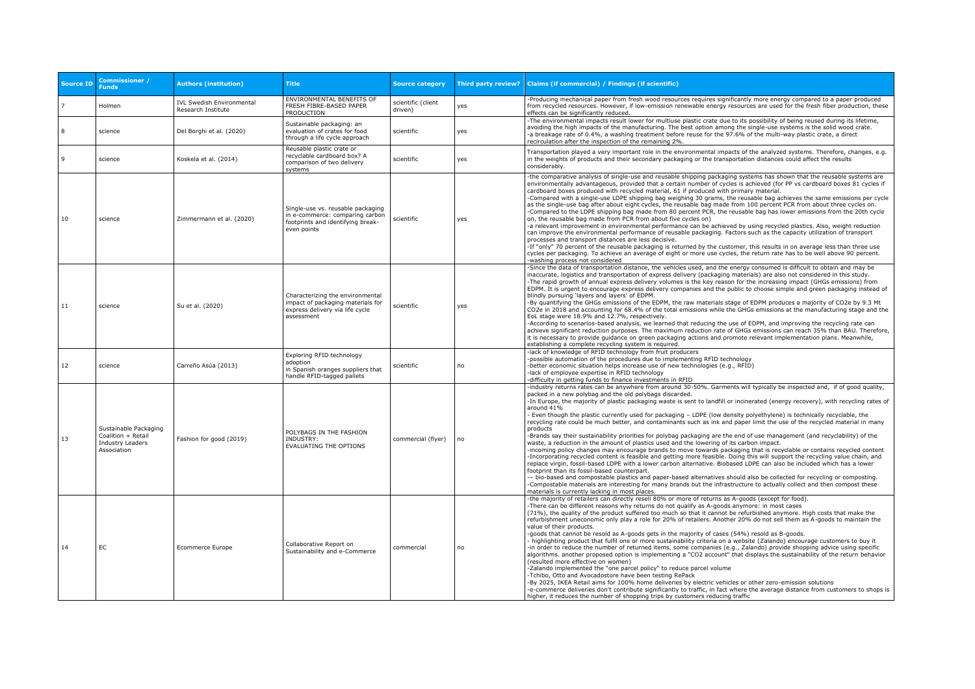| <b>Source ID</b> | <b>Commissioner /</b><br><b>Funds</b>                                                 | <b>Authors (institution)</b>                           | <b>Title</b>                                                                                                             | <b>Source category</b>        | Third party review? | Claims (if commercial) / Findings (if scientific)                                                                                                                                                                                                                                                                                                                                                                                                                                                                                                                                                                                                                                                                                                                                                                                                                                                                                                                                                                                                                                                                                       |
|------------------|---------------------------------------------------------------------------------------|--------------------------------------------------------|--------------------------------------------------------------------------------------------------------------------------|-------------------------------|---------------------|-----------------------------------------------------------------------------------------------------------------------------------------------------------------------------------------------------------------------------------------------------------------------------------------------------------------------------------------------------------------------------------------------------------------------------------------------------------------------------------------------------------------------------------------------------------------------------------------------------------------------------------------------------------------------------------------------------------------------------------------------------------------------------------------------------------------------------------------------------------------------------------------------------------------------------------------------------------------------------------------------------------------------------------------------------------------------------------------------------------------------------------------|
|                  | Holmen                                                                                | <b>IVL Swedish Environmental</b><br>Research Institute | ENVIRONMENTAL BENEFITS OF<br>FRESH FIBRE-BASED PAPER<br><b>PRODUCTION</b>                                                | scientific (client<br>driven) | yes                 | -Producing mechanical paper from fresh wood resources requires significantly<br>from recycled resources. However, if low-emission renewable energy resource<br>effects can be significantly reduced.                                                                                                                                                                                                                                                                                                                                                                                                                                                                                                                                                                                                                                                                                                                                                                                                                                                                                                                                    |
| 8                | science                                                                               | Del Borghi et al. (2020)                               | Sustainable packaging: an<br>evaluation of crates for food<br>through a life cycle approach                              | scientific                    | yes                 | -The environmental impacts result lower for multiuse plastic crate due to its po<br>avoiding the high impacts of the manufacturing. The best option among the sir<br>-a breakage rate of 0.4%, a washing treatment before reuse for the 97.6% of<br>recirculation after the inspection of the remaining 2%.                                                                                                                                                                                                                                                                                                                                                                                                                                                                                                                                                                                                                                                                                                                                                                                                                             |
| 9                | science                                                                               | Koskela et al. (2014)                                  | Reusable plastic crate or<br>recyclable cardboard box? A<br>comparison of two delivery<br>systems                        | scientific                    | yes                 | Transportation played a very important role in the environmental impacts of th<br>in the weights of products and their secondary packaging or the transportation<br>considerably.                                                                                                                                                                                                                                                                                                                                                                                                                                                                                                                                                                                                                                                                                                                                                                                                                                                                                                                                                       |
| 10               | science                                                                               | Zimmermann et al. (2020)                               | Single-use vs. reusable packaging<br>in e-commerce: comparing carbon<br>footprints and identifying break-<br>even points | scientific                    | yes                 | -the comparative analysis of single-use and reusable shipping packaging syste<br>environmentally advantageous, provided that a certain number of cycles is ach<br>cardboard boxes produced with recycled material, 61 if produced with primary<br>-Compared with a single-use LDPE shipping bag weighing 30 grams, the reusa<br>as the single-use bag after about eight cycles, the reusable bag made from 10<br>-Compared to the LDPE shipping bag made from 80 percent PCR, the reusable<br>on, the reusable bag made from PCR from about five cycles on)<br>-a relevant improvement in environmental performance can be achieved by us<br>can improve the environmental performance of reusable packaging. Factors su<br>processes and transport distances are less decisive.<br>-If "only" 70 percent of the reusable packaging is returned by the customer, the<br>cycles per packaging. To achieve an average of eight or more use cycles, the r<br>-washing process not considered                                                                                                                                               |
| 11               | science                                                                               | Su et al. (2020)                                       | Characterizing the environmental<br>impact of packaging materials for<br>express delivery via life cycle<br>assessment   | scientific                    | yes                 | -Since the data of transportation distance, the vehicles used, and the energy o<br>inaccurate, logistics and transportation of express delivery (packaging materia<br>-The rapid growth of annual express delivery volumes is the key reason for the<br>EDPM. It is urgent to encourage express delivery companies and the public to<br>blindly pursuing 'layers and layers' of EDPM.<br>-By quantifying the GHGs emissions of the EDPM, the raw materials stage of E<br>CO2e in 2018 and accounting for 68.4% of the total emissions while the GHGs<br>EoL stage were 18.9% and 12.7%, respectively.<br>-According to scenarios-based analysis, we learned that reducing the use of EI<br>achieve significant reduction purposes. The maximum reduction rate of GHGs<br>it is necessary to provide guidance on green packaging actions and promote re<br>establishing a complete recycling system is required.                                                                                                                                                                                                                         |
| 12               | science                                                                               | Carreño Asúa (2013)                                    | Exploring RFID technology<br>adoption<br>in Spanish oranges suppliers that<br>handle RFID-tagged pallets                 | scientific                    | no                  | -lack of knowledge of RFID technology from fruit producers<br>-possible automation of the procedures due to implementing RFID technology<br>-better economic situation helps increase use of new technologies (e.g., RFID)<br>-lack of employee expertise in RFID technology<br>-difficulty in getting funds to finance investments in RFID                                                                                                                                                                                                                                                                                                                                                                                                                                                                                                                                                                                                                                                                                                                                                                                             |
| 13               | Sustainable Packaging<br>Coalition + Retail<br><b>Industry Leaders</b><br>Association | Fashion for good (2019)                                | POLYBAGS IN THE FASHION<br>INDUSTRY:<br>EVALUATING THE OPTIONS                                                           | commercial (flyer)            | no                  | -industry returns rates can be anywhere from around 30-50%. Garments will<br>packed in a new polybag and the old polybags discarded.<br>-In Europe, the majority of plastic packaging waste is sent to landfill or inciner<br>around 41%<br>- Even though the plastic currently used for packaging - LDPE (low density po<br>recycling rate could be much better, and contaminants such as ink and paper<br>products<br>-Brands say their sustainability priorities for polybag packaging are the end of<br>waste, a reduction in the amount of plastics used and the lowering of its carbo<br>-incoming policy changes may encourage brands to move towards packaging t<br>-Incorporating recycled content is feasible and getting more feasible. Doing th<br>replace virgin, fossil-based LDPE with a lower carbon alternative. Biobased LDI<br>footprint than its fossil-based counterpart.<br>-- bio-based and compostable plastics and paper-based alternatives should als<br>-Compostable materials are interesting for many brands but the infrastructure<br>materials is currently lacking in most places.                      |
| 14               | EC                                                                                    | <b>Ecommerce Europe</b>                                | Collaborative Report on<br>Sustainability and e-Commerce                                                                 | commercial                    | no                  | -the majority of retailers can directly resell 80% or more of returns as A-good<br>-There can be different reasons why returns do not qualify as A-goods anymor<br>(71%), the quality of the product suffered too much so that it cannot be refurl<br>refurbishment uneconomic only play a role for 20% of retailers. Another 20%<br>value of their products.<br>-goods that cannot be resold as A-goods gets in the majority of cases (54%) r<br>- highlighting product that fulfil one or more sustainability criteria on a website<br>-in order to reduce the number of returned items, some companies (e.g., Zala<br>algorithms. another proposed option is implementing a "CO2 account" that dis<br>(resulted more effective on women)<br>-Zalando implemented the "one parcel policy" to reduce parcel volume<br>-Tchibo, Otto and Avocadostore have been testing RePack<br>-By 2025, IKEA Retail aims for 100% home deliveries by electric vehicles or ot<br>-e-commerce deliveries don't contribute significantly to traffic, in fact where th<br>higher, it reduces the number of shopping trips by customers reducing traffic |

icantly more energy compared to a paper produced esources are used for the fresh fiber production, these

to its possibility of being reused during its lifetime, ath impacts of the solid wood crate. The single-use systems is the solid wood crate. .6% of the multi-way plastic crate, a direct

tts of the analyzed systems. Therefore, changes, e.g. In the weights of products and the transportation distances could affect the results

ig systems has shown that the reusable systems are  $\frac{3}{2}$  is achieved (for PP vs cardboard boxes 81 cycles if primary material.

-Comparity-use Compared with a single-use shipping in the reusable bag achieves the same emissions per cycle from 100 percent PCR from about three cycles on. eusable bag has lower emissions from the 20th cycle

d by using recycled plastics. Also, weight reduction ctors such as the capacity utilization of transport

mer, this results in on average less than three use es, the return rate has to be well above 90 percent.

nergy consumed is difficult to obtain and may be materials) are also not considered in this study. If for the increasing impact (GHGs emissions) from iblic to choose simple and green packaging instead of

ge of EDPM produces a majority of CO2e by 9.3 Mt  $\frac{5}{2}$  GHGs emissions at the manufacturing stage and the

se of EDPM, and improving the recycling rate can GHGs emissions can reach 35% than BAU. Therefore, mote relevant implementation plans. Meanwhile,

its will typically be inspected and, if of good quality,

incinerated (energy recovery), with recycling rates of

isity polyethylene) is technically recyclable, the paper limit the use of the recycled material in many

end of use management (and recyclability) of the s carbon impact.

aging that is recyclable or contains recycled content oing this will support the recycling value chain, and sed LDPE can also be included which has a lower

ould also be collected for recycling or composting. ructure to actually collect and then compost these

A-goods (except for food).  $T$ an  $v$ more: in most cases

e refurbished anymore. High costs that make the r 20% do not sell them as A-goods to maintain the

 $(54\%)$  resold as B-goods.

website (Zalando) encourage customers to buy it g., Zalando) provide shopping advice using specific that displays the sustainability of the return behavior

es or other zero-emission solutions here the average distance from customers to shops is traffic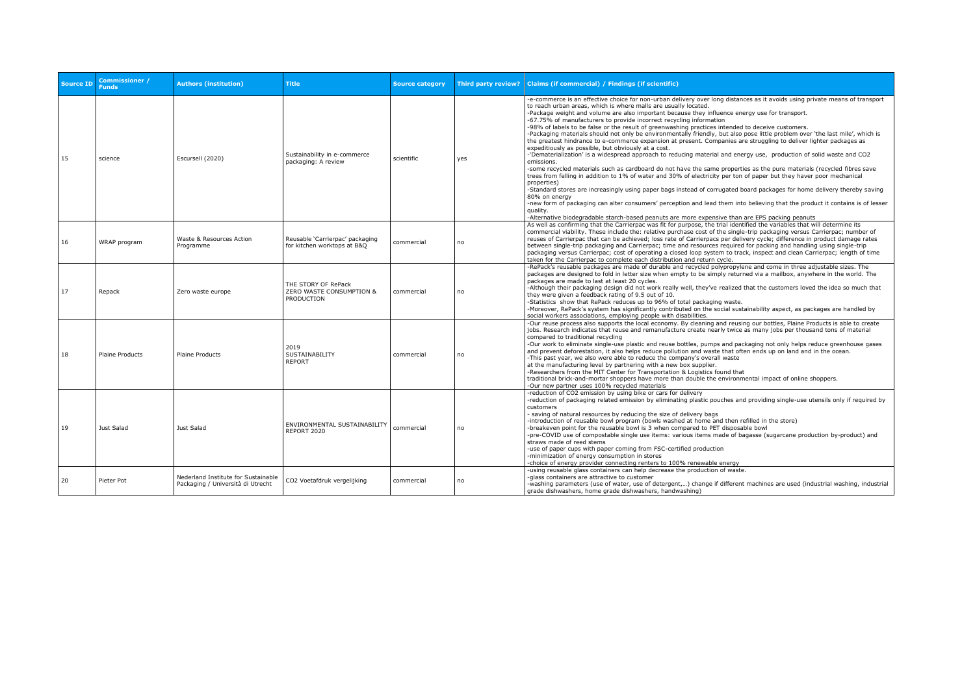| <b>Source ID</b> | Commissioner /<br><b>Funds</b> | <b>Authors (institution)</b>                                             | <b>Title</b>                                                   | <b>Source category</b> | Third party review? | Claims (if commercial) / Findings (if scientific)                                                                                                                                                                                                                                                                                                                                                                                                                                                                                                                                                                                                                                                                                                                                                                                                                                                                                                                                                                                                                                                                                                                                                                                                                                                                                                                                                                                                                                                                                                                                           |
|------------------|--------------------------------|--------------------------------------------------------------------------|----------------------------------------------------------------|------------------------|---------------------|---------------------------------------------------------------------------------------------------------------------------------------------------------------------------------------------------------------------------------------------------------------------------------------------------------------------------------------------------------------------------------------------------------------------------------------------------------------------------------------------------------------------------------------------------------------------------------------------------------------------------------------------------------------------------------------------------------------------------------------------------------------------------------------------------------------------------------------------------------------------------------------------------------------------------------------------------------------------------------------------------------------------------------------------------------------------------------------------------------------------------------------------------------------------------------------------------------------------------------------------------------------------------------------------------------------------------------------------------------------------------------------------------------------------------------------------------------------------------------------------------------------------------------------------------------------------------------------------|
| 15               | science                        | Escursell (2020)                                                         | Sustainability in e-commerce<br>packaging: A review            | scientific             | yes                 | e-commerce is an effective choice for non-urban delivery over long distances as it avoids using private means of transport<br>to reach urban areas, which is where malls are usually located.<br>-Package weight and volume are also important because they influence energy use for transport.<br>-67.75% of manufacturers to provide incorrect recycling information<br>-98% of labels to be false or the result of greenwashing practices intended to deceive customers.<br>Packaging materials should not only be environmentally friendly, but also pose little problem over 'the last mile', which is<br>the greatest hindrance to e-commerce expansion at present. Companies are struggling to deliver lighter packages as<br>expeditiously as possible, but obviously at a cost.<br>'Dematerialization' is a widespread approach to reducing material and energy use, production of solid waste and CO2<br>emissions.<br>-some recycled materials such as cardboard do not have the same properties as the pure materials (recycled fibres save<br>trees from felling in addition to 1% of water and 30% of electricity per ton of paper but they haver poor mechanical<br>properties)<br>-Standard stores are increasingly using paper bags instead of corrugated board packages for home delivery thereby saving<br>80% on energy<br>-new form of packaging can alter consumers' perception and lead them into believing that the product it contains is of lesser<br>quality.<br>-Alternative biodegradable starch-based peanuts are more expensive than are EPS packing peanuts |
| 16               | WRAP program                   | Waste & Resources Action<br>Programme                                    | Reusable 'Carrierpac' packaging<br>for kitchen worktops at B&Q | commercial             | no                  | As well as confirming that the Carrierpac was fit for purpose, the trial identified the variables that will determine its<br>commercial viability. These include the: relative purchase cost of the single-trip packaging versus Carrierpac; number of<br>reuses of Carrierpac that can be achieved; loss rate of Carrierpacs per delivery cycle; difference in product damage rates<br>between single-trip packaging and Carrierpac; time and resources required for packing and handling using single-trip<br>packaging versus Carrierpac; cost of operating a closed loop system to track, inspect and clean Carrierpac; length of time<br>taken for the Carrierpac to complete each distribution and return cycle.                                                                                                                                                                                                                                                                                                                                                                                                                                                                                                                                                                                                                                                                                                                                                                                                                                                                      |
| 17               | Repack                         | Zero waste europe                                                        | THE STORY OF RePack<br>ZERO WASTE CONSUMPTION &<br>PRODUCTION  | commercial             | no                  | -RePack's reusable packages are made of durable and recycled polypropylene and come in three adjustable sizes. The<br>packages are designed to fold in letter size when empty to be simply returned via a mailbox, anywhere in the world. The<br>packages are made to last at least 20 cycles.<br>-Although their packaging design did not work really well, they've realized that the customers loved the idea so much that<br>they were given a feedback rating of 9.5 out of 10.<br>-Statistics show that RePack reduces up to 96% of total packaging waste.<br>Moreover, RePack's system has significantly contributed on the social sustainability aspect, as packages are handled by<br>social workers associations, employing people with disabilities.                                                                                                                                                                                                                                                                                                                                                                                                                                                                                                                                                                                                                                                                                                                                                                                                                              |
| 18               | <b>Plaine Products</b>         | <b>Plaine Products</b>                                                   | 2019<br>SUSTAINABILITY<br><b>REPORT</b>                        | commercial             | no                  | Our reuse process also supports the local economy. By cleaning and reusing our bottles, Plaine Products is able to create<br>jobs. Research indicates that reuse and remanufacture create nearly twice as many jobs per thousand tons of material<br>compared to traditional recycling<br>-Our work to eliminate single-use plastic and reuse bottles, pumps and packaging not only helps reduce greenhouse gases<br>and prevent deforestation, it also helps reduce pollution and waste that often ends up on land and in the ocean.<br>This past year, we also were able to reduce the company's overall waste<br>at the manufacturing level by partnering with a new box supplier.<br>Researchers from the MIT Center for Transportation & Logistics found that<br>traditional brick-and-mortar shoppers have more than double the environmental impact of online shoppers.<br>-Our new partner uses 100% recycled materials                                                                                                                                                                                                                                                                                                                                                                                                                                                                                                                                                                                                                                                             |
| 19               | Just Salad                     | Just Salad                                                               | ENVIRONMENTAL SUSTAINABILITY<br>REPORT 2020                    | commercial             | no                  | reduction of CO2 emission by using bike or cars for delivery<br>reduction of packaging related emission by eliminating plastic pouches and providing single-use utensils only if required by<br>customers<br>saving of natural resources by reducing the size of delivery bags<br>introduction of reusable bowl program (bowls washed at home and then refilled in the store)<br>breakeven point for the reusable bowl is 3 when compared to PET disposable bowl<br>pre-COVID use of compostable single use items: various items made of bagasse (sugarcane production by-product) and<br>straws made of reed stems<br>use of paper cups with paper coming from FSC-certified production<br>minimization of energy consumption in stores<br>choice of energy provider connecting renters to 100% renewable energy                                                                                                                                                                                                                                                                                                                                                                                                                                                                                                                                                                                                                                                                                                                                                                           |
| 20               | Pieter Pot                     | Nederland Institute for Sustainable<br>Packaging / Università di Utrecht | CO2 Voetafdruk vergelijking                                    | commercial             | no                  | using reusable glass containers can help decrease the production of waste.<br>glass containers are attractive to customer<br>washing parameters (use of water, use of detergent,) change if different machines are used (industrial washing, industrial<br>grade dishwashers, home grade dishwashers, handwashing)                                                                                                                                                                                                                                                                                                                                                                                                                                                                                                                                                                                                                                                                                                                                                                                                                                                                                                                                                                                                                                                                                                                                                                                                                                                                          |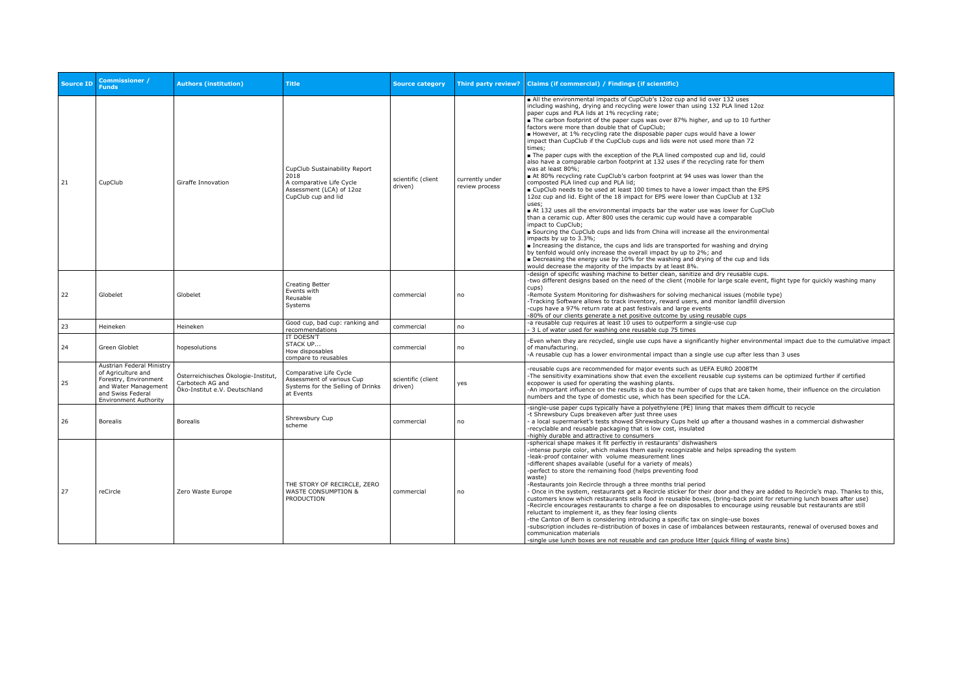| <b>Source ID</b> | <b>Commissioner /</b><br><b>Funds</b>                                                                                                                 | <b>Authors (institution)</b>                                                             | <b>Title</b>                                                                                                         | <b>Source category</b>        | <b>Third party review?</b>        | Claims (if commercial) / Findings (if scientific)                                                                                                                                                                                                                                                                                                                                                                                                                                                                                                                                                                                                                                                                                                                                                                                                                                                                                                                                                                                                                                                                                                                                                                                                                                                                                                                                                                                                                                                                                                                                                                                                                  |
|------------------|-------------------------------------------------------------------------------------------------------------------------------------------------------|------------------------------------------------------------------------------------------|----------------------------------------------------------------------------------------------------------------------|-------------------------------|-----------------------------------|--------------------------------------------------------------------------------------------------------------------------------------------------------------------------------------------------------------------------------------------------------------------------------------------------------------------------------------------------------------------------------------------------------------------------------------------------------------------------------------------------------------------------------------------------------------------------------------------------------------------------------------------------------------------------------------------------------------------------------------------------------------------------------------------------------------------------------------------------------------------------------------------------------------------------------------------------------------------------------------------------------------------------------------------------------------------------------------------------------------------------------------------------------------------------------------------------------------------------------------------------------------------------------------------------------------------------------------------------------------------------------------------------------------------------------------------------------------------------------------------------------------------------------------------------------------------------------------------------------------------------------------------------------------------|
| 21               | CupClub                                                                                                                                               | Giraffe Innovation                                                                       | CupClub Sustainability Report<br>2018<br>A comparative Life Cycle<br>Assessment (LCA) of 12oz<br>CupClub cup and lid | scientific (client<br>driven) | currently under<br>review process | All the environmental impacts of CupClub's 12oz cup and lid over 132 uses<br>including washing, drying and recycling were lower than using 132 PLA lined 12oz<br>paper cups and PLA lids at 1% recycling rate;<br>The carbon footprint of the paper cups was over 87% higher, and up to 10 further<br>factors were more than double that of CupClub;<br>However, at 1% recycling rate the disposable paper cups would have a lower<br>impact than CupClub if the CupClub cups and lids were not used more than 72<br>times:<br>The paper cups with the exception of the PLA lined composted cup and lid, could<br>also have a comparable carbon footprint at 132 uses if the recycling rate for them<br>was at least 80%;<br>At 80% recycling rate CupClub's carbon footprint at 94 uses was lower than the<br>composted PLA lined cup and PLA lid;<br>■ CupClub needs to be used at least 100 times to have a lower impact than the EPS<br>12oz cup and lid. Eight of the 18 impact for EPS were lower than CupClub at 132<br>uses;<br>At 132 uses all the environmental impacts bar the water use was lower for CupClub<br>than a ceramic cup. After 800 uses the ceramic cup would have a comparable<br>impact to CupClub;<br>Sourcing the CupClub cups and lids from China will increase all the environmental<br>impacts by up to 3.3%;<br>Increasing the distance, the cups and lids are transported for washing and drying<br>by tenfold would only increase the overall impact by up to 2%; and<br>$\bullet$ Decreasing the energy use by 10% for the washing and drying of the cup and lids<br>would decrease the majority of the impacts by at least 8%. |
| 22               | Globelet                                                                                                                                              | Globelet                                                                                 | <b>Creating Better</b><br>Events with<br>Reusable<br>Systems                                                         | commercial                    | no                                | -design of specific washing machine to better clean, sanitize and dry reusable cups.<br>-two different designs based on the need of the client (mobile for large scale event, flight type for quickly washing many<br>cups)<br>-Remote System Monitoring for dishwashers for solving mechanical issues (mobile type)<br>-Tracking Software allows to track inventory, reward users, and monitor landfill diversion<br>-cups have a 97% return rate at past festivals and large events<br>-80% of our clients generate a net positive outcome by using reusable cups                                                                                                                                                                                                                                                                                                                                                                                                                                                                                                                                                                                                                                                                                                                                                                                                                                                                                                                                                                                                                                                                                                |
| 23               | Heineken                                                                                                                                              | Heineken                                                                                 | Good cup, bad cup: ranking and<br>recommendations                                                                    | commercial                    | no                                | -a reusable cup requires at least 10 uses to outperform a single-use cup<br>- 3 L of water used for washing one reusable cup 75 times                                                                                                                                                                                                                                                                                                                                                                                                                                                                                                                                                                                                                                                                                                                                                                                                                                                                                                                                                                                                                                                                                                                                                                                                                                                                                                                                                                                                                                                                                                                              |
| 24               | Green Globlet                                                                                                                                         | hopesolutions                                                                            | IT DOESN'T<br>STACK UP<br>How disposables<br>compare to reusables                                                    | commercial                    | no                                | -Even when they are recycled, single use cups have a significantly higher environmental impact due to the cumulative impact<br>of manufacturing.<br>-A reusable cup has a lower environmental impact than a single use cup after less than 3 uses                                                                                                                                                                                                                                                                                                                                                                                                                                                                                                                                                                                                                                                                                                                                                                                                                                                                                                                                                                                                                                                                                                                                                                                                                                                                                                                                                                                                                  |
| 25               | Austrian Federal Ministry<br>of Agriculture and<br>Forestry, Environment<br>and Water Management<br>and Swiss Federal<br><b>Environment Authority</b> | Österreichisches Ökologie-Institut,<br>Carbotech AG and<br>Öko-Institut e.V. Deutschland | Comparative Life Cycle<br>Assessment of various Cup<br>Systems for the Selling of Drinks<br>at Events                | scientific (client<br>driven) | yes                               | -reusable cups are recommended for major events such as UEFA EURO 2008TM<br>-The sensitivity examinations show that even the excellent reusable cup systems can be optimized further if certified<br>ecopower is used for operating the washing plants.<br>-An important influence on the results is due to the number of cups that are taken home, their influence on the circulation<br>numbers and the type of domestic use, which has been specified for the LCA.                                                                                                                                                                                                                                                                                                                                                                                                                                                                                                                                                                                                                                                                                                                                                                                                                                                                                                                                                                                                                                                                                                                                                                                              |
| 26               | <b>Borealis</b>                                                                                                                                       | <b>Borealis</b>                                                                          | Shrewsbury Cup<br>scheme                                                                                             | commercial                    | no                                | -single-use paper cups typically have a polyethylene (PE) lining that makes them difficult to recycle<br>-t Shrewsbury Cups breakeven after just three uses<br>- a local supermarket's tests showed Shrewsbury Cups held up after a thousand washes in a commercial dishwasher<br>-recyclable and reusable packaging that is low cost, insulated<br>-highly durable and attractive to consumers                                                                                                                                                                                                                                                                                                                                                                                                                                                                                                                                                                                                                                                                                                                                                                                                                                                                                                                                                                                                                                                                                                                                                                                                                                                                    |
| 27               | reCircle                                                                                                                                              | Zero Waste Europe                                                                        | THE STORY OF RECIRCLE, ZERO<br>WASTE CONSUMPTION &<br>PRODUCTION                                                     | commercial                    | no                                | -spherical shape makes it fit perfectly in restaurants' dishwashers<br>-intense purple color, which makes them easily recognizable and helps spreading the system<br>-leak-proof container with volume measurement lines<br>-different shapes available (useful for a variety of meals)<br>-perfect to store the remaining food (helps preventing food<br>waste)<br>-Restaurants join Recircle through a three months trial period<br>- Once in the system, restaurants get a Recircle sticker for their door and they are added to Recircle's map. Thanks to this,<br>customers know which restaurants sells food in reusable boxes, (bring-back point for returning lunch boxes after use)<br>-Recircle encourages restaurants to charge a fee on disposables to encourage using reusable but restaurants are still<br>reluctant to implement it, as they fear losing clients<br>-the Canton of Bern is considering introducing a specific tax on single-use boxes<br>-subscription includes re-distribution of boxes in case of imbalances between restaurants, renewal of overused boxes and<br>communication materials<br>-single use lunch boxes are not reusable and can produce litter (quick filling of waste bins)                                                                                                                                                                                                                                                                                                                                                                                                                                       |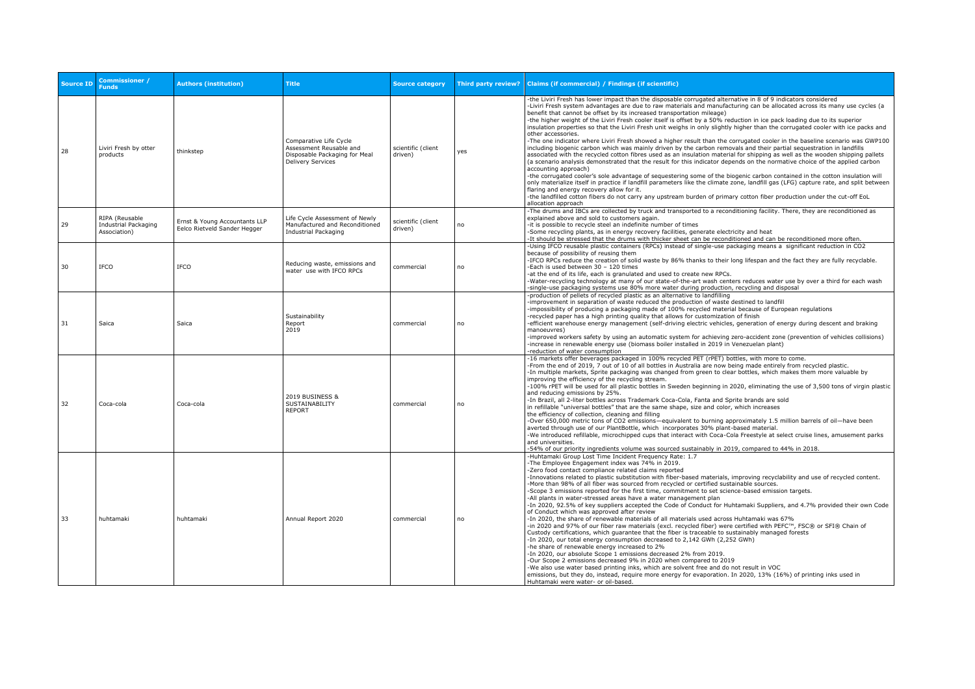| <b>Source ID</b> | <b>Commissioner /</b><br><b>Funds</b>                         | <b>Authors (institution)</b>                                  | <b>Title</b>                                                                                                   | <b>Source category</b>        | <b>Third party review?</b> | Claims (if commercial) / Findings (if scientific)                                                                                                                                                                                                                                                                                                                                                                                                                                                                                                                                                                                                                                                                                                                                                                                                                                                                                                                                                                                                                                                                                                                                                                                                                                                                                                                                                                                                                                                                                                                                                                                |  |  |  |  |
|------------------|---------------------------------------------------------------|---------------------------------------------------------------|----------------------------------------------------------------------------------------------------------------|-------------------------------|----------------------------|----------------------------------------------------------------------------------------------------------------------------------------------------------------------------------------------------------------------------------------------------------------------------------------------------------------------------------------------------------------------------------------------------------------------------------------------------------------------------------------------------------------------------------------------------------------------------------------------------------------------------------------------------------------------------------------------------------------------------------------------------------------------------------------------------------------------------------------------------------------------------------------------------------------------------------------------------------------------------------------------------------------------------------------------------------------------------------------------------------------------------------------------------------------------------------------------------------------------------------------------------------------------------------------------------------------------------------------------------------------------------------------------------------------------------------------------------------------------------------------------------------------------------------------------------------------------------------------------------------------------------------|--|--|--|--|
| 28               | Liviri Fresh by otter<br>products                             | thinkstep                                                     | Comparative Life Cycle<br>Assessment Reusable and<br>Disposable Packaging for Meal<br><b>Delivery Services</b> | scientific (client<br>driven) | yes                        | -the Liviri Fresh has lower impact than the disposable corrugated alternative in 8 of 9 indicators considered<br>-Liviri Fresh system advantages are due to raw materials and manufacturing can be allocated across its many use cycles (a<br>benefit that cannot be offset by its increased transportation mileage)<br>-the higher weight of the Liviri Fresh cooler itself is offset by a 50% reduction in ice pack loading due to its superior<br>insulation properties so that the Liviri Fresh unit weighs in only slightly higher than the corrugated cooler with ice packs and<br>other accessories.<br>-The one indicator where Liviri Fresh showed a higher result than the corrugated cooler in the baseline scenario was GWP100<br>including biogenic carbon which was mainly driven by the carbon removals and their partial sequestration in landfills<br>associated with the recycled cotton fibres used as an insulation material for shipping as well as the wooden shipping pallets<br>(a scenario analysis demonstrated that the result for this indicator depends on the normative choice of the applied carbon<br>accounting approach)<br>-the corrugated cooler's sole advantage of sequestering some of the biogenic carbon contained in the cotton insulation will<br>only materialize itself in practice if landfill parameters like the climate zone, landfill gas (LFG) capture rate, and split between<br>flaring and energy recovery allow for it.<br>-the landfilled cotton fibers do not carry any upstream burden of primary cotton fiber production under the cut-off EoL<br>allocation approach |  |  |  |  |
| 29               | RIPA (Reusable<br><b>Industrial Packaging</b><br>Association) | Ernst & Young Accountants LLP<br>Eelco Rietveld Sander Hegger | Life Cycle Assessment of Newly<br>Manufactured and Reconditioned<br>Industrial Packaging                       | scientific (client<br>driven) | no                         | -The drums and IBCs are collected by truck and transported to a reconditioning facility. There, they are reconditioned as<br>explained above and sold to customers again.<br>-it is possible to recycle steel an indefinite number of times<br>-Some recycling plants, as in energy recovery facilities, generate electricity and heat<br>-It should be stressed that the drums with thicker sheet can be reconditioned and can be reconditioned more often.                                                                                                                                                                                                                                                                                                                                                                                                                                                                                                                                                                                                                                                                                                                                                                                                                                                                                                                                                                                                                                                                                                                                                                     |  |  |  |  |
| 30               | <b>IFCO</b>                                                   | <b>IFCO</b>                                                   | Reducing waste, emissions and<br>water use with IFCO RPCs                                                      | commercial                    | no                         | -Using IFCO reusable plastic containers (RPCs) instead of single-use packaging means a significant reduction in CO2<br>because of possibility of reusing them<br>-IFCO RPCs reduce the creation of solid waste by 86% thanks to their long lifespan and the fact they are fully recyclable.<br>Each is used between 30 - 120 times<br>-at the end of its life, each is granulated and used to create new RPCs.<br>-Water-recycling technology at many of our state-of-the-art wash centers reduces water use by over a third for each wash<br>-single-use packaging systems use 80% more water during production, recycling and disposal                                                                                                                                                                                                                                                                                                                                                                                                                                                                                                                                                                                                                                                                                                                                                                                                                                                                                                                                                                                         |  |  |  |  |
| 31               | Saica                                                         | Saica                                                         | Sustainability<br>Report<br>2019                                                                               | commercial                    | no                         | production of pellets of recycled plastic as an alternative to landfilling<br>-improvement in separation of waste reduced the production of waste destined to landfill<br>impossibility of producing a packaging made of 100% recycled material because of European regulations<br>recycled paper has a high printing quality that allows for customization of finish<br>-efficient warehouse energy management (self-driving electric vehicles, generation of energy during descent and braking<br>manoeuvres)<br>-improved workers safety by using an automatic system for achieving zero-accident zone (prevention of vehicles collisions)<br>-increase in renewable energy use (biomass boiler installed in 2019 in Venezuelan plant)<br>reduction of water consumption                                                                                                                                                                                                                                                                                                                                                                                                                                                                                                                                                                                                                                                                                                                                                                                                                                                      |  |  |  |  |
| 32               | Coca-cola                                                     | Coca-cola                                                     | 2019 BUSINESS &<br>SUSTAINABILITY<br><b>REPORT</b>                                                             | commercial                    | no                         | -16 markets offer beverages packaged in 100% recycled PET (rPET) bottles, with more to come.<br>-From the end of 2019, 7 out of 10 of all bottles in Australia are now being made entirely from recycled plastic.<br>-In multiple markets, Sprite packaging was changed from green to clear bottles, which makes them more valuable by<br>improving the efficiency of the recycling stream.<br>-100% rPET will be used for all plastic bottles in Sweden beginning in 2020, eliminating the use of 3,500 tons of virgin plastic<br>and reducing emissions by 25%.<br>-In Brazil, all 2-liter bottles across Trademark Coca-Cola, Fanta and Sprite brands are sold<br>in refillable "universal bottles" that are the same shape, size and color, which increases<br>the efficiency of collection, cleaning and filling<br>-Over 650,000 metric tons of CO2 emissions-equivalent to burning approximately 1.5 million barrels of oil-have been<br>averted through use of our PlantBottle, which incorporates 30% plant-based material.<br>-We introduced refillable, microchipped cups that interact with Coca-Cola Freestyle at select cruise lines, amusement parks<br>and universities.<br>-54% of our priority ingredients volume was sourced sustainably in 2019, compared to 44% in 2018.                                                                                                                                                                                                                                                                                                                                    |  |  |  |  |
| 33               | huhtamaki                                                     | huhtamaki                                                     | Annual Report 2020                                                                                             | commercial                    | no                         | -Huhtamaki Group Lost Time Incident Frequency Rate: 1.7<br>-The Employee Engagement index was 74% in 2019.<br>-Zero food contact compliance related claims reported<br>-Innovations related to plastic substitution with fiber-based materials, improving recyclability and use of recycled content.<br>-More than 98% of all fiber was sourced from recycled or certified sustainable sources.<br>-Scope 3 emissions reported for the first time, commitment to set science-based emission targets.<br>-All plants in water-stressed areas have a water management plan<br>-In 2020, 92.5% of key suppliers accepted the Code of Conduct for Huhtamaki Suppliers, and 4.7% provided their own Code<br>of Conduct which was approved after review<br>-In 2020, the share of renewable materials of all materials used across Huhtamaki was 67%<br>-in 2020 and 97% of our fiber raw materials (excl. recycled fiber) were certified with PEFC™, FSC® or SFI® Chain of<br>Custody certifications, which guarantee that the fiber is traceable to sustainably managed forests<br>-In 2020, our total energy consumption decreased to 2,142 GWh (2,252 GWh)<br>-he share of renewable energy increased to 2%<br>-In 2020, our absolute Scope 1 emissions decreased 2% from 2019.<br>-Our Scope 2 emissions decreased 9% in 2020 when compared to 2019<br>-We also use water based printing inks, which are solvent free and do not result in VOC<br>emissions, but they do, instead, require more energy for evaporation. In 2020, 13% (16%) of printing inks used in<br>Huhtamaki were water- or oil-based.                        |  |  |  |  |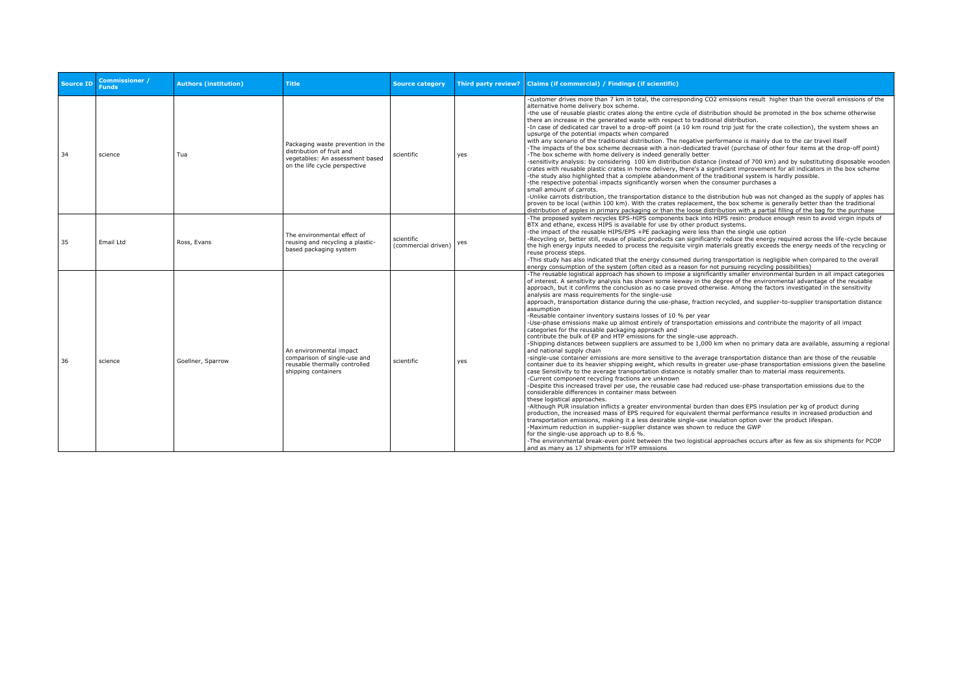| <b>Source ID</b> | <b>Commissioner /</b><br><b>Funds</b> | <b>Authors (institution)</b> | <b>Title</b>                                                                                                                       | <b>Source category</b>            | Third party review? | Claims (if commercial) / Findings (if scientific)                                                                                                                                                                                                                                                                                                                                                                                                                                                                                                                                                                                                                                                                                                                                                                                                                                                                                                                                                                                                                                                                                                                                                                                                                                                                                                                                                                                                                                                                                                                                                                                                                                                                                                                                                                                                                                                                                                                                                                                                                                                                                                                                                                                                                                                                                                                                           |
|------------------|---------------------------------------|------------------------------|------------------------------------------------------------------------------------------------------------------------------------|-----------------------------------|---------------------|---------------------------------------------------------------------------------------------------------------------------------------------------------------------------------------------------------------------------------------------------------------------------------------------------------------------------------------------------------------------------------------------------------------------------------------------------------------------------------------------------------------------------------------------------------------------------------------------------------------------------------------------------------------------------------------------------------------------------------------------------------------------------------------------------------------------------------------------------------------------------------------------------------------------------------------------------------------------------------------------------------------------------------------------------------------------------------------------------------------------------------------------------------------------------------------------------------------------------------------------------------------------------------------------------------------------------------------------------------------------------------------------------------------------------------------------------------------------------------------------------------------------------------------------------------------------------------------------------------------------------------------------------------------------------------------------------------------------------------------------------------------------------------------------------------------------------------------------------------------------------------------------------------------------------------------------------------------------------------------------------------------------------------------------------------------------------------------------------------------------------------------------------------------------------------------------------------------------------------------------------------------------------------------------------------------------------------------------------------------------------------------------|
| 34               | science                               | Tua                          | Packaging waste prevention in the<br>distribution of fruit and<br>vegetables: An assessment based<br>on the life cycle perspective | scientific                        | yes                 | -customer drives more than 7 km in total, the corresponding CO2 emissions result higher than the overall emissions of the<br>alternative home delivery box scheme.<br>-the use of reusable plastic crates along the entire cycle of distribution should be promoted in the box scheme otherwise<br>there an increase in the generated waste with respect to traditional distribution.<br>-In case of dedicated car travel to a drop-off point (a 10 km round trip just for the crate collection), the system shows an<br>upsurge of the potential impacts when compared<br>with any scenario of the traditional distribution. The negative performance is mainly due to the car travel itself<br>The impacts of the box scheme decrease with a non-dedicated travel (purchase of other four items at the drop-off point)<br>-The box scheme with home delivery is indeed generally better<br>-sensitivity analysis: by considering 100 km distribution distance (instead of 700 km) and by substituting disposable wooden<br>crates with reusable plastic crates in home delivery, there's a significant improvement for all indicators in the box scheme<br>-the study also highlighted that a complete abandonment of the traditional system is hardly possible.<br>-the respective potential impacts significantly worsen when the consumer purchases a<br>small amount of carrots.<br>-Unlike carrots distribution, the transportation distance to the distribution hub was not changed as the supply of apples has<br>proven to be local (within 100 km). With the crates replacement, the box scheme is generally better than the traditional<br>distribution of apples in primary packaging or than the loose distribution with a partial filling of the bag for the purchase                                                                                                                                                                                                                                                                                                                                                                                                                                                                                                                                                                                                        |
| 35               | Email Ltd                             | Ross, Evans                  | The environmental effect of<br>reusing and recycling a plastic-<br>based packaging system                                          | scientific<br>(commercial driven) | yes                 | -The proposed system recycles EPS-HIPS components back into HIPS resin: produce enough resin to avoid virgin inputs of<br>BTX and ethane, excess HIPS is available for use by other product systems.<br>-the impact of the reusable HIPS/EPS +PE packaging were less than the single use option<br>-Recycling or, better still, reuse of plastic products can significantly reduce the energy required across the life-cycle because<br>the high energy inputs needed to process the requisite virgin materials greatly exceeds the energy needs of the recycling or<br>reuse process steps.<br>This study has also indicated that the energy consumed during transportation is negligible when compared to the overall<br>energy consumption of the system (often cited as a reason for not pursuing recycling possibilities)                                                                                                                                                                                                                                                                                                                                                                                                                                                                                                                                                                                                                                                                                                                                                                                                                                                                                                                                                                                                                                                                                                                                                                                                                                                                                                                                                                                                                                                                                                                                                              |
| 36               | science                               | Goellner, Sparrow            | An environmental impact<br>comparison of single-use and<br>reusable thermally controlled<br>shipping containers                    | scientific                        | yes                 | The reusable logistical approach has shown to impose a significantly smaller environmental burden in all impact categories<br>of interest. A sensitivity analysis has shown some leeway in the degree of the environmental advantage of the reusable<br>approach, but it confirms the conclusion as no case proved otherwise. Among the factors investigated in the sensitivity<br>analysis are mass requirements for the single-use<br>approach, transportation distance during the use-phase, fraction recycled, and supplier-to-supplier transportation distance<br>assumption<br>-Reusable container inventory sustains losses of 10 % per year<br>-Use-phase emissions make up almost entirely of transportation emissions and contribute the majority of all impact<br>categories for the reusable packaging approach and<br>contribute the bulk of EP and HTP emissions for the single-use approach.<br>-Shipping distances between suppliers are assumed to be 1,000 km when no primary data are available, assuming a regional<br>and national supply chain<br>-single-use container emissions are more sensitive to the average transportation distance than are those of the reusable<br>container due to its heavier shipping weight, which results in greater use-phase transportation emissions given the baseline<br>case Sensitivity to the average transportation distance is notably smaller than to material mass requirements.<br>Current component recycling fractions are unknown<br>-Despite this increased travel per use, the reusable case had reduced use-phase transportation emissions due to the<br>considerable differences in container mass between<br>these logistical approaches.<br>-Although PUR insulation inflicts a greater environmental burden than does EPS insulation per kg of product during<br>production, the increased mass of EPS required for equivalent thermal performance results in increased production and<br>transportation emissions, making it a less desirable single-use insulation option over the product lifespan.<br>-Maximum reduction in supplier-supplier distance was shown to reduce the GWP<br>for the single-use approach up to 8.6 %.<br>-The environmental break-even point between the two logistical approaches occurs after as few as six shipments for PCOP<br>and as many as 17 shipments for HTP emissions |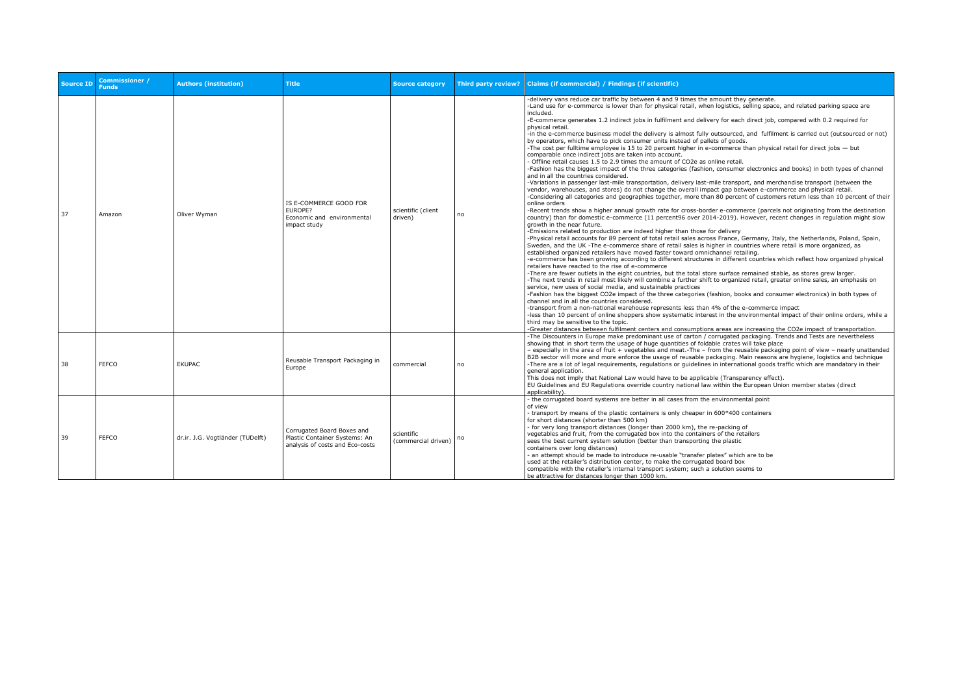| <b>Source ID</b> | <b>Commissioner /</b><br><b>Funds</b> | <b>Authors (institution)</b>     | <b>Title</b>                                                                                   | <b>Source category</b><br><b>Third party review?</b> |    | Claims (if commercial) / Findings (if scientific)                                                                                                                                                                                                                                                                                                                                                                                                                                                                                                                                                                                                                                                                                                                                                                                                                                                                                                                                                                                                                                                                                                                                                                                                                                                                                                                                                                                                                                                                                                                                                                                                                                                                                                                                                                                                                                                                                                                                                                                                                                                                                                                                                                                                                                                                                                                                                                                                                                                                                                                                                                                                                                                                                                                                                                                                                                                                                                                                                                                                                                                                                                                                                                                  |
|------------------|---------------------------------------|----------------------------------|------------------------------------------------------------------------------------------------|------------------------------------------------------|----|------------------------------------------------------------------------------------------------------------------------------------------------------------------------------------------------------------------------------------------------------------------------------------------------------------------------------------------------------------------------------------------------------------------------------------------------------------------------------------------------------------------------------------------------------------------------------------------------------------------------------------------------------------------------------------------------------------------------------------------------------------------------------------------------------------------------------------------------------------------------------------------------------------------------------------------------------------------------------------------------------------------------------------------------------------------------------------------------------------------------------------------------------------------------------------------------------------------------------------------------------------------------------------------------------------------------------------------------------------------------------------------------------------------------------------------------------------------------------------------------------------------------------------------------------------------------------------------------------------------------------------------------------------------------------------------------------------------------------------------------------------------------------------------------------------------------------------------------------------------------------------------------------------------------------------------------------------------------------------------------------------------------------------------------------------------------------------------------------------------------------------------------------------------------------------------------------------------------------------------------------------------------------------------------------------------------------------------------------------------------------------------------------------------------------------------------------------------------------------------------------------------------------------------------------------------------------------------------------------------------------------------------------------------------------------------------------------------------------------------------------------------------------------------------------------------------------------------------------------------------------------------------------------------------------------------------------------------------------------------------------------------------------------------------------------------------------------------------------------------------------------------------------------------------------------------------------------------------------------|
| 37               | Amazon                                | Oliver Wyman                     | IS E-COMMERCE GOOD FOR<br>EUROPE?<br>Economic and environmental<br>impact study                | scientific (client<br>driven)                        | no | -delivery vans reduce car traffic by between 4 and 9 times the amount they generate.<br>-Land use for e-commerce is lower than for physical retail, when logistics, selling space, and related parking space are<br>included.<br>-E-commerce generates 1.2 indirect jobs in fulfilment and delivery for each direct job, compared with 0.2 required for<br>physical retail.<br>-in the e-commerce business model the delivery is almost fully outsourced, and fulfilment is carried out (outsourced or not)<br>by operators, which have to pick consumer units instead of pallets of goods.<br>-The cost per fulltime employee is 15 to 20 percent higher in e-commerce than physical retail for direct jobs $-$ but<br>comparable once indirect jobs are taken into account.<br>- Offline retail causes 1.5 to 2.9 times the amount of CO2e as online retail.<br>-Fashion has the biggest impact of the three categories (fashion, consumer electronics and books) in both types of channel<br>and in all the countries considered.<br>-Variations in passenger last-mile transportation, delivery last-mile transport, and merchandise transport (between the<br>vendor, warehouses, and stores) do not change the overall impact gap between e-commerce and physical retail.<br>-Considering all categories and geographies together, more than 80 percent of customers return less than 10 percent of their<br>online orders<br>-Recent trends show a higher annual growth rate for cross-border e-commerce (parcels not originating from the destination<br>country) than for domestic e-commerce (11 percent96 over 2014-2019). However, recent changes in regulation might slow<br>growth in the near future.<br>-Emissions related to production are indeed higher than those for delivery<br>-Physical retail accounts for 89 percent of total retail sales across France, Germany, Italy, the Netherlands, Poland, Spain,<br>Sweden, and the UK -The e-commerce share of retail sales is higher in countries where retail is more organized, as<br>established organized retailers have moved faster toward omnichannel retailing.<br>-e-commerce has been growing according to different structures in different countries which reflect how organized physical<br>retailers have reacted to the rise of e-commerce<br>-There are fewer outlets in the eight countries, but the total store surface remained stable, as stores grew larger.<br>-The next trends in retail most likely will combine a further shift to organized retail, greater online sales, an emphasis on<br>service, new uses of social media, and sustainable practices<br>-Fashion has the biggest CO2e impact of the three categories (fashion, books and consumer electronics) in both types of<br>channel and in all the countries considered.<br>-transport from a non-national warehouse represents less than 4% of the e-commerce impact<br>-less than 10 percent of online shoppers show systematic interest in the environmental impact of their online orders, while a<br>third may be sensitive to the topic.<br>-Greater distances between fulfilment centers and consumptions areas are increasing the CO2e impact of transportation. |
| 38               | <b>FEFCO</b>                          | <b>EKUPAC</b>                    | Reusable Transport Packaging in<br>Europe                                                      | commercial                                           | no | -The Discounters in Europe make predominant use of carton / corrugated packaging. Trends and Tests are nevertheless<br>showing that in short term the usage of huge quantities of foldable crates will take place<br>- especially in the area of fruit + vegetables and meat.-The - from the reusable packaging point of view - nearly unattended<br>B2B sector will more and more enforce the usage of reusable packaging. Main reasons are hygiene, logistics and technique<br>-There are a lot of legal requirements, regulations or guidelines in international goods traffic which are mandatory in their<br>general application.<br>This does not imply that National Law would have to be applicable (Transparency effect).<br>EU Guidelines and EU Regulations override country national law within the European Union member states (direct<br>applicability).                                                                                                                                                                                                                                                                                                                                                                                                                                                                                                                                                                                                                                                                                                                                                                                                                                                                                                                                                                                                                                                                                                                                                                                                                                                                                                                                                                                                                                                                                                                                                                                                                                                                                                                                                                                                                                                                                                                                                                                                                                                                                                                                                                                                                                                                                                                                                            |
| 39               | <b>FEFCO</b>                          | dr.ir. J.G. Vogtländer (TUDelft) | Corrugated Board Boxes and<br>Plastic Container Systems: An<br>analysis of costs and Eco-costs | scientific<br>(commercial driven)                    | no | - the corrugated board systems are better in all cases from the environmental point<br>of view<br>- transport by means of the plastic containers is only cheaper in 600*400 containers<br>for short distances (shorter than 500 km)<br>- for very long transport distances (longer than 2000 km), the re-packing of<br>vegetables and fruit, from the corrugated box into the containers of the retailers<br>sees the best current system solution (better than transporting the plastic<br>containers over long distances)<br>- an attempt should be made to introduce re-usable "transfer plates" which are to be<br>used at the retailer's distribution center, to make the corrugated board box<br>compatible with the retailer's internal transport system; such a solution seems to<br>be attractive for distances longer than 1000 km.                                                                                                                                                                                                                                                                                                                                                                                                                                                                                                                                                                                                                                                                                                                                                                                                                                                                                                                                                                                                                                                                                                                                                                                                                                                                                                                                                                                                                                                                                                                                                                                                                                                                                                                                                                                                                                                                                                                                                                                                                                                                                                                                                                                                                                                                                                                                                                                      |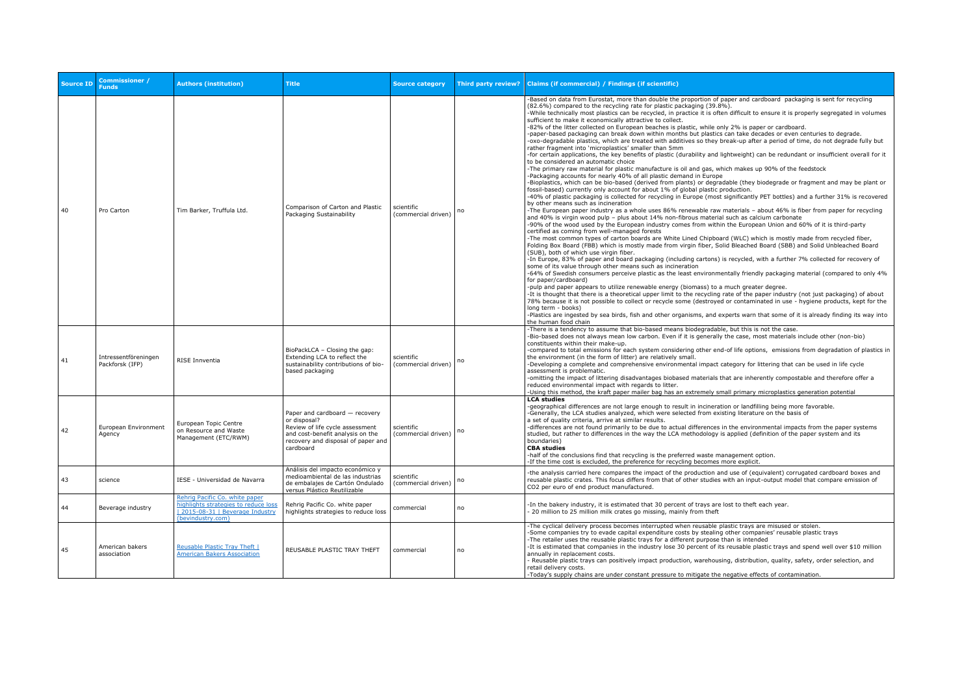| Source ID | <b>Commissioner /</b><br><b>Funds</b>   | <b>Authors (institution)</b>                                                                                                    | <b>Source category</b>                                                                                                                                                   | Third party review?               | Claims (if commercial) / Findings (if scientific) |                                                                                                                                                                                                                                                                                                                                                                                                                                                                                                                                                                                                                                                                                                                                                                                                                                                                                                                                                                                                                                                                                                                                                                                                                                                                                                                                                                                                                                                                                                                                                                                                                                                                                                                                                                                                                                                                                                                                                                                                                                                                                                                                                                                                                                                                                                                                                                                                                                                                                                                                                                                                                                                                                                                                                                                                                                                                                                                                                                                                                                                                                                                                                             |  |  |  |  |
|-----------|-----------------------------------------|---------------------------------------------------------------------------------------------------------------------------------|--------------------------------------------------------------------------------------------------------------------------------------------------------------------------|-----------------------------------|---------------------------------------------------|-------------------------------------------------------------------------------------------------------------------------------------------------------------------------------------------------------------------------------------------------------------------------------------------------------------------------------------------------------------------------------------------------------------------------------------------------------------------------------------------------------------------------------------------------------------------------------------------------------------------------------------------------------------------------------------------------------------------------------------------------------------------------------------------------------------------------------------------------------------------------------------------------------------------------------------------------------------------------------------------------------------------------------------------------------------------------------------------------------------------------------------------------------------------------------------------------------------------------------------------------------------------------------------------------------------------------------------------------------------------------------------------------------------------------------------------------------------------------------------------------------------------------------------------------------------------------------------------------------------------------------------------------------------------------------------------------------------------------------------------------------------------------------------------------------------------------------------------------------------------------------------------------------------------------------------------------------------------------------------------------------------------------------------------------------------------------------------------------------------------------------------------------------------------------------------------------------------------------------------------------------------------------------------------------------------------------------------------------------------------------------------------------------------------------------------------------------------------------------------------------------------------------------------------------------------------------------------------------------------------------------------------------------------------------------------------------------------------------------------------------------------------------------------------------------------------------------------------------------------------------------------------------------------------------------------------------------------------------------------------------------------------------------------------------------------------------------------------------------------------------------------------------------------|--|--|--|--|
| 40        | Pro Carton                              | Tim Barker, Truffula Ltd.                                                                                                       | Comparison of Carton and Plastic<br>Packaging Sustainability                                                                                                             | scientific<br>(commercial driven) | no                                                | -Based on data from Eurostat, more than double the proportion of paper and cardboard packaging is sent for recycling<br>(82.6%) compared to the recycling rate for plastic packaging (39.8%).<br>-While technically most plastics can be recycled, in practice it is often difficult to ensure it is properly segregated in volumes<br>sufficient to make it economically attractive to collect.<br>-82% of the litter collected on European beaches is plastic, while only 2% is paper or cardboard.<br>-paper-based packaging can break down within months but plastics can take decades or even centuries to degrade.<br>-oxo-degradable plastics, which are treated with additives so they break-up after a period of time, do not degrade fully but<br>rather fragment into 'microplastics' smaller than 5mm<br>-for certain applications, the key benefits of plastic (durability and lightweight) can be redundant or insufficient overall for it<br>to be considered an automatic choice<br>The primary raw material for plastic manufacture is oil and gas, which makes up 90% of the feedstock<br>Packaging accounts for nearly 40% of all plastic demand in Europe<br>-Bioplastics, which can be bio-based (derived from plants) or degradable (they biodegrade or fragment and may be plant or<br>fossil-based) currently only account for about 1% of global plastic production.<br>-40% of plastic packaging is collected for recycling in Europe (most significantly PET bottles) and a further 31% is recovered<br>by other means such as incineration<br>-The European paper industry as a whole uses 86% renewable raw materials – about 46% is fiber from paper for recycling<br>and 40% is virgin wood pulp - plus about 14% non-fibrous material such as calcium carbonate<br>-90% of the wood used by the European industry comes from within the European Union and 60% of it is third-party<br>certified as coming from well-managed forests<br>-The most common types of carton boards are White Lined Chipboard (WLC) which is mostly made from recycled fiber,<br>Folding Box Board (FBB) which is mostly made from virgin fiber, Solid Bleached Board (SBB) and Solid Unbleached Board<br>(SUB), both of which use virgin fiber.<br>-In Europe, 83% of paper and board packaging (including cartons) is recycled, with a further 7% collected for recovery of<br>some of its value through other means such as incineration<br>-64% of Swedish consumers perceive plastic as the least environmentally friendly packaging material (compared to only 4%<br>for paper/cardboard)<br>-pulp and paper appears to utilize renewable energy (biomass) to a much greater degree.<br>-It is thought that there is a theoretical upper limit to the recycling rate of the paper industry (not just packaging) of about<br>78% because it is not possible to collect or recycle some (destroyed or contaminated in use - hygiene products, kept for the<br>long term - books)<br>-Plastics are ingested by sea birds, fish and other organisms, and experts warn that some of it is already finding its way into<br>the human food chain |  |  |  |  |
| 41        | Intressentföreningen<br>Packforsk (IFP) | RISE Innventia                                                                                                                  | BioPackLCA - Closing the gap:<br>Extending LCA to reflect the<br>sustainability contributions of bio-<br>based packaging                                                 | scientific<br>(commercial driven) | no                                                | -There is a tendency to assume that bio-based means biodegradable, but this is not the case.<br>-Bio-based does not always mean low carbon. Even if it is generally the case, most materials include other (non-bio)<br>constituents within their make-up.<br>compared to total emissions for each system considering other end-of life options, emissions from degradation of plastics in<br>the environment (in the form of litter) are relatively small.<br>-Developing a complete and comprehensive environmental impact category for littering that can be used in life cycle<br>assessment is problematic.<br>-omitting the impact of littering disadvantages biobased materials that are inherently compostable and therefore offer a<br>reduced environmental impact with regards to litter.<br>-Using this method, the kraft paper mailer bag has an extremely small primary microplastics generation potential                                                                                                                                                                                                                                                                                                                                                                                                                                                                                                                                                                                                                                                                                                                                                                                                                                                                                                                                                                                                                                                                                                                                                                                                                                                                                                                                                                                                                                                                                                                                                                                                                                                                                                                                                                                                                                                                                                                                                                                                                                                                                                                                                                                                                                    |  |  |  |  |
| 42        | European Environment<br>Agency          | European Topic Centre<br>on Resource and Waste<br>Management (ETC/RWM)                                                          | Paper and cardboard — recovery<br>or disposal?<br>Review of life cycle assessment<br>and cost-benefit analysis on the<br>recovery and disposal of paper and<br>cardboard | scientific<br>(commercial driven) | no                                                | <b>LCA studies</b><br>-geographical differences are not large enough to result in incineration or landfilling being more favorable.<br>Generally, the LCA studies analyzed, which were selected from existing literature on the basis of<br>a set of quality criteria, arrive at similar results.<br>-differences are not found primarily to be due to actual differences in the environmental impacts from the paper systems<br>studied, but rather to differences in the way the LCA methodology is applied (definition of the paper system and its<br>boundaries)<br><b>CBA studies</b><br>-half of the conclusions find that recycling is the preferred waste management option.<br>-If the time cost is excluded, the preference for recycling becomes more explicit.                                                                                                                                                                                                                                                                                                                                                                                                                                                                                                                                                                                                                                                                                                                                                                                                                                                                                                                                                                                                                                                                                                                                                                                                                                                                                                                                                                                                                                                                                                                                                                                                                                                                                                                                                                                                                                                                                                                                                                                                                                                                                                                                                                                                                                                                                                                                                                                  |  |  |  |  |
| 43        | science                                 | IESE - Universidad de Navarra                                                                                                   | Análisis del impacto económico y<br>medioambiental de las industrias<br>de embalajes de Cartón Ondulado<br>versus Plástico Reutilizable                                  | scientific<br>(commercial driven) | no                                                | -the analysis carried here compares the impact of the production and use of (equivalent) corrugated cardboard boxes and<br>reusable plastic crates. This focus differs from that of other studies with an input-output model that compare emission of<br>CO2 per euro of end product manufactured.                                                                                                                                                                                                                                                                                                                                                                                                                                                                                                                                                                                                                                                                                                                                                                                                                                                                                                                                                                                                                                                                                                                                                                                                                                                                                                                                                                                                                                                                                                                                                                                                                                                                                                                                                                                                                                                                                                                                                                                                                                                                                                                                                                                                                                                                                                                                                                                                                                                                                                                                                                                                                                                                                                                                                                                                                                                          |  |  |  |  |
| 44        | Beverage industry                       | Rehrig Pacific Co. white paper<br>highlights strategies to reduce loss<br>  2015-08-31   Beverage Industry<br>(bevindustry.com) | Rehrig Pacific Co. white paper<br>highlights strategies to reduce loss                                                                                                   | commercial                        | no                                                | -In the bakery industry, it is estimated that 30 percent of trays are lost to theft each year.<br>20 million to 25 million milk crates go missing, mainly from theft                                                                                                                                                                                                                                                                                                                                                                                                                                                                                                                                                                                                                                                                                                                                                                                                                                                                                                                                                                                                                                                                                                                                                                                                                                                                                                                                                                                                                                                                                                                                                                                                                                                                                                                                                                                                                                                                                                                                                                                                                                                                                                                                                                                                                                                                                                                                                                                                                                                                                                                                                                                                                                                                                                                                                                                                                                                                                                                                                                                        |  |  |  |  |
| 45        | American bakers<br>association          | Reusable Plastic Tray Theft  <br><b>American Bakers Association</b>                                                             | REUSABLE PLASTIC TRAY THEFT                                                                                                                                              | commercial                        | no                                                | -The cyclical delivery process becomes interrupted when reusable plastic trays are misused or stolen.<br>-Some companies try to evade capital expenditure costs by stealing other companies' reusable plastic trays<br>-The retailer uses the reusable plastic trays for a different purpose than is intended<br>-It is estimated that companies in the industry lose 30 percent of its reusable plastic trays and spend well over \$10 million<br>annually in replacement costs.<br>Reusable plastic trays can positively impact production, warehousing, distribution, quality, safety, order selection, and<br>retail delivery costs.<br>-Today's supply chains are under constant pressure to mitigate the negative effects of contamination.                                                                                                                                                                                                                                                                                                                                                                                                                                                                                                                                                                                                                                                                                                                                                                                                                                                                                                                                                                                                                                                                                                                                                                                                                                                                                                                                                                                                                                                                                                                                                                                                                                                                                                                                                                                                                                                                                                                                                                                                                                                                                                                                                                                                                                                                                                                                                                                                           |  |  |  |  |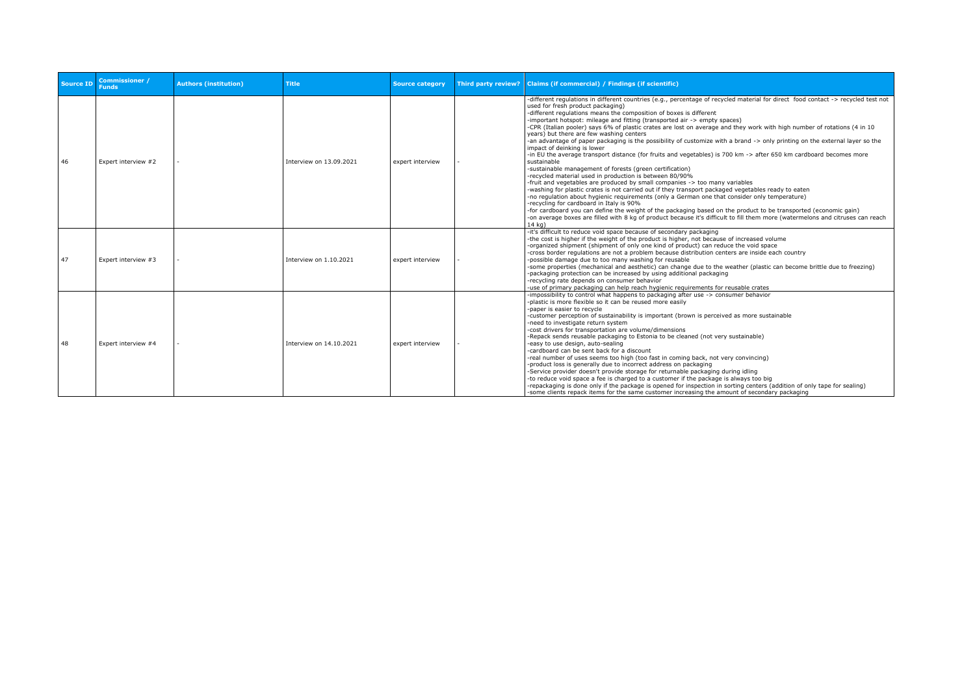| <b>Source ID</b> | <b>Commissioner /</b><br><b>Funds</b> | <b>Authors (institution)</b> | <b>Title</b>            | <b>Source category</b> | Third party review?   Claims (if commercial) / Findings (if scientific)                                                                                                                                                                                                                                                                                                                                                                                                                                                                                                                                                                                                                                                                                                                                                                                                                                                                                                                                                                                                                                                                                                                                                                                                                                                                                                                                                                                                                                                        |
|------------------|---------------------------------------|------------------------------|-------------------------|------------------------|--------------------------------------------------------------------------------------------------------------------------------------------------------------------------------------------------------------------------------------------------------------------------------------------------------------------------------------------------------------------------------------------------------------------------------------------------------------------------------------------------------------------------------------------------------------------------------------------------------------------------------------------------------------------------------------------------------------------------------------------------------------------------------------------------------------------------------------------------------------------------------------------------------------------------------------------------------------------------------------------------------------------------------------------------------------------------------------------------------------------------------------------------------------------------------------------------------------------------------------------------------------------------------------------------------------------------------------------------------------------------------------------------------------------------------------------------------------------------------------------------------------------------------|
| 46               | Expert interview #2                   |                              | Interview on 13.09.2021 | expert interview       | -different regulations in different countries (e.g., percentage of recycled material for direct food contact -> recycled test not<br>used for fresh product packaging)<br>-different regulations means the composition of boxes is different<br>-important hotspot: mileage and fitting (transported air -> empty spaces)<br>-CPR (Italian pooler) says 6% of plastic crates are lost on average and they work with high number of rotations (4 in 10<br>years) but there are few washing centers<br>-an advantage of paper packaging is the possibility of customize with a brand -> only printing on the external layer so the<br>impact of deinking is lower<br>-in EU the average transport distance (for fruits and vegetables) is 700 km -> after 650 km cardboard becomes more<br>sustainable<br>-sustainable management of forests (green certification)<br>-recycled material used in production is between 80/90%<br>-fruit and vegetables are produced by small companies -> too many variables<br>-washing for plastic crates is not carried out if they transport packaged vegetables ready to eaten<br>-no regulation about hygienic requirements (only a German one that consider only temperature)<br>-recycling for cardboard in Italy is 90%<br>-for cardboard you can define the weight of the packaging based on the product to be transported (economic gain)<br>-on average boxes are filled with 8 kg of product because it's difficult to fill them more (watermelons and citruses can reach<br>14 kg) |
| 47               | Expert interview #3                   |                              | Interview on 1.10.2021  | expert interview       | -it's difficult to reduce void space because of secondary packaging<br>-the cost is higher if the weight of the product is higher, not because of increased volume<br>-organized shipment (shipment of only one kind of product) can reduce the void space<br>-cross border regulations are not a problem because distribution centers are inside each country<br>-possible damage due to too many washing for reusable<br>-some properties (mechanical and aesthetic) can change due to the weather (plastic can become brittle due to freezing)<br>-packaging protection can be increased by using additional packaging<br>-recycling rate depends on consumer behavior<br>-use of primary packaging can help reach hygienic reguirements for reusable crates                                                                                                                                                                                                                                                                                                                                                                                                                                                                                                                                                                                                                                                                                                                                                                |
| 48               | Expert interview #4                   |                              | Interview on 14.10.2021 | expert interview       | -impossibility to control what happens to packaging after use -> consumer behavior<br>-plastic is more flexible so it can be reused more easily<br>-paper is easier to recycle<br>-customer perception of sustainability is important (brown is perceived as more sustainable<br>-need to investigate return system<br>-cost drivers for transportation are volume/dimensions<br>-Repack sends reusable packaging to Estonia to be cleaned (not very sustainable)<br>-easy to use design, auto-sealing<br>-cardboard can be sent back for a discount<br>-real number of uses seems too high (too fast in coming back, not very convincing)<br>-product loss is generally due to incorrect address on packaging<br>-Service provider doesn't provide storage for returnable packaging during idling<br>-to reduce void space a fee is charged to a customer if the package is always too big<br>-repackaging is done only if the package is opened for inspection in sorting centers (addition of only tape for sealing)<br>-some clients repack items for the same customer increasing the amount of secondary packaging                                                                                                                                                                                                                                                                                                                                                                                                       |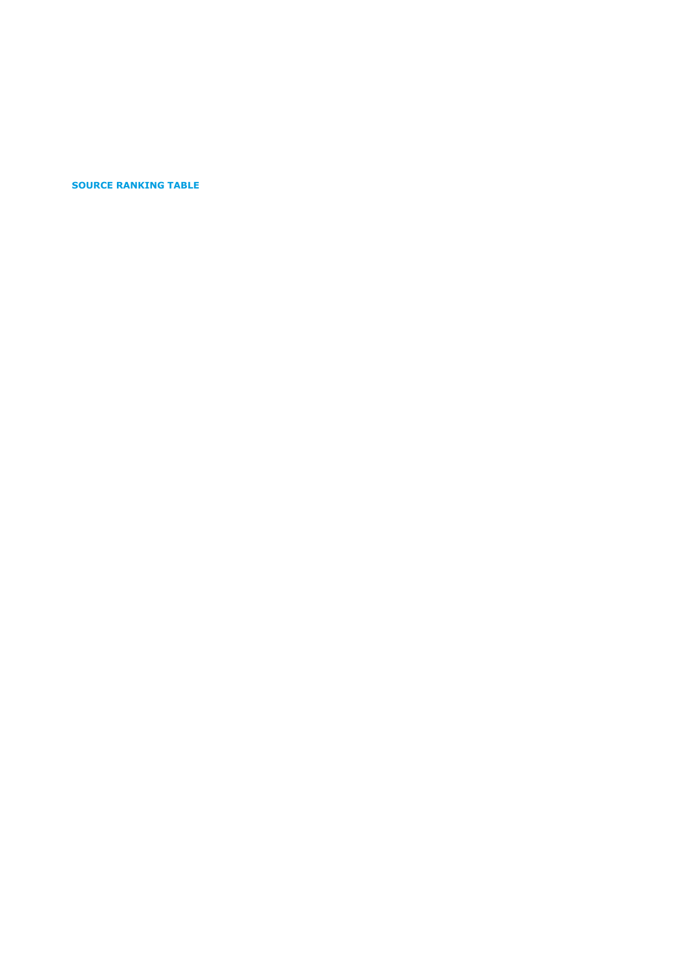### <span id="page-49-0"></span>**SOURCE RANKING TABLE**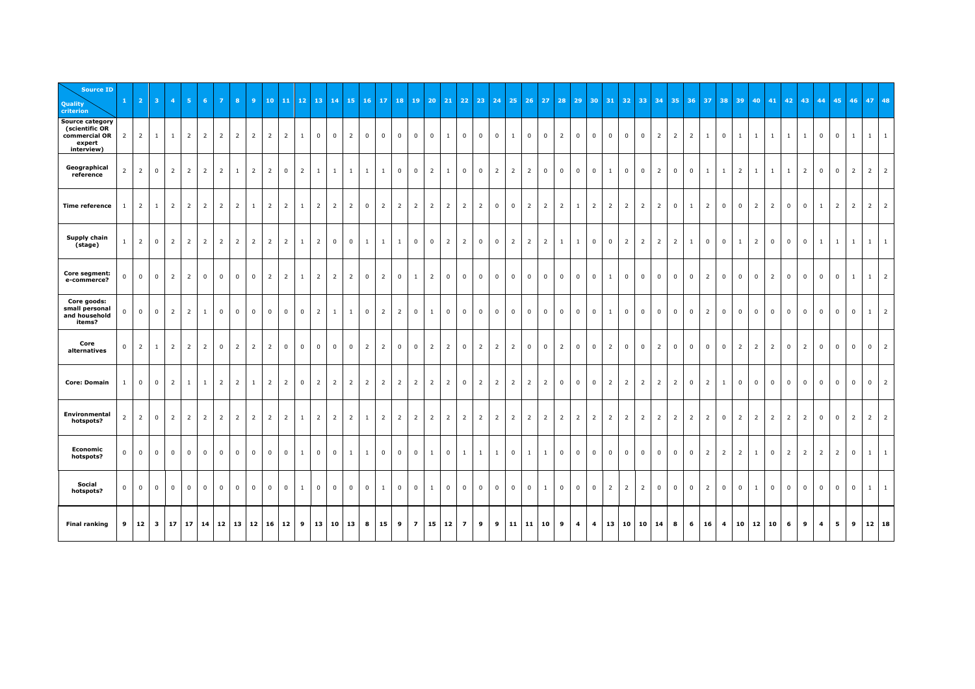| Source ID                                                                  |                |                |                |                |                |                                                                                                          |                |                |                |                |                     |                |                |                |                |                |                 |                |                |                          |                |                |                |                |                |                |                |                |                |                                                                                          |                |                |                |                |                |                |                |                        |                |                   |                |                         |                         |                |                |                |                   |                            |
|----------------------------------------------------------------------------|----------------|----------------|----------------|----------------|----------------|----------------------------------------------------------------------------------------------------------|----------------|----------------|----------------|----------------|---------------------|----------------|----------------|----------------|----------------|----------------|-----------------|----------------|----------------|--------------------------|----------------|----------------|----------------|----------------|----------------|----------------|----------------|----------------|----------------|------------------------------------------------------------------------------------------|----------------|----------------|----------------|----------------|----------------|----------------|----------------|------------------------|----------------|-------------------|----------------|-------------------------|-------------------------|----------------|----------------|----------------|-------------------|----------------------------|
| <b>Quality</b><br>criterion                                                | $\mathbf{1}$   | $\mathbf{2}$   | 3 <sup>°</sup> | $\overline{4}$ | $-5$           | 6 <sup>1</sup>                                                                                           | $7 \mid 8$     |                | -9             |                | $10$ 11 12 13       |                |                |                |                |                | 14 15 16 17 18  |                |                |                          |                |                | 19 20 21 22 23 |                | 24 25 26 27 28 |                |                |                |                | 29 30 31 32 33                                                                           |                |                |                |                |                | 34 35 36 37 38 |                |                        | 39             |                   |                | 40 41 42                | $-43$                   | 44             | 45             |                | 46 47 48          |                            |
| Source category<br>(scientific OR<br>commercial OR<br>expert<br>interview) | $\overline{2}$ | $\overline{2}$ | $\mathbf{1}$   | $\mathbf{1}$   | $2^{\circ}$    | $\overline{2}$                                                                                           | $\overline{2}$ | $\overline{2}$ | $\overline{2}$ | $\overline{2}$ | $\overline{2}$      | $\mathbf{1}$   | $\overline{0}$ | $\mathbf 0$    | $\overline{2}$ | $\overline{0}$ | $\overline{0}$  | $\mathbf 0$    | $\overline{0}$ | $\mathbf 0$              | $\mathbf{1}$   | $\overline{0}$ | $\mathbf 0$    | $\overline{0}$ | $\mathbf{1}$   | $\mathbf 0$    | $\mathbf 0$    | $\overline{2}$ | $\mathbf 0$    | $\mathbf 0$                                                                              | $\mathbf 0$    | $\mathbf 0$    | $\mathbf 0$    | $\overline{2}$ | $\overline{2}$ | $\overline{2}$ | $\mathbf{1}$   | $\mathbf 0$            | $\mathbf{1}$   | 1                 | $\mathbf{1}$   | 1                       | $\mathbf{1}$            | $\mathbf 0$    | $\mathbf 0$    | $\mathbf{1}$   | $1 \quad$         | $\mathbf{1}$               |
| Geographical<br>reference                                                  | $2 \mid$       | $\overline{2}$ | $\overline{0}$ | $\overline{2}$ | $\overline{2}$ | $\overline{2}$                                                                                           | $\overline{2}$ | $\mathbf{1}$   | $\overline{2}$ | $\overline{2}$ | $\mathbf{0}$        | $\overline{2}$ | $\mathbf{1}$   | $\mathbf{1}$   | 1              | 1              | 1               | $\overline{0}$ | $\overline{0}$ | $\overline{2}$           | $\mathbf{1}$   | $\mathbf 0$    | $\mathbf 0$    | $\overline{2}$ | $\overline{2}$ | $\overline{2}$ | $\overline{0}$ | $\mathbf 0$    | $\mathbf 0$    | $\mathbf 0$                                                                              | 1              | $\mathbf{0}$   | $\mathbf 0$    | $\overline{2}$ | $\mathbf 0$    | $\overline{0}$ | $\mathbf{1}$   | 1                      | $\overline{2}$ | 1                 | $\mathbf{1}$   | 1                       | $\overline{2}$          | $\mathbf 0$    | $\mathbf{0}$   | $\overline{2}$ |                   | $2 \mid 2$                 |
| <b>Time reference</b>                                                      |                | $\overline{2}$ | $\mathbf{1}$   | $\overline{2}$ | $\overline{2}$ | $\overline{2}$                                                                                           | $\overline{2}$ | $\overline{2}$ | 1              | $\overline{2}$ | $\overline{2}$      | $\mathbf{1}$   | $\overline{2}$ | $\overline{2}$ | $\overline{2}$ | $\mathbf{0}$   | 2               | $\overline{2}$ | $\overline{2}$ | 2                        | $\overline{2}$ | 2              | $\overline{2}$ | $\mathbf 0$    | $\mathbf 0$    | $\overline{2}$ | $\overline{2}$ | $\overline{2}$ | 1              | $\overline{2}$                                                                           | 2              | $\overline{2}$ | 2              | $2^{\circ}$    | $\mathbf 0$    | 1              | 2              | $\mathbf 0$            | $\mathbf 0$    | 2                 | $\overline{2}$ | $\mathbf 0$             | $\mathbf 0$             | $\mathbf{1}$   | $\overline{2}$ | $\overline{2}$ | 2                 | $\overline{2}$             |
| <b>Supply chain</b><br>(stage)                                             |                | $\overline{2}$ | $\mathbf 0$    | $\overline{2}$ | $\overline{2}$ | $\overline{2}$                                                                                           | $\overline{2}$ | $\overline{2}$ | $\overline{2}$ | $\overline{2}$ | $\overline{2}$      | $\mathbf{1}$   | $\overline{2}$ | $\overline{0}$ | $\mathbf{0}$   | 1              | $\mathbf{1}$    | $\mathbf{1}$   | $\mathbf 0$    | $\mathbf 0$              | $\overline{2}$ | $\overline{2}$ | $\mathbf 0$    | $\overline{0}$ | $\overline{2}$ | $\overline{2}$ | $\overline{2}$ | 1              | $\mathbf{1}$   | $\mathbf{0}$                                                                             | $\overline{0}$ | $\overline{2}$ | $\overline{2}$ | $\overline{2}$ | $\overline{2}$ | $\mathbf{1}$   | $\overline{0}$ | $\mathbf 0$            | $\mathbf{1}$   | $\overline{2}$    | $\overline{0}$ | $\mathbf{0}$            | $\mathbf{0}$            | $\mathbf{1}$   | $\mathbf{1}$   | $\mathbf{1}$   |                   | $1 \mid 1$                 |
| Core segment:<br>e-commerce?                                               | 0              | $\mathbf 0$    | $\mathbf 0$    | $\overline{2}$ | $\overline{2}$ | $\mathbf{0}$                                                                                             | $\mathbf 0$    | $\mathbf 0$    | 0              | $\overline{2}$ | $\overline{2}$      | $\mathbf{1}$   | $\overline{2}$ | $\overline{2}$ | $\overline{2}$ | $\overline{0}$ | $\overline{2}$  | $\mathbf 0$    | 1              | $\overline{2}$           | $\overline{0}$ | $\mathbf 0$    | $\mathbf 0$    | $\mathbf 0$    | $\mathbf 0$    | $\overline{0}$ | $\mathbf 0$    | $\mathbf 0$    | $\mathbf 0$    | 0                                                                                        | 1              | $\mathbf 0$    | $\Omega$       | $\overline{0}$ | $\mathbf{0}$   | $\mathbf 0$    | $\overline{2}$ | $\mathbf 0$            | $\mathbf 0$    | $\Omega$          | $\overline{2}$ | $\mathbf 0$             | $\mathbf{0}$            | $\mathbf 0$    | $\mathbf{0}$   | 1              | $\vert 1 \vert$   | $\overline{\phantom{0}}$ 2 |
| Core goods:<br>small personal<br>and household<br>items?                   | $\mathbf{0}$   | $\mathbf{0}$   | $\mathbf{0}$   | $\overline{2}$ | $\overline{2}$ | 1                                                                                                        | $\overline{0}$ | $\mathbf{0}$   | $\mathbf 0$    | $\mathbf 0$    | $\mathbf 0$         | $\mathbf 0$    | $\overline{2}$ | $\mathbf{1}$   | $\mathbf{1}$   | $\overline{0}$ | $\overline{2}$  | $\overline{2}$ | $\mathbf 0$    | $\mathbf{1}$             | $\mathbf 0$    | $\overline{0}$ | $\mathbf 0$    | $\mathbf 0$    | $\mathbf 0$    | $\mathbf{0}$   | $\mathbf 0$    | $\overline{0}$ | $\mathbf 0$    | $\mathbf 0$                                                                              | $\mathbf{1}$   | $\overline{0}$ | $\mathbf 0$    | $\overline{0}$ | $\overline{0}$ | $\overline{0}$ | $\overline{2}$ | $\mathbf 0$            | $\mathbf 0$    | $\mathbf 0$       | $\mathbf 0$    | $\mathbf 0$             | $\mathbf 0$             | $\mathbf 0$    | $\overline{0}$ | $\mathbf 0$    | 1                 | $\overline{2}$             |
| Core<br>alternatives                                                       | $\mathbf{0}$   | $\overline{2}$ | $\mathbf{1}$   | $\overline{2}$ | $\overline{2}$ | $\overline{2}$                                                                                           | $\overline{0}$ | 2              | $\overline{2}$ | $\overline{2}$ | $\mathbf 0$         | $\mathbf 0$    | $\overline{0}$ | $\mathbf 0$    | $\overline{0}$ | $\overline{2}$ | $\overline{2}$  | $\overline{0}$ | $\mathbf 0$    | $\overline{2}$           | $\overline{2}$ | $\overline{0}$ | $\overline{2}$ | $\overline{2}$ | $\overline{2}$ | $\overline{0}$ | $\mathbf 0$    | $\overline{2}$ | $\mathbf 0$    | $\mathbf 0$                                                                              | $\overline{2}$ | $\mathbf 0$    | $\mathbf 0$    | $\overline{2}$ | $\mathbf 0$    | $\overline{0}$ | $\overline{0}$ | $\mathbf 0$            | $\overline{2}$ | $\overline{2}$    | $\overline{2}$ | $\mathbf{0}$            | $\overline{2}$          | $\mathbf 0$    | $\overline{0}$ | $\overline{0}$ |                   | $0 \quad 2$                |
| <b>Core: Domain</b>                                                        |                | $\mathbf{0}$   | $\mathbf 0$    | $\overline{2}$ | $\mathbf{1}$   | 1                                                                                                        | 2              | $\overline{2}$ | 1              | 2              | 2                   | $\mathbf 0$    | $\overline{2}$ | $\overline{2}$ | $\overline{2}$ | $\overline{2}$ | 2               | 2              | 2              | 2                        | 2              | $\mathbf 0$    | $\overline{2}$ | $\overline{2}$ | $\overline{2}$ | $\overline{2}$ | $\overline{2}$ | $\mathbf 0$    | $\mathbf 0$    | $\mathbf 0$                                                                              | 2              | $\overline{2}$ | 2              | $\overline{2}$ | 2              | $\mathbf 0$    | $\overline{2}$ | -1                     | $\mathbf 0$    | $\Omega$          | 0              | $\mathbf 0$             | $\mathbf 0$             | $\overline{0}$ | $\mathbf 0$    | $\overline{0}$ | $\overline{0}$    | $\overline{2}$             |
| Environmental<br>hotspots?                                                 | $\overline{2}$ | $\overline{2}$ | $\mathbf 0$    | $\overline{2}$ | $\overline{2}$ | 2                                                                                                        | $\overline{2}$ | $\overline{2}$ | 2              | $\overline{2}$ | 2                   | $\mathbf{1}$   | $\overline{2}$ | $\overline{2}$ | $\overline{2}$ | $\mathbf{1}$   | 2               | $\overline{2}$ | $\overline{2}$ | $\overline{2}$           | $\overline{2}$ | $\overline{2}$ | $\overline{2}$ | $\overline{2}$ | $\overline{2}$ | $\overline{2}$ | $\overline{2}$ | $\overline{2}$ | 2              | $\overline{2}$                                                                           | 2              | $\overline{2}$ | $\overline{2}$ | $\overline{2}$ | $\overline{2}$ | $\overline{2}$ | $\overline{2}$ | $\mathbf 0$            | 2              | $\overline{2}$    | $\overline{2}$ | $\overline{2}$          | $\overline{2}$          | $\mathbf 0$    | $\mathbf 0$    | 2              | $\overline{2}$    | $\overline{2}$             |
| Economic<br>hotspots?                                                      |                |                |                |                |                |                                                                                                          |                |                |                |                |                     |                |                |                |                |                |                 |                |                |                          |                |                |                |                |                |                |                |                |                |                                                                                          |                |                |                |                |                |                |                |                        |                |                   |                |                         |                         |                |                |                |                   |                            |
| Social<br>hotspots?                                                        | $\overline{0}$ | $\overline{0}$ | $\overline{0}$ | $\overline{0}$ | $\overline{0}$ | $0 \quad 0$                                                                                              |                |                | $0 \quad 0$    |                | $0 \quad 0 \quad 1$ |                | $\overline{0}$ | $\overline{0}$ |                | $0$ 0          | $\vert 1 \vert$ | $\overline{0}$ |                | $0 \mid 1 \mid 0 \mid 0$ |                |                | $\overline{0}$ | $\overline{0}$ |                |                | $0$ 0 1 0      |                | $\overline{0}$ | $0 \mid 2 \mid 2 \mid 2$                                                                 |                |                |                | $\overline{0}$ | 0 <sup>1</sup> |                |                | $0 \mid 2 \mid 0 \mid$ |                | $0 \mid 1 \mid 0$ |                | $\overline{\mathbf{0}}$ | $\overline{\mathbf{0}}$ | $\overline{0}$ | $\overline{0}$ |                | $0 \mid 1 \mid 1$ |                            |
| <b>Final ranking</b>                                                       |                |                |                |                |                | 9   12   3   17   17   14   12   13   12   16   12   9   13   10   13   8   15   9   7   15   12   7   9 |                |                |                |                |                     |                |                |                |                |                |                 |                |                |                          |                |                |                |                |                |                |                |                |                | $9   11   11   10   9   4   4   13   10   10   14   8   6   16   4   10   12   10   6  $ |                |                |                |                |                |                |                |                        |                |                   |                |                         | 9 <sup>1</sup>          | $-4$           | 5 <sup>1</sup> |                | 9   12   18       |                            |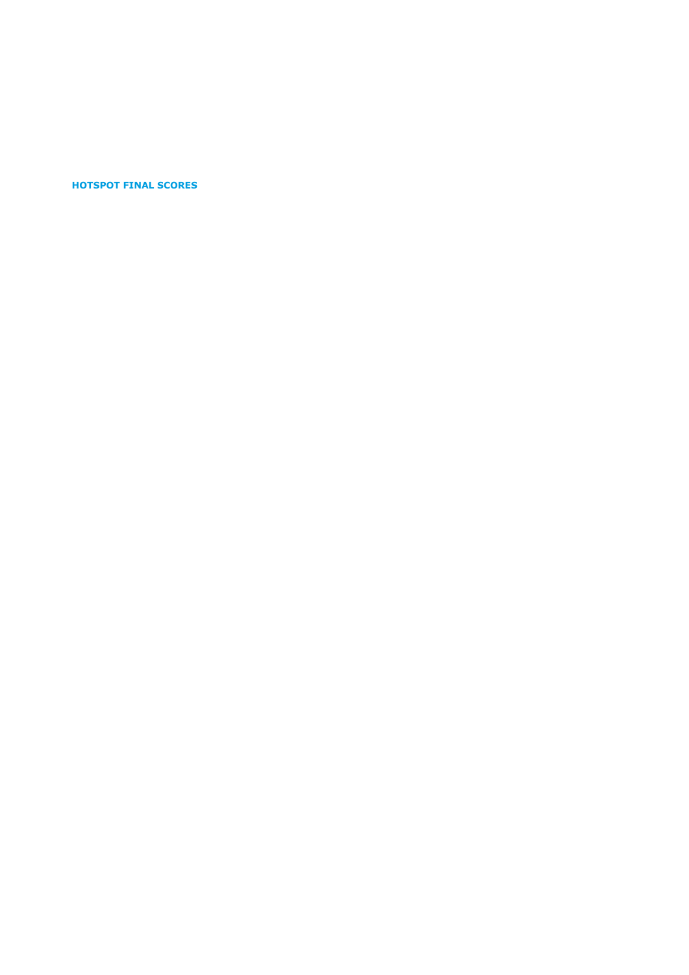<span id="page-51-0"></span>**HOTSPOT FINAL SCORES**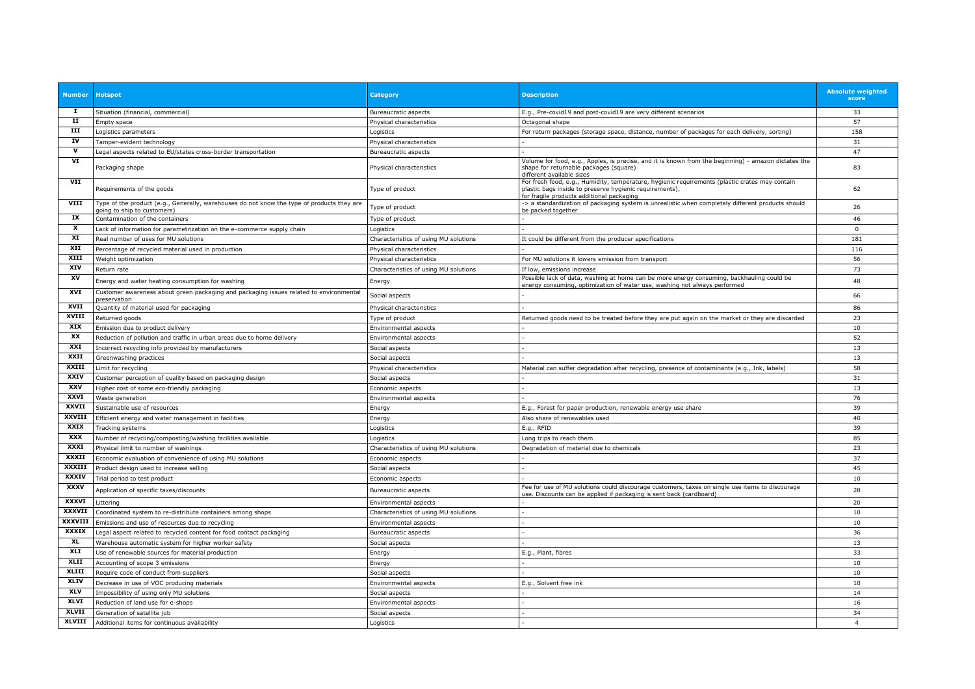| <b>Number</b>  | <b>Hotspot</b>                                                                                                            | <b>Category</b>                       | <b>Description</b>                                                                                                                                                                                     | <b>Absolute weighted</b><br>score |
|----------------|---------------------------------------------------------------------------------------------------------------------------|---------------------------------------|--------------------------------------------------------------------------------------------------------------------------------------------------------------------------------------------------------|-----------------------------------|
|                | Situation (financial, commercial)                                                                                         | Bureaucratic aspects                  | E.g., Pre-covid19 and post-covid19 are very different scenarios                                                                                                                                        | 33                                |
| п              | Empty space                                                                                                               | Physical characteristics              | Octagonal shape                                                                                                                                                                                        | 57                                |
| ш              | Logistics parameters                                                                                                      | Logistics                             | For return packages (storage space, distance, number of packages for each delivery, sorting)                                                                                                           | 158                               |
| ΙV             | Tamper-evident technology                                                                                                 | Physical characteristics              |                                                                                                                                                                                                        | 31                                |
| v              | Legal aspects related to EU/states cross-border transportation                                                            | <b>Bureaucratic aspects</b>           |                                                                                                                                                                                                        | 47                                |
| VI             | Packaging shape                                                                                                           | Physical characteristics              | Volume for food, e.g., Apples, is precise, and it is known from the beginning) - amazon dictates the<br>shape for returnable packages (square)<br>different available sizes                            | 83                                |
| VII            | Requirements of the goods                                                                                                 | Type of product                       | For fresh food, e.g., Humidity, temperature, hygienic requirements (plastic crates may contain<br>plastic bags inside to preserve hygienic requirements),<br>for fragile products additional packaging | 62                                |
| VIII           | Type of the product (e.g., Generally, warehouses do not know the type of products they are<br>going to ship to customers) | Type of product                       | -> a standardization of packaging system is unrealistic when completely different products should<br>be packed together                                                                                | 26                                |
| IX             | Contamination of the containers                                                                                           | Type of product                       |                                                                                                                                                                                                        | 46                                |
| X              | Lack of information for parametrization on the e-commerce supply chain                                                    | Logistics                             |                                                                                                                                                                                                        | $\mathbf 0$                       |
| XI             | Real number of uses for MU solutions                                                                                      | Characteristics of using MU solutions | It could be different from the producer specifications                                                                                                                                                 | 181                               |
| XII            | Percentage of recycled material used in production                                                                        | Physical characteristics              |                                                                                                                                                                                                        | 116                               |
| XIII           | Weight optimization                                                                                                       | Physical characteristics              | For MU solutions it lowers emission from transport                                                                                                                                                     | 56                                |
| XIV            | Return rate                                                                                                               | Characteristics of using MU solutions | If low, emissions increase                                                                                                                                                                             | 73                                |
| XV             | Energy and water heating consumption for washing                                                                          | Energy                                | Possible lack of data, washing at home can be more energy consuming, backhauling could be<br>energy consuming, optimization of water use, washing not always performed                                 | 48                                |
| XVI            | Customer awareness about green packaging and packaging issues related to environmental<br>preservation                    | Social aspects                        |                                                                                                                                                                                                        | 66                                |
| XVII           | Quantity of material used for packaging                                                                                   | Physical characteristics              |                                                                                                                                                                                                        | 86                                |
| <b>XVIII</b>   | Returned goods                                                                                                            | Type of product                       | Returned goods need to be treated before they are put again on the market or they are discarded                                                                                                        | 23                                |
| XIX            | Emission due to product delivery                                                                                          | Environmental aspects                 |                                                                                                                                                                                                        | 10                                |
| XX             | Reduction of pollution and traffic in urban areas due to home delivery                                                    | Environmental aspects                 |                                                                                                                                                                                                        | 52                                |
| XXI            | Incorrect recycling info provided by manufacturers                                                                        | Social aspects                        |                                                                                                                                                                                                        | 13                                |
| <b>XXII</b>    | Greenwashing practices                                                                                                    | Social aspects                        |                                                                                                                                                                                                        | 13                                |
| XXIII          | Limit for recycling                                                                                                       | Physical characteristics              | Material can suffer degradation after recycling, presence of contaminants (e.g., Ink, labels)                                                                                                          | 58                                |
| <b>XXIV</b>    | Customer perception of quality based on packaging design                                                                  | Social aspects                        |                                                                                                                                                                                                        | 31                                |
| <b>XXV</b>     | Higher cost of some eco-friendly packaging                                                                                | Economic aspects                      |                                                                                                                                                                                                        | 13                                |
| XXVI           | Waste generation                                                                                                          | Environmental aspects                 |                                                                                                                                                                                                        | 76                                |
| <b>XXVII</b>   | Sustainable use of resources                                                                                              | Energy                                | E.g., Forest for paper production, renewable energy use share                                                                                                                                          | 39                                |
| <b>XXVIII</b>  | Efficient energy and water management in facilities                                                                       | Energy                                | Also share of renewables used                                                                                                                                                                          | 40                                |
| <b>XXIX</b>    | Tracking systems                                                                                                          | Logistics                             | E.g., RFID                                                                                                                                                                                             | 39                                |
| XXX            | Number of recycling/composting/washing facilities available                                                               | Logistics                             | Long trips to reach them                                                                                                                                                                               | 85                                |
| XXXI           | Physical limit to number of washings                                                                                      | Characteristics of using MU solutions | Degradation of material due to chemicals                                                                                                                                                               | 23                                |
| XXXII          | Economic evaluation of convenience of using MU solutions                                                                  | Economic aspects                      |                                                                                                                                                                                                        | 37                                |
| <b>XXXIII</b>  | Product design used to increase selling                                                                                   | Social aspects                        |                                                                                                                                                                                                        | 45                                |
| <b>XXXIV</b>   | Trial period to test product                                                                                              | Economic aspects                      |                                                                                                                                                                                                        | 10                                |
| <b>XXXV</b>    | Application of specific taxes/discounts                                                                                   | Bureaucratic aspects                  | Fee for use of MU solutions could discourage customers, taxes on single use items to discourage<br>use. Discounts can be applied if packaging is sent back (cardboard)                                 | 28                                |
| <b>XXXVI</b>   | Littering                                                                                                                 | Environmental aspects                 |                                                                                                                                                                                                        | 20                                |
| <b>XXXVII</b>  | Coordinated system to re-distribute containers among shops                                                                | Characteristics of using MU solutions |                                                                                                                                                                                                        | 10                                |
| <b>XXXVIII</b> | Emissions and use of resources due to recycling                                                                           | Environmental aspects                 |                                                                                                                                                                                                        | 10                                |
| <b>XXXIX</b>   | Legal aspect related to recycled content for food contact packaging                                                       | <b>Bureaucratic aspects</b>           |                                                                                                                                                                                                        | 36                                |
| XL             | Warehouse automatic system for higher worker safety                                                                       | Social aspects                        |                                                                                                                                                                                                        | 13                                |
| XLI            | Use of renewable sources for material production                                                                          | Energy                                | E.g., Plant, fibres                                                                                                                                                                                    | 33                                |
| XLII           | Accounting of scope 3 emissions                                                                                           | Energy                                |                                                                                                                                                                                                        | 10                                |
| <b>XLIII</b>   | Require code of conduct from suppliers                                                                                    | Social aspects                        |                                                                                                                                                                                                        | 10                                |
| <b>XLIV</b>    | Decrease in use of VOC producing materials                                                                                | Environmental aspects                 | E.g., Solvent free ink                                                                                                                                                                                 | 10                                |
| <b>XLV</b>     | Impossibility of using only MU solutions                                                                                  | Social aspects                        |                                                                                                                                                                                                        | 14                                |
| XLVI           | Reduction of land use for e-shops                                                                                         | Environmental aspects                 |                                                                                                                                                                                                        | 16                                |
| XLVII          | Generation of satellite job                                                                                               | Social aspects                        |                                                                                                                                                                                                        | 34                                |
| XLVIII         | Additional items for continuous availability                                                                              | Logistics                             |                                                                                                                                                                                                        | $\overline{4}$                    |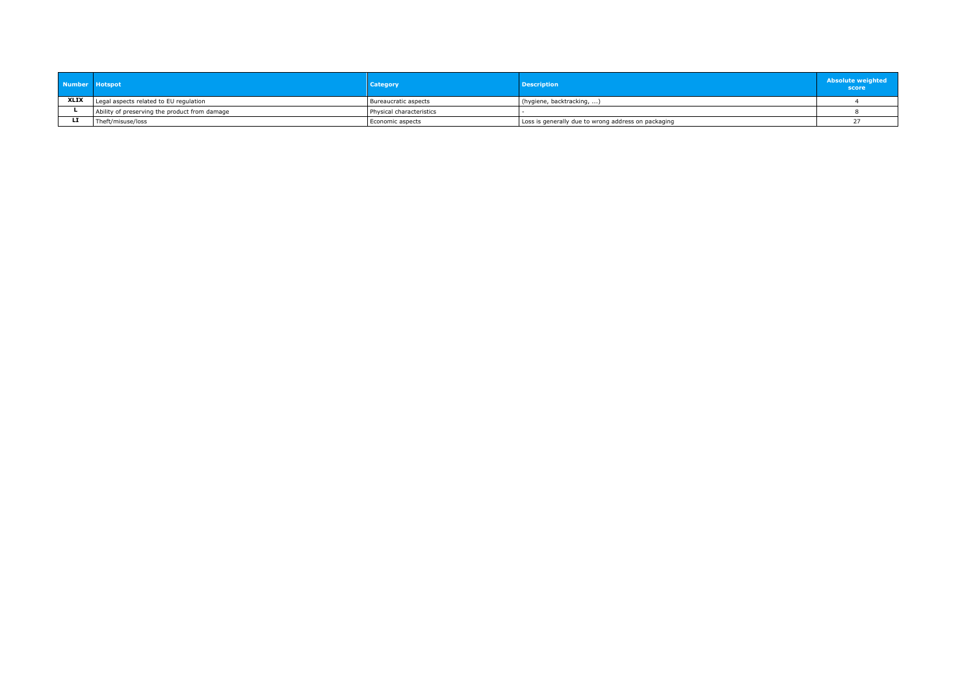| <b>Number Hotspot</b> |                                               | <b>Category</b>          | <b>Description</b>                                  | <b>Absolute weighted</b><br>score |
|-----------------------|-----------------------------------------------|--------------------------|-----------------------------------------------------|-----------------------------------|
| <b>XLIX</b>           | Legal aspects related to EU regulation        | Bureaucratic aspects     | (hygiene, backtracking, )                           |                                   |
|                       | Ability of preserving the product from damage | Physical characteristics |                                                     |                                   |
|                       | Theft/misuse/loss                             | Economic aspects         | Loss is generally due to wrong address on packaging |                                   |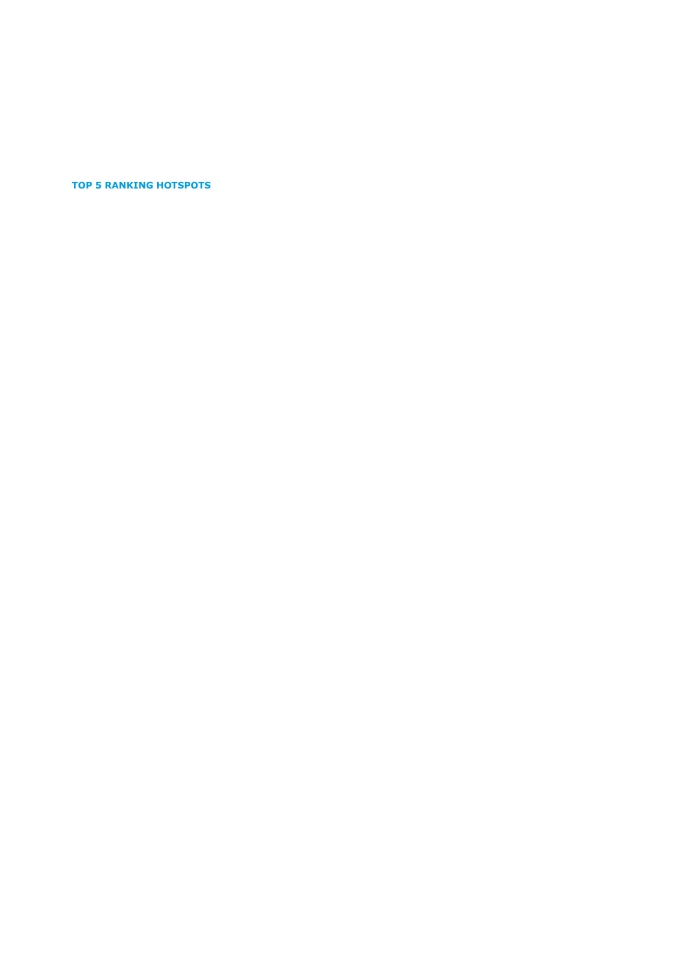**TOP 5 RANKING HOTSPOTS**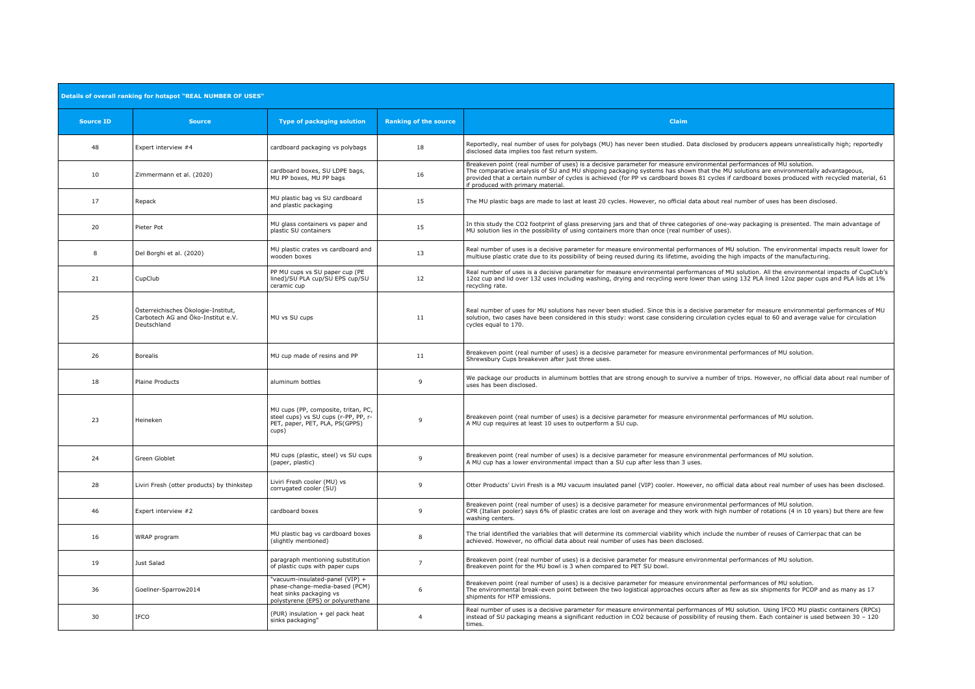| Details of overall ranking for hotspot "REAL NUMBER OF USES" |                                                                                          |                                                                                                                                  |                              |                                                                                                                                                                                                                                                                                                                                                                                                                                                      |  |  |  |  |  |  |
|--------------------------------------------------------------|------------------------------------------------------------------------------------------|----------------------------------------------------------------------------------------------------------------------------------|------------------------------|------------------------------------------------------------------------------------------------------------------------------------------------------------------------------------------------------------------------------------------------------------------------------------------------------------------------------------------------------------------------------------------------------------------------------------------------------|--|--|--|--|--|--|
| <b>Source ID</b>                                             | <b>Source</b>                                                                            | <b>Type of packaging solution</b>                                                                                                | <b>Ranking of the source</b> | <b>Claim</b>                                                                                                                                                                                                                                                                                                                                                                                                                                         |  |  |  |  |  |  |
| 48                                                           | Expert interview #4                                                                      | cardboard packaging vs polybags                                                                                                  | 18                           | Reportedly, real number of uses for polybags (MU) has never been studied. Data disclosed by producers appears unrealistically high; reportedly<br>disclosed data implies too fast return system.                                                                                                                                                                                                                                                     |  |  |  |  |  |  |
| 10                                                           | Zimmermann et al. (2020)                                                                 | cardboard boxes, SU LDPE bags,<br>MU PP boxes, MU PP bags                                                                        | 16                           | Breakeven point (real number of uses) is a decisive parameter for measure environmental performances of MU solution.<br>The comparative analysis of SU and MU shipping packaging systems has shown that the MU solutions are environmentally advantageous,<br>provided that a certain number of cycles is achieved (for PP vs cardboard boxes 81 cycles if cardboard boxes produced with recycled material, 61<br>if produced with primary material. |  |  |  |  |  |  |
| 17                                                           | Repack                                                                                   | MU plastic bag vs SU cardboard<br>and plastic packaging                                                                          | 15                           | The MU plastic bags are made to last at least 20 cycles. However, no official data about real number of uses has been disclosed.                                                                                                                                                                                                                                                                                                                     |  |  |  |  |  |  |
| 20                                                           | Pieter Pot                                                                               | MU glass containers vs paper and<br>plastic SU containers                                                                        | 15                           | In this study the CO2 footprint of glass preserving jars and that of three categories of one-way packaging is presented. The main advantage of<br>MU solution lies in the possibility of using containers more than once (real number of uses).                                                                                                                                                                                                      |  |  |  |  |  |  |
| 8                                                            | Del Borghi et al. (2020)                                                                 | MU plastic crates vs cardboard and<br>wooden boxes                                                                               | 13                           | Real number of uses is a decisive parameter for measure environmental performances of MU solution. The environmental impacts result lower for<br>multiuse plastic crate due to its possibility of being reused during its lifetime, avoiding the high impacts of the manufacturing.                                                                                                                                                                  |  |  |  |  |  |  |
| 21                                                           | CupClub                                                                                  | PP MU cups vs SU paper cup (PE<br>lined)/SU PLA cup/SU EPS cup/SU<br>ceramic cup                                                 | 12                           | Real number of uses is a decisive parameter for measure environmental performances of MU solution. All the environmental impacts of CupClub's<br>12oz cup and lid over 132 uses including washing, drying and recycling were lower than using 132 PLA lined 12oz paper cups and PLA lids at 1%<br>recycling rate.                                                                                                                                    |  |  |  |  |  |  |
| 25                                                           | Österreichisches Ökologie-Institut,<br>Carbotech AG and Öko-Institut e.V.<br>Deutschland | MU vs SU cups                                                                                                                    | 11                           | Real number of uses for MU solutions has never been studied. Since this is a decisive parameter for measure environmental performances of MU<br>solution, two cases have been considered in this study: worst case considering circulation cycles equal to 60 and average value for circulation<br>cycles equal to 170.                                                                                                                              |  |  |  |  |  |  |
| 26                                                           | <b>Borealis</b>                                                                          | MU cup made of resins and PP                                                                                                     | 11                           | Breakeven point (real number of uses) is a decisive parameter for measure environmental performances of MU solution.<br>Shrewsbury Cups breakeven after just three uses.                                                                                                                                                                                                                                                                             |  |  |  |  |  |  |
| 18                                                           | <b>Plaine Products</b>                                                                   | aluminum bottles                                                                                                                 | 9                            | We package our products in aluminum bottles that are strong enough to survive a number of trips. However, no official data about real number of<br>uses has been disclosed.                                                                                                                                                                                                                                                                          |  |  |  |  |  |  |
| 23                                                           | Heineken                                                                                 | MU cups (PP, composite, tritan, PC,<br>steel cups) vs SU cups (r-PP, PP, r-<br>PET, paper, PET, PLA, PS(GPPS)<br>cups)           | 9                            | Breakeven point (real number of uses) is a decisive parameter for measure environmental performances of MU solution.<br>A MU cup requires at least 10 uses to outperform a SU cup.                                                                                                                                                                                                                                                                   |  |  |  |  |  |  |
| 24                                                           | Green Globlet                                                                            | MU cups (plastic, steel) vs SU cups<br>(paper, plastic)                                                                          | 9                            | Breakeven point (real number of uses) is a decisive parameter for measure environmental performances of MU solution.<br>A MU cup has a lower environmental impact than a SU cup after less than 3 uses.                                                                                                                                                                                                                                              |  |  |  |  |  |  |
| 28                                                           | Liviri Fresh (otter products) by thinkstep                                               | Liviri Fresh cooler (MU) vs<br>corrugated cooler (SU)                                                                            | 9                            | Otter Products' Liviri Fresh is a MU vacuum insulated panel (VIP) cooler. However, no official data about real number of uses has been disclosed.                                                                                                                                                                                                                                                                                                    |  |  |  |  |  |  |
| 46                                                           | Expert interview #2                                                                      | cardboard boxes                                                                                                                  | 9                            | Breakeven point (real number of uses) is a decisive parameter for measure environmental performances of MU solution.<br>CPR (Italian pooler) says 6% of plastic crates are lost on average and they work with high number of rotations (4 in 10 years) but there are few<br>washing centers.                                                                                                                                                         |  |  |  |  |  |  |
| 16                                                           | WRAP program                                                                             | MU plastic bag vs cardboard boxes<br>(slightly mentioned)                                                                        | 8                            | The trial identified the variables that will determine its commercial viability which include the number of reuses of Carrierpac that can be<br>achieved. However, no official data about real number of uses has been disclosed.                                                                                                                                                                                                                    |  |  |  |  |  |  |
| 19                                                           | Just Salad                                                                               | paragraph mentioning substitution<br>of plastic cups with paper cups                                                             | $\overline{7}$               | Breakeven point (real number of uses) is a decisive parameter for measure environmental performances of MU solution.<br>Breakeven point for the MU bowl is 3 when compared to PET SU bowl.                                                                                                                                                                                                                                                           |  |  |  |  |  |  |
| 36                                                           | Goellner-Sparrow2014                                                                     | vacuum-insulated-panel (VIP) +<br>phase-change-media-based (PCM)<br>heat sinks packaging vs<br>polystyrene (EPS) or polyurethane | 6                            | Breakeven point (real number of uses) is a decisive parameter for measure environmental performances of MU solution.<br>The environmental break-even point between the two logistical approaches occurs after as few as six shipments for PCOP and as many as 17<br>shipments for HTP emissions.                                                                                                                                                     |  |  |  |  |  |  |
| 30                                                           | IFCO                                                                                     | (PUR) insulation + gel pack heat<br>sinks packaging"                                                                             | 4                            | Real number of uses is a decisive parameter for measure environmental performances of MU solution. Using IFCO MU plastic containers (RPCs)<br>instead of SU packaging means a significant reduction in CO2 because of possibility of reusing them. Each container is used between 30 - 120<br>times.                                                                                                                                                 |  |  |  |  |  |  |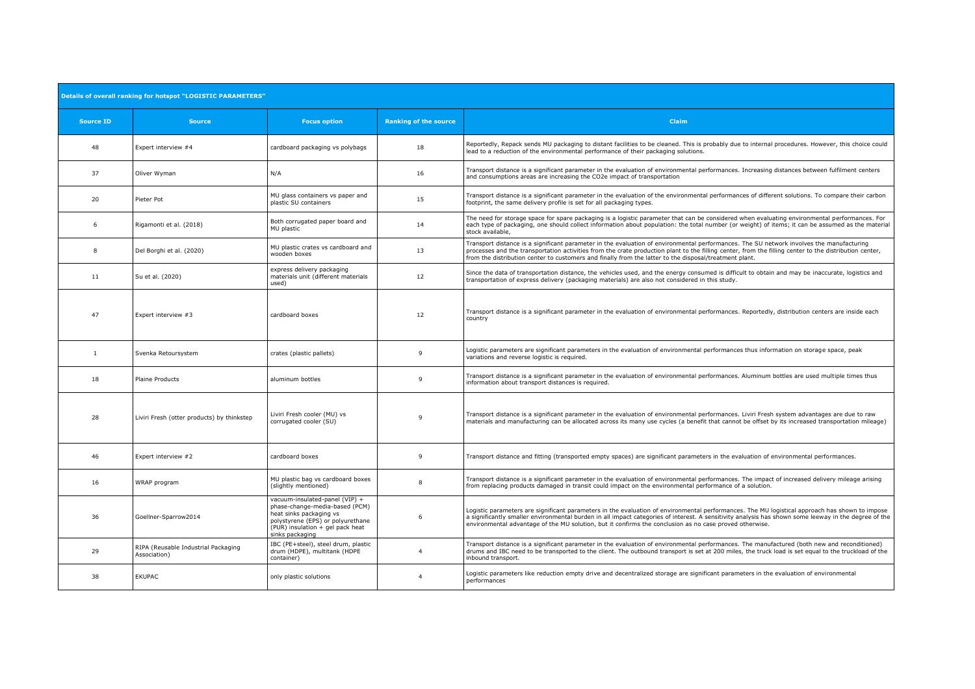| <b>Details of overall ranking for hotspot "LOGISTIC PARAMETERS"</b> |                                                     |                                                                                                                                                                                         |                              |                                                                                                                                                                                                                                                                                                                                                                                                                   |  |  |  |  |  |  |  |
|---------------------------------------------------------------------|-----------------------------------------------------|-----------------------------------------------------------------------------------------------------------------------------------------------------------------------------------------|------------------------------|-------------------------------------------------------------------------------------------------------------------------------------------------------------------------------------------------------------------------------------------------------------------------------------------------------------------------------------------------------------------------------------------------------------------|--|--|--|--|--|--|--|
| <b>Source ID</b>                                                    | <b>Source</b>                                       | <b>Focus option</b>                                                                                                                                                                     | <b>Ranking of the source</b> | <b>Claim</b>                                                                                                                                                                                                                                                                                                                                                                                                      |  |  |  |  |  |  |  |
| 48                                                                  | Expert interview #4                                 | cardboard packaging vs polybags                                                                                                                                                         | 18                           | Reportedly, Repack sends MU packaging to distant facilities to be cleaned. This is probably due to internal procedures. However, this choice could<br>lead to a reduction of the environmental performance of their packaging solutions.                                                                                                                                                                          |  |  |  |  |  |  |  |
| 37                                                                  | Oliver Wyman                                        | N/A                                                                                                                                                                                     | 16                           | Transport distance is a significant parameter in the evaluation of environmental performances. Increasing distances between fulfilment centers<br>and consumptions areas are increasing the CO2e impact of transportation                                                                                                                                                                                         |  |  |  |  |  |  |  |
| 20                                                                  | Pieter Pot                                          | MU glass containers vs paper and<br>plastic SU containers                                                                                                                               | 15                           | Transport distance is a significant parameter in the evaluation of the environmental performances of different solutions. To compare their carbon<br>footprint, the same delivery profile is set for all packaging types.                                                                                                                                                                                         |  |  |  |  |  |  |  |
| 6                                                                   | Rigamonti et al. (2018)                             | Both corrugated paper board and<br>MU plastic                                                                                                                                           | 14                           | The need for storage space for spare packaging is a logistic parameter that can be considered when evaluating environmental performances. For<br>each type of packaging, one should collect information about population: the total number (or weight) of items; it can be assumed as the material<br>stock available,                                                                                            |  |  |  |  |  |  |  |
| 8                                                                   | Del Borghi et al. (2020)                            | MU plastic crates vs cardboard and<br>wooden boxes                                                                                                                                      | 13                           | Transport distance is a significant parameter in the evaluation of environmental performances. The SU network involves the manufacturing<br>processes and the transportation activities from the crate production plant to the filling center, from the filling center to the distribution center,<br>from the distribution center to customers and finally from the latter to the disposal/treatment plant.      |  |  |  |  |  |  |  |
| 11                                                                  | Su et al. (2020)                                    | express delivery packaging<br>materials unit (different materials<br>used)                                                                                                              | 12                           | Since the data of transportation distance, the vehicles used, and the energy consumed is difficult to obtain and may be inaccurate, logistics and<br>transportation of express delivery (packaging materials) are also not considered in this study.                                                                                                                                                              |  |  |  |  |  |  |  |
| 47                                                                  | Expert interview #3                                 | cardboard boxes                                                                                                                                                                         | 12                           | Transport distance is a significant parameter in the evaluation of environmental performances. Reportedly, distribution centers are inside each<br>country                                                                                                                                                                                                                                                        |  |  |  |  |  |  |  |
| $\mathbf{1}$                                                        | Svenka Retoursystem                                 | crates (plastic pallets)                                                                                                                                                                | 9                            | Logistic parameters are significant parameters in the evaluation of environmental performances thus information on storage space, peak<br>variations and reverse logistic is required.                                                                                                                                                                                                                            |  |  |  |  |  |  |  |
| 18                                                                  | <b>Plaine Products</b>                              | aluminum bottles                                                                                                                                                                        | 9                            | Transport distance is a significant parameter in the evaluation of environmental performances. Aluminum bottles are used multiple times thus<br>information about transport distances is required.                                                                                                                                                                                                                |  |  |  |  |  |  |  |
| 28                                                                  | Liviri Fresh (otter products) by thinkstep          | Liviri Fresh cooler (MU) vs<br>corrugated cooler (SU)                                                                                                                                   | 9                            | Transport distance is a significant parameter in the evaluation of environmental performances. Liviri Fresh system advantages are due to raw<br>materials and manufacturing can be allocated across its many use cycles (a benefit that cannot be offset by its increased transportation mileage)                                                                                                                 |  |  |  |  |  |  |  |
| 46                                                                  | Expert interview #2                                 | cardboard boxes                                                                                                                                                                         | 9                            | Transport distance and fitting (transported empty spaces) are significant parameters in the evaluation of environmental performances.                                                                                                                                                                                                                                                                             |  |  |  |  |  |  |  |
| 16                                                                  | WRAP program                                        | MU plastic bag vs cardboard boxes<br>(slightly mentioned)                                                                                                                               | 8                            | Transport distance is a significant parameter in the evaluation of environmental performances. The impact of increased delivery mileage arising<br>from replacing products damaged in transit could impact on the environmental performance of a solution.                                                                                                                                                        |  |  |  |  |  |  |  |
| 36                                                                  | Goellner-Sparrow2014                                | vacuum-insulated-panel (VIP) +<br>phase-change-media-based (PCM)<br>heat sinks packaging vs<br>polystyrene (EPS) or polyurethane<br>(PUR) insulation + gel pack heat<br>sinks packaging | 6                            | Logistic parameters are significant parameters in the evaluation of environmental performances. The MU logistical approach has shown to impose<br>a significantly smaller environmental burden in all impact categories of interest. A sensitivity analysis has shown some leeway in the degree of the<br>environmental advantage of the MU solution, but it confirms the conclusion as no case proved otherwise. |  |  |  |  |  |  |  |
| 29                                                                  | RIPA (Reusable Industrial Packaging<br>Association) | IBC (PE+steel), steel drum, plastic<br>drum (HDPE), multitank (HDPE<br>container)                                                                                                       | 4                            | Transport distance is a significant parameter in the evaluation of environmental performances. The manufactured (both new and reconditioned)<br>drums and IBC need to be transported to the client. The outbound transport is set at 200 miles, the truck load is set equal to the truckload of the<br>inbound transport.                                                                                         |  |  |  |  |  |  |  |
| 38                                                                  | <b>EKUPAC</b>                                       | only plastic solutions                                                                                                                                                                  | 4                            | Logistic parameters like reduction empty drive and decentralized storage are significant parameters in the evaluation of environmental<br>performances                                                                                                                                                                                                                                                            |  |  |  |  |  |  |  |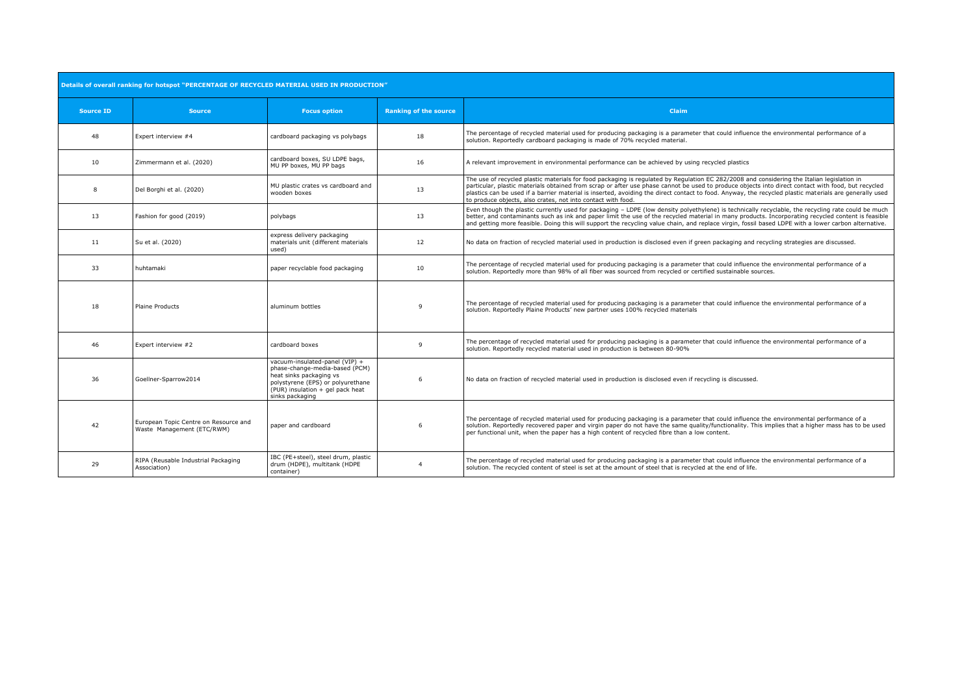**Details of overall ranking for hotspot "PERCENTAGE OF RECYCLED MATERIAL USED IN PRODUCTION"**

| <b>Source ID</b> | <b>Source</b>                                                       | <b>Focus option</b>                                                                                                                                                                     | <b>Ranking of the source</b> | <b>Claim</b>                                                                                                                                                                                                                                                                                                                                                                                                                                                                                                              |
|------------------|---------------------------------------------------------------------|-----------------------------------------------------------------------------------------------------------------------------------------------------------------------------------------|------------------------------|---------------------------------------------------------------------------------------------------------------------------------------------------------------------------------------------------------------------------------------------------------------------------------------------------------------------------------------------------------------------------------------------------------------------------------------------------------------------------------------------------------------------------|
| 48               | Expert interview #4                                                 | cardboard packaging vs polybags                                                                                                                                                         | 18                           | The percentage of recycled material used for producing packaging is a parameter that could influence the environmental performance of a<br>solution. Reportedly cardboard packaging is made of 70% recycled material.                                                                                                                                                                                                                                                                                                     |
| 10               | Zimmermann et al. (2020)                                            | cardboard boxes, SU LDPE bags,<br>MU PP boxes, MU PP bags                                                                                                                               | 16                           | A relevant improvement in environmental performance can be achieved by using recycled plastics                                                                                                                                                                                                                                                                                                                                                                                                                            |
| 8                | Del Borghi et al. (2020)                                            | MU plastic crates vs cardboard and<br>wooden boxes                                                                                                                                      | 13                           | The use of recycled plastic materials for food packaging is regulated by Regulation EC 282/2008 and considering the Italian legislation in<br>particular, plastic materials obtained from scrap or after use phase cannot be used to produce objects into direct contact with food, but recycled<br>plastics can be used if a barrier material is inserted, avoiding the direct contact to food. Anyway, the recycled plastic materials are generally use<br>to produce objects, also crates, not into contact with food. |
| 13               | Fashion for good (2019)                                             | polybags                                                                                                                                                                                | 13                           | Even though the plastic currently used for packaging - LDPE (low density polyethylene) is technically recyclable, the recycling rate could be muc<br>better, and contaminants such as ink and paper limit the use of the recycled material in many products. Incorporating recycled content is feasibl<br>and getting more feasible. Doing this will support the recycling value chain, and replace virgin, fossil based LDPE with a lower carbon alternative                                                             |
| 11               | Su et al. (2020)                                                    | express delivery packaging<br>materials unit (different materials<br>used)                                                                                                              | 12                           | No data on fraction of recycled material used in production is disclosed even if green packaging and recycling strategies are discussed.                                                                                                                                                                                                                                                                                                                                                                                  |
| 33               | huhtamaki                                                           | paper recyclable food packaging                                                                                                                                                         | 10                           | The percentage of recycled material used for producing packaging is a parameter that could influence the environmental performance of a<br>solution. Reportedly more than 98% of all fiber was sourced from recycled or certified sustainable sources.                                                                                                                                                                                                                                                                    |
| 18               | <b>Plaine Products</b>                                              | aluminum bottles                                                                                                                                                                        | 9                            | The percentage of recycled material used for producing packaging is a parameter that could influence the environmental performance of a<br>solution. Reportedly Plaine Products' new partner uses 100% recycled materials                                                                                                                                                                                                                                                                                                 |
| 46               | Expert interview #2                                                 | cardboard boxes                                                                                                                                                                         | 9                            | The percentage of recycled material used for producing packaging is a parameter that could influence the environmental performance of a<br>solution. Reportedly recycled material used in production is between 80-90%                                                                                                                                                                                                                                                                                                    |
| 36               | Goellner-Sparrow2014                                                | vacuum-insulated-panel (VIP) +<br>phase-change-media-based (PCM)<br>heat sinks packaging vs<br>polystyrene (EPS) or polyurethane<br>(PUR) insulation + gel pack heat<br>sinks packaging | 6                            | No data on fraction of recycled material used in production is disclosed even if recycling is discussed.                                                                                                                                                                                                                                                                                                                                                                                                                  |
| 42               | European Topic Centre on Resource and<br>Waste Management (ETC/RWM) | paper and cardboard                                                                                                                                                                     | 6                            | The percentage of recycled material used for producing packaging is a parameter that could influence the environmental performance of a<br>solution. Reportedly recovered paper and virgin paper do not have the same quality/functionality. This implies that a higher mass has to be used<br>per functional unit, when the paper has a high content of recycled fibre than a low content.                                                                                                                               |
| 29               | RIPA (Reusable Industrial Packaging<br>Association)                 | IBC (PE+steel), steel drum, plastic<br>drum (HDPE), multitank (HDPE<br>container)                                                                                                       | $\overline{4}$               | The percentage of recycled material used for producing packaging is a parameter that could influence the environmental performance of a<br>solution. The recycled content of steel is set at the amount of steel that is recycled at the end of life.                                                                                                                                                                                                                                                                     |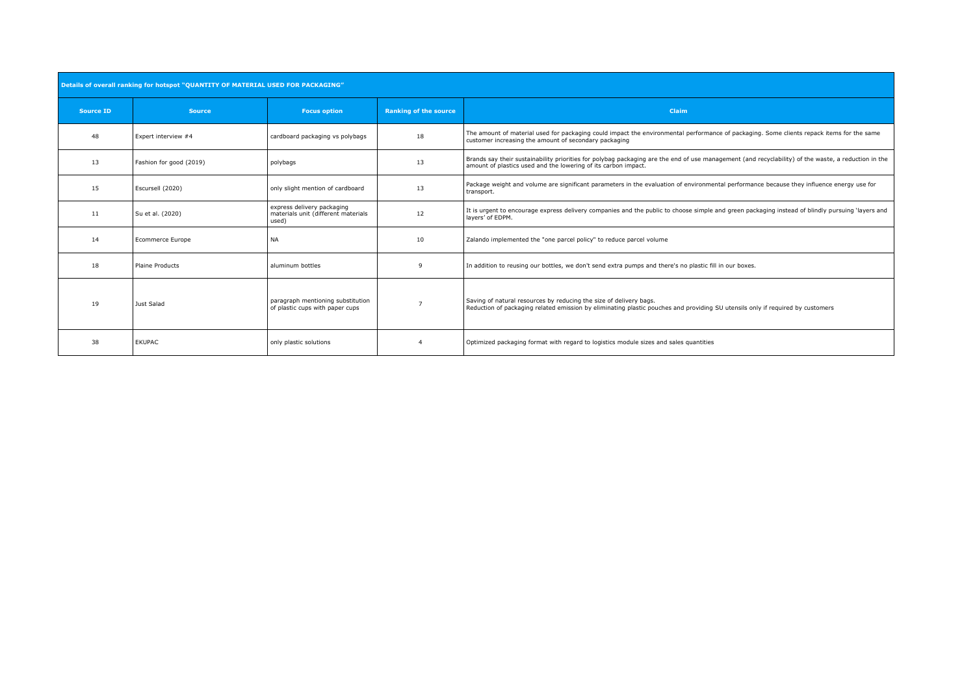| Details of overall ranking for hotspot "QUANTITY OF MATERIAL USED FOR PACKAGING" |                         |                                                                            |                              |                                                                                                                                                                                                                       |  |  |  |
|----------------------------------------------------------------------------------|-------------------------|----------------------------------------------------------------------------|------------------------------|-----------------------------------------------------------------------------------------------------------------------------------------------------------------------------------------------------------------------|--|--|--|
| <b>Source ID</b>                                                                 | <b>Source</b>           | <b>Focus option</b>                                                        | <b>Ranking of the source</b> | <b>Claim</b>                                                                                                                                                                                                          |  |  |  |
| 48                                                                               | Expert interview #4     | cardboard packaging vs polybags                                            | 18                           | The amount of material used for packaging could impact the environmental performance of packaging. Some clients repack items for the same<br>customer increasing the amount of secondary packaging                    |  |  |  |
| 13                                                                               | Fashion for good (2019) | polybags                                                                   | 13                           | Brands say their sustainability priorities for polybag packaging are the end of use management (and recyclability) of the waste, a reduction in the<br>amount of plastics used and the lowering of its carbon impact. |  |  |  |
| 15                                                                               | Escursell (2020)        | only slight mention of cardboard                                           | 13                           | Package weight and volume are significant parameters in the evaluation of environmental performance because they influence energy use for<br>transport.                                                               |  |  |  |
| 11                                                                               | Su et al. (2020)        | express delivery packaging<br>materials unit (different materials<br>used) | 12                           | It is urgent to encourage express delivery companies and the public to choose simple and green packaging instead of blindly pursuing 'layers and<br>lavers' of EDPM.                                                  |  |  |  |
| 14                                                                               | <b>Ecommerce Europe</b> | <b>NA</b>                                                                  | 10                           | Zalando implemented the "one parcel policy" to reduce parcel volume                                                                                                                                                   |  |  |  |
| 18                                                                               | <b>Plaine Products</b>  | aluminum bottles                                                           | $\mathsf{q}$                 | In addition to reusing our bottles, we don't send extra pumps and there's no plastic fill in our boxes.                                                                                                               |  |  |  |
| 19                                                                               | Just Salad              | paragraph mentioning substitution<br>of plastic cups with paper cups       | $\overline{7}$               | Saving of natural resources by reducing the size of delivery bags.<br>Reduction of packaging related emission by eliminating plastic pouches and providing SU utensils only if required by customers                  |  |  |  |
| 38                                                                               | <b>EKUPAC</b>           | only plastic solutions                                                     |                              | Optimized packaging format with regard to logistics module sizes and sales quantities                                                                                                                                 |  |  |  |